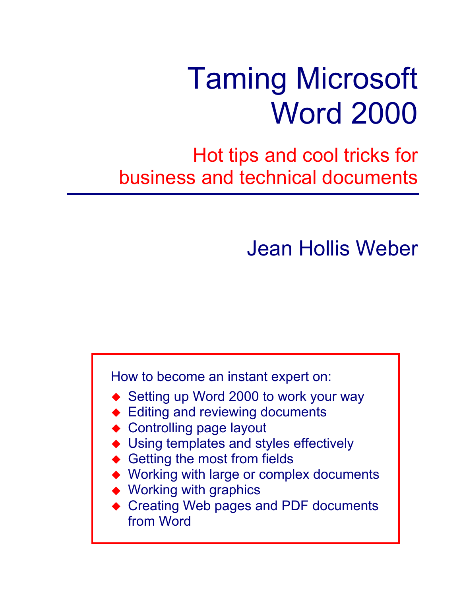# Taming Microsoft Word 2000

Hot tips and cool tricks for business and technical documents

Jean Hollis Weber

How to become an instant expert on:

- ◆ Setting up Word 2000 to work your way
- ◆ Editing and reviewing documents
- ◆ Controlling page layout
- ◆ Using templates and styles effectively
- Getting the most from fields
- Working with large or complex documents
- Working with graphics
- ◆ Creating Web pages and PDF documents from Word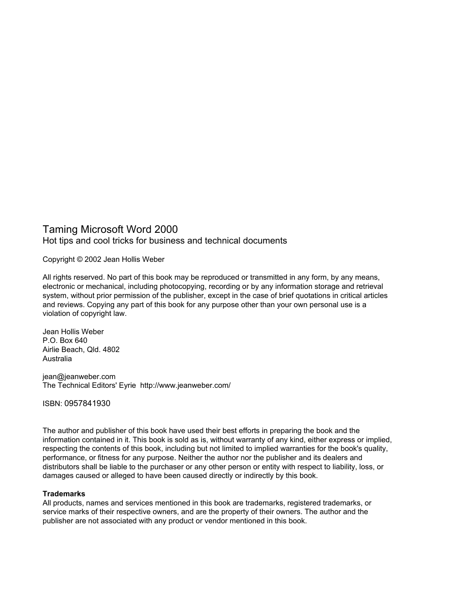# Taming Microsoft Word 2000 Hot tips and cool tricks for business and technical documents

Copyright © 2002 Jean Hollis Weber

All rights reserved. No part of this book may be reproduced or transmitted in any form, by any means, electronic or mechanical, including photocopying, recording or by any information storage and retrieval system, without prior permission of the publisher, except in the case of brief quotations in critical articles and reviews. Copying any part of this book for any purpose other than your own personal use is a violation of copyright law.

Jean Hollis Weber P.O. Box 640 Airlie Beach, Qld. 4802 Australia

jean@jeanweber.com The Technical Editors' Eyrie http://www.jeanweber.com/

ISBN: 0957841930

The author and publisher of this book have used their best efforts in preparing the book and the information contained in it. This book is sold as is, without warranty of any kind, either express or implied, respecting the contents of this book, including but not limited to implied warranties for the book's quality, performance, or fitness for any purpose. Neither the author nor the publisher and its dealers and distributors shall be liable to the purchaser or any other person or entity with respect to liability, loss, or damages caused or alleged to have been caused directly or indirectly by this book.

### **Trademarks**

All products, names and services mentioned in this book are trademarks, registered trademarks, or service marks of their respective owners, and are the property of their owners. The author and the publisher are not associated with any product or vendor mentioned in this book.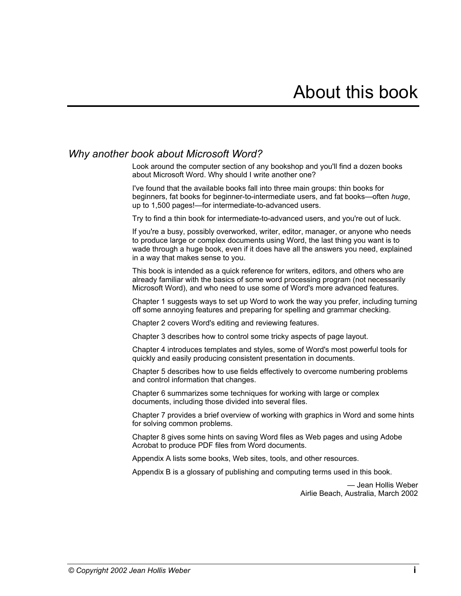# <span id="page-2-1"></span>*Why another book about Microsoft Word?*

<span id="page-2-0"></span>Look around the computer section of any bookshop and you'll find a dozen books about Microsoft Word. Why should I write another one?

I've found that the available books fall into three main groups: thin books for beginners, fat books for beginner-to-intermediate users, and fat books—often *huge*, up to 1,500 pages!—for intermediate-to-advanced users.

Try to find a thin book for intermediate-to-advanced users, and you're out of luck.

If you're a busy, possibly overworked, writer, editor, manager, or anyone who needs to produce large or complex documents using Word, the last thing you want is to wade through a huge book, even if it does have all the answers you need, explained in a way that makes sense to you.

This book is intended as a quick reference for writers, editors, and others who are already familiar with the basics of some word processing program (not necessarily Microsoft Word), and who need to use some of Word's more advanced features.

Chapter 1 suggests ways to set up Word to work the way you prefer, including turning off some annoying features and preparing for spelling and grammar checking.

Chapter 2 covers Word's editing and reviewing features.

Chapter 3 describes how to control some tricky aspects of page layout.

Chapter 4 introduces templates and styles, some of Word's most powerful tools for quickly and easily producing consistent presentation in documents.

Chapter 5 describes how to use fields effectively to overcome numbering problems and control information that changes.

Chapter 6 summarizes some techniques for working with large or complex documents, including those divided into several files.

Chapter 7 provides a brief overview of working with graphics in Word and some hints for solving common problems.

Chapter 8 gives some hints on saving Word files as Web pages and using Adobe Acrobat to produce PDF files from Word documents.

Appendix A lists some books, Web sites, tools, and other resources.

Appendix B is a glossary of publishing and computing terms used in this book.

— Jean Hollis Weber Airlie Beach, Australia, March 2002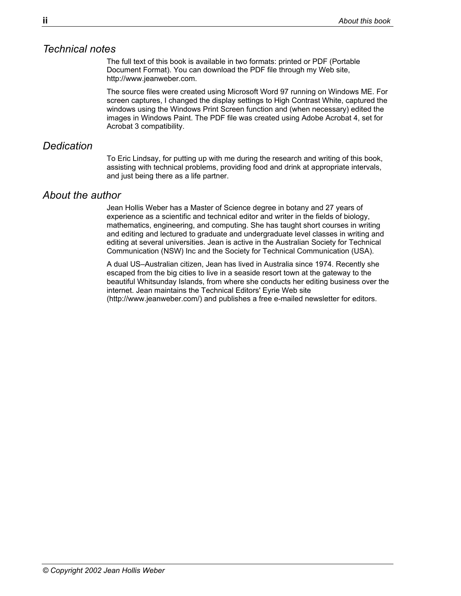# <span id="page-3-0"></span>*Technical notes*

The full text of this book is available in two formats: printed or PDF (Portable Document Format). You can download the PDF file through my Web site, http://www.jeanweber.com.

The source files were created using Microsoft Word 97 running on Windows ME. For screen captures, I changed the display settings to High Contrast White, captured the windows using the Windows Print Screen function and (when necessary) edited the images in Windows Paint. The PDF file was created using Adobe Acrobat 4, set for Acrobat 3 compatibility.

# <span id="page-3-1"></span>*Dedication*

To Eric Lindsay, for putting up with me during the research and writing of this book, assisting with technical problems, providing food and drink at appropriate intervals, and just being there as a life partner.

### <span id="page-3-2"></span>*About the author*

Jean Hollis Weber has a Master of Science degree in botany and 27 years of experience as a scientific and technical editor and writer in the fields of biology, mathematics, engineering, and computing. She has taught short courses in writing and editing and lectured to graduate and undergraduate level classes in writing and editing at several universities. Jean is active in the Australian Society for Technical Communication (NSW) Inc and the Society for Technical Communication (USA).

A dual US–Australian citizen, Jean has lived in Australia since 1974. Recently she escaped from the big cities to live in a seaside resort town at the gateway to the beautiful Whitsunday Islands, from where she conducts her editing business over the internet. Jean maintains the Technical Editors' Eyrie Web site (http://www.jeanweber.com/) and publishes a free e-mailed newsletter for editors.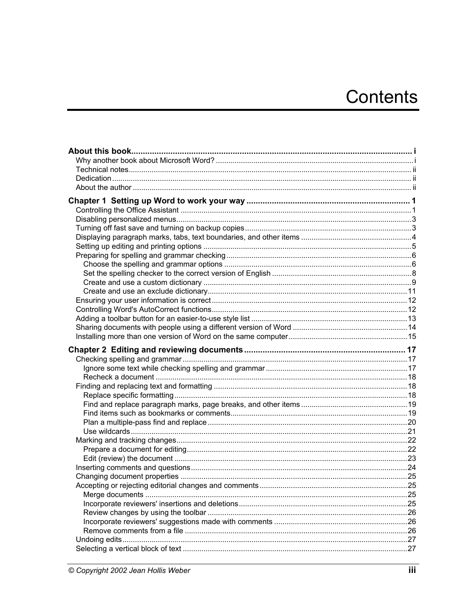# Contents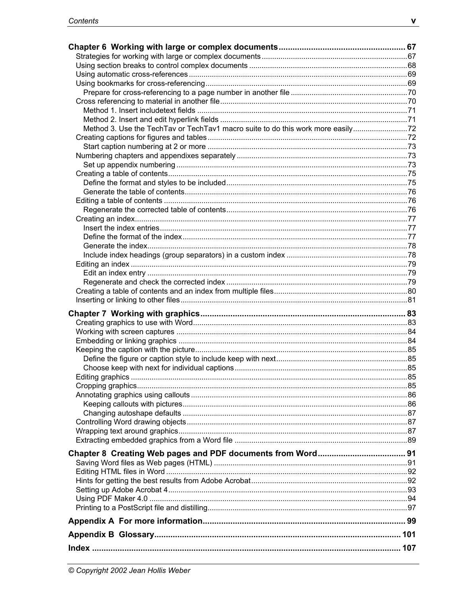| Method 3. Use the TechTav or TechTav1 macro suite to do this work more easily |  |
|-------------------------------------------------------------------------------|--|
|                                                                               |  |
|                                                                               |  |
|                                                                               |  |
|                                                                               |  |
|                                                                               |  |
|                                                                               |  |
|                                                                               |  |
|                                                                               |  |
|                                                                               |  |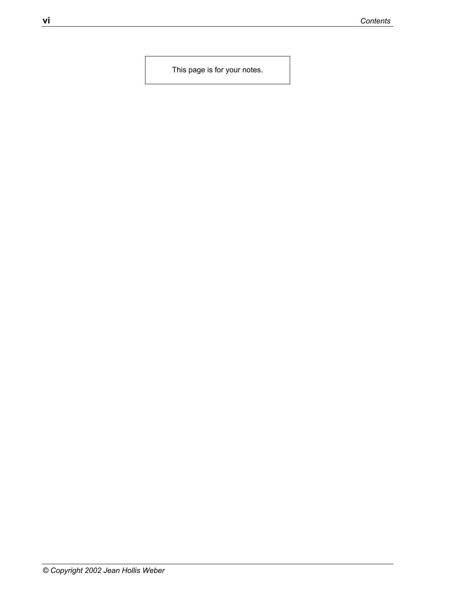This page is for your notes.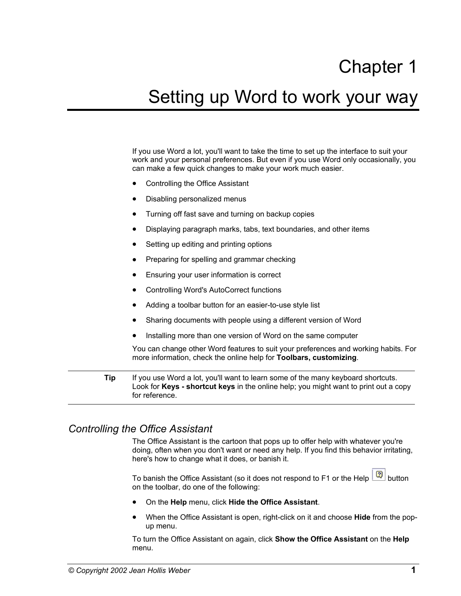# Chapter 1

# <span id="page-8-0"></span>Setting up Word to work your way

If you use Word a lot, you'll want to take the time to set up the interface to suit your work and your personal preferences. But even if you use Word only occasionally, you can make a few quick changes to make your work much easier.

- [Controlling the Office Assistant](#page-8-1)
- [Disabling personalized menus](#page-10-0)
- [Turning off fast save and turning on backup copies](#page-10-1)
- [Displaying paragraph marks, tabs, text boundaries, and other items](#page-11-0)
- Setting up editing and printing options
- Preparing for spelling and grammar checking
- [Ensuring your user information is correct](#page-19-0)
- [Controlling Word's AutoCorrect functions](#page-19-1)
- [Adding a toolbar button for an easier-to-use style list](#page-20-0)
- [Sharing documents with people using a different version of Word](#page-21-0)
- Installing more than one version of Word on the same computer

You can change other Word features to suit your preferences and working habits. For more information, check the online help for **Toolbars, customizing**.

**Tip** If you use Word a lot, you'll want to learn some of the many keyboard shortcuts. Look for **Keys - shortcut keys** in the online help; you might want to print out a copy for reference.

# <span id="page-8-1"></span>*Controlling the Office Assistant*

The Office Assistant is the cartoon that pops up to offer help with whatever you're doing, often when you don't want or need any help. If you find this behavior irritating, here's how to change what it does, or banish it.

To banish the Office Assistant (so it does not respond to F1 or the Help  $\boxed{2}$  button on the toolbar, do one of the following:

- On the **Help** menu, click **Hide the Office Assistant**.
- When the Office Assistant is open, right-click on it and choose **Hide** from the popup menu.

To turn the Office Assistant on again, click **Show the Office Assistant** on the **Help** menu.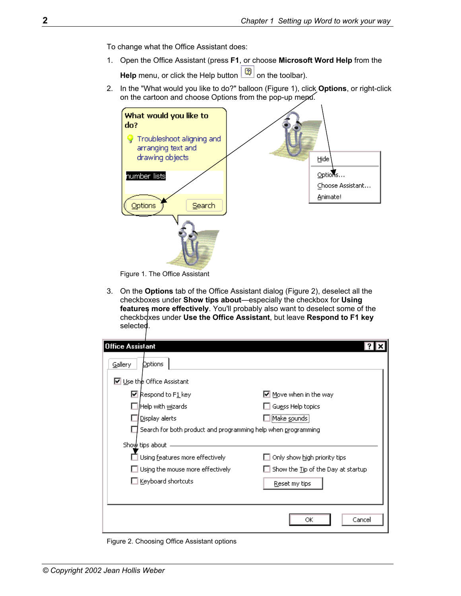To change what the Office Assistant does:

1. Open the Office Assistant (press **F1**, or choose **Microsoft Word Help** from the

**Help** menu, or click the Help button  $\boxed{2}$  on the toolbar).

2. In the "What would you like to do?" balloon [\(Figure 1\)](#page-9-0), click **Options**, or right-click on the cartoon and choose Options from the pop-up mepu.

<span id="page-9-0"></span>

Figure 1. The Office Assistant

3. On the **Options** tab of the Office Assistant dialog ([Figure 2\)](#page-9-1), deselect all the checkboxes under **Show tips about**—especially the checkbox for **Using features more effectively**. You'll probably also want to deselect some of the checkboxes under Use the Office Assistant, but leave Respond to F1 key selected.

<span id="page-9-1"></span>

| <b>Office Assistant</b>                                       |                                       |
|---------------------------------------------------------------|---------------------------------------|
| Options<br>Gallery                                            |                                       |
| □ Use the Office Assistant                                    |                                       |
| $\boxtimes$ Respond to F1 key                                 | $\triangleright$ Move when in the way |
| Help with wizards                                             | Guess Help topics                     |
| Display alerts                                                | Make <u>s</u> ounds                   |
| Search for both product and programming help when programming |                                       |
| Show tips about                                               |                                       |
| Using features more effectively                               | Only show high priority tips          |
| Using the mouse more effectively                              | Show the Tip of the Day at startup    |
| Keyboard shortcuts                                            | Reset my tips                         |
|                                                               |                                       |
|                                                               | Cancel<br>ОК                          |

Figure 2. Choosing Office Assistant options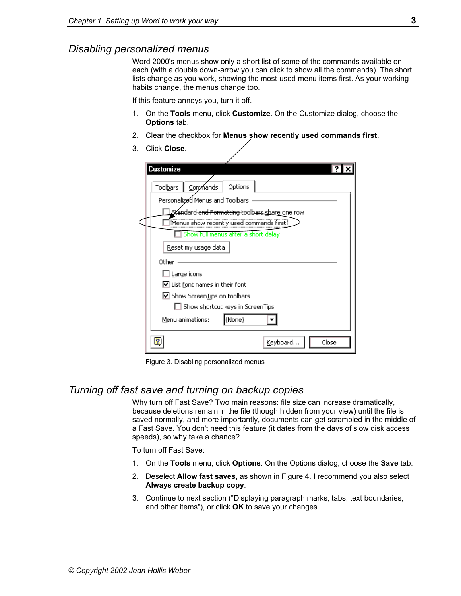# <span id="page-10-0"></span>*Disabling personalized menus*

Word 2000's menus show only a short list of some of the commands available on each (with a double down-arrow you can click to show all the commands). The short lists change as you work, showing the most-used menu items first. As your working habits change, the menus change too.

If this feature annoys you, turn it off.

- 1. On the **Tools** menu, click **Customize**. On the Customize dialog, choose the **Options** tab.
- 2. Clear the checkbox for **Menus show recently used commands first**.
- 3. Click **Close**.

| Customize                                                                                                                                                                                                                                   |  |
|---------------------------------------------------------------------------------------------------------------------------------------------------------------------------------------------------------------------------------------------|--|
| Options<br>Toolbars<br>Commands<br>Personalized Menus and Toolbars<br><b>Zandard and Formatting toolbars <u>shar</u>e one ro</b> w<br>Menus show recently used commands first<br>Show full menus after a short delay<br>Reset my usage data |  |
| Other<br>$\Box$ Large icons<br>$\boxed{\blacktriangleright}$ List font names in their font<br>$\boxed{\blacksquare}$ Show Screen Tips on toolbars                                                                                           |  |
| $\Box$ Show shortcut keys in ScreenTips<br>(None)<br>Menu animations:                                                                                                                                                                       |  |
| Keyboard<br>Close                                                                                                                                                                                                                           |  |

Figure 3. Disabling personalized menus

# <span id="page-10-1"></span>*Turning off fast save and turning on backup copies*

Why turn off Fast Save? Two main reasons: file size can increase dramatically, because deletions remain in the file (though hidden from your view) until the file is saved normally, and more importantly, documents can get scrambled in the middle of a Fast Save. You don't need this feature (it dates from the days of slow disk access speeds), so why take a chance?

To turn off Fast Save:

- 1. On the **Tools** menu, click **Options**. On the Options dialog, choose the **Save** tab.
- 2. Deselect **Allow fast saves**, as shown in [Figure 4.](#page-11-1) I recommend you also select **Always create backup copy**.
- 3. Continue to next section (["Displaying paragraph marks, tabs, text boundaries,](#page-11-0)  [and other items"](#page-11-0)), or click **OK** to save your changes.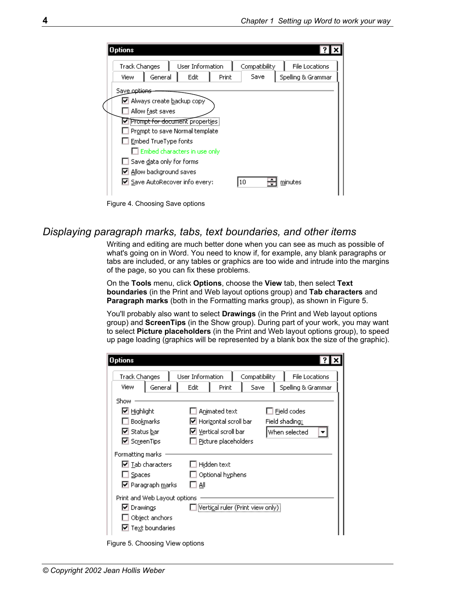| <b>Track Changes</b>     |                                                      | User Information                                                                                |       | Compatibility | <b>File Locations</b> |
|--------------------------|------------------------------------------------------|-------------------------------------------------------------------------------------------------|-------|---------------|-----------------------|
| View                     | General                                              | Edit                                                                                            | Print | Save          | Spelling & Grammar    |
| Save op <del>tions</del> | Allow fast saves<br>Embed TrueType fonts             | M Always create backup copy<br>Prompt for document properties<br>Prompt to save Normal template |       |               |                       |
|                          | Save data only for forms<br>☑ Allow background saves | Embed characters in use only<br>☑ Save AutoRecover info every:                                  |       | 10            | minutes               |

<span id="page-11-1"></span>Figure 4. Choosing Save options

# <span id="page-11-0"></span>*Displaying paragraph marks, tabs, text boundaries, and other items*

Writing and editing are much better done when you can see as much as possible of what's going on in Word. You need to know if, for example, any blank paragraphs or tabs are included, or any tables or graphics are too wide and intrude into the margins of the page, so you can fix these problems.

On the **Tools** menu, click **Options**, choose the **View** tab, then select **Text boundaries** (in the Print and Web layout options group) and **Tab characters** and **Paragraph marks** (both in the Formatting marks group), as shown in [Figure 5.](#page-11-2)

You'll probably also want to select **Drawings** (in the Print and Web layout options group) and **ScreenTips** (in the Show group). During part of your work, you may want to select **Picture placeholders** (in the Print and Web layout options group), to speed up page loading (graphics will be represented by a blank box the size of the graphic).

<span id="page-11-2"></span>

| <b>Options</b>                                                                      |                                                                                                                                             |
|-------------------------------------------------------------------------------------|---------------------------------------------------------------------------------------------------------------------------------------------|
| <b>Track Changes</b><br>View<br>General                                             | User Information<br>Compatibility<br><b>File Locations</b><br>Edit<br>Print<br>Save<br>Spelling & Grammar                                   |
| Show<br>$\boxdot$ Highlight<br>Bookmarks<br>M Status bar<br><b>☑</b> ScreenTips     | Animated text<br>Field codes<br>Ⅳ Horizontal scroll bar<br>Field shading:<br>Ⅳ Vertical scroll bar<br>When selected<br>Picture placeholders |
| Formatting marks<br>☑ <u>T</u> ab characters<br>Spaces<br>⊠ Paragraph <u>m</u> arks | Hidden text<br>Optional hyphens<br>All                                                                                                      |
| Print and Web Layout options<br>■ Drawings<br>Object anchors<br>Text boundaries     | Vertical ruler (Print view only)                                                                                                            |

Figure 5. Choosing View options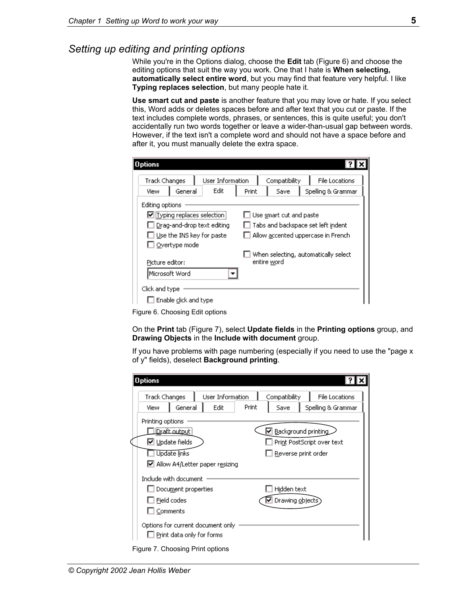# <span id="page-12-0"></span>*Setting up editing and printing options*

While you're in the Options dialog, choose the **Edit** tab ([Figure 6\)](#page-12-1) and choose the editing options that suit the way you work. One that I hate is **When selecting, automatically select entire word**, but you may find that feature very helpful. I like **Typing replaces selection**, but many people hate it.

**Use smart cut and paste** is another feature that you may love or hate. If you select this, Word adds or deletes spaces before and after text that you cut or paste. If the text includes complete words, phrases, or sentences, this is quite useful; you don't accidentally run two words together or leave a wider-than-usual gap between words. However, if the text isn't a complete word and should not have a space before and after it, you must manually delete the extra space.

<span id="page-12-1"></span>

| Options                                                             |                                                                               |  |
|---------------------------------------------------------------------|-------------------------------------------------------------------------------|--|
| User Information<br><b>Track Changes</b><br>Edit<br>General<br>View | <b>File Locations</b><br>Compatibility<br>Save<br>Spelling & Grammar<br>Print |  |
| Editing options                                                     |                                                                               |  |
| Typing replaces selection                                           | Use smart cut and paste                                                       |  |
| Drag-and-drop text editing                                          | Tabs and backspace set left indent                                            |  |
| Use the INS key for paste                                           | Allow accented uppercase in French                                            |  |
| $\Box$ Overtype mode                                                |                                                                               |  |
| Picture editor:                                                     | When selecting, automatically select<br>entire word                           |  |
| Microsoft Word                                                      |                                                                               |  |
| Click and type<br>Enable click and type                             |                                                                               |  |

Figure 6. Choosing Edit options

On the **Print** tab [\(Figure 7\)](#page-12-2), select **Update fields** in the **Printing options** group, and **Drawing Objects** in the **Include with document** group.

If you have problems with page numbering (especially if you need to use the "page x of y" fields), deselect **Background printing**.

<span id="page-12-2"></span>

| <b>Options</b>                   |                            |                                                                        |       |                   |                            |
|----------------------------------|----------------------------|------------------------------------------------------------------------|-------|-------------------|----------------------------|
| <b>Track Changes</b>             |                            | User Information                                                       |       | Compatibility     | <b>File Locations</b>      |
| View                             | General                    | Edit                                                                   | Print | Save              | Spelling & Grammar         |
| Printing options                 |                            |                                                                        |       |                   |                            |
|                                  | <b>Draft</b> output        |                                                                        |       |                   | Background printing        |
|                                  | M Update fields            |                                                                        |       |                   | Print PostScript over text |
|                                  | Update links               |                                                                        |       |                   | Reverse print order        |
|                                  |                            | M Allow A4/Letter paper resizing                                       |       |                   |                            |
| Include with document            |                            |                                                                        |       |                   |                            |
|                                  | $\Box$ Document properties |                                                                        |       | Hidden text       |                            |
|                                  | ] Field codes              |                                                                        |       | Ⅳ Drawing objects |                            |
| $\sqsupset$ Comments             |                            |                                                                        |       |                   |                            |
|                                  |                            | Options for current document only<br>$\Box$ Print data only for forms: |       |                   |                            |
| Figure 7. Choosing Print options |                            |                                                                        |       |                   |                            |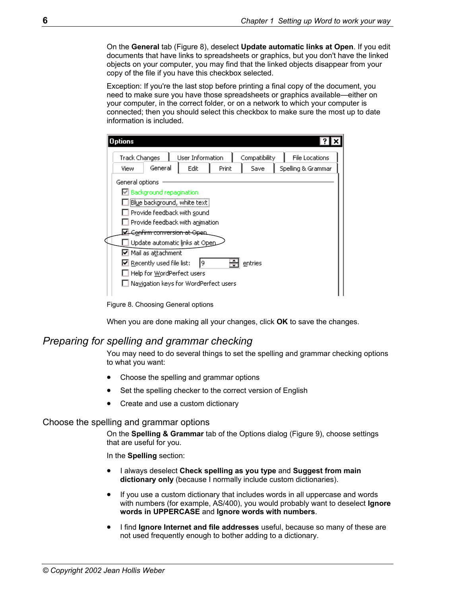On the **General** tab ([Figure 8\)](#page-13-2), deselect **Update automatic links at Open**. If you edit documents that have links to spreadsheets or graphics, but you don't have the linked objects on your computer, you may find that the linked objects disappear from your copy of the file if you have this checkbox selected.

Exception: If you're the last stop before printing a final copy of the document, you need to make sure you have those spreadsheets or graphics available—either on your computer, in the correct folder, or on a network to which your computer is connected; then you should select this checkbox to make sure the most up to date information is included.

| <b>Options</b>                                             |                                       |                  |       |               |                       |  |
|------------------------------------------------------------|---------------------------------------|------------------|-------|---------------|-----------------------|--|
| Track Changes                                              |                                       | User Information |       | Compatibility | <b>File Locations</b> |  |
| View                                                       | General                               | Edit             | Print | Save          | Spelling & Grammar    |  |
| General options                                            |                                       |                  |       |               |                       |  |
|                                                            | <b>☑</b> Background repagination      |                  |       |               |                       |  |
|                                                            | Blue background, white text           |                  |       |               |                       |  |
| Provide feedback with sound                                |                                       |                  |       |               |                       |  |
| Provide feedback with animation                            |                                       |                  |       |               |                       |  |
| Confirm conversion at Open                                 |                                       |                  |       |               |                       |  |
|                                                            | Update automatic links at Open        |                  |       |               |                       |  |
|                                                            | Mail as aṯtachment                    |                  |       |               |                       |  |
| $\triangleright$ Recently used file list:<br>19<br>entries |                                       |                  |       |               |                       |  |
|                                                            | Help for WordPerfect users            |                  |       |               |                       |  |
|                                                            | Navigation keys for WordPerfect users |                  |       |               |                       |  |
|                                                            |                                       |                  |       |               |                       |  |

<span id="page-13-2"></span>Figure 8. Choosing General options

When you are done making all your changes, click **OK** to save the changes.

# <span id="page-13-0"></span>*Preparing for spelling and grammar checking*

You may need to do several things to set the spelling and grammar checking options to what you want:

- [Choose the spelling and grammar options](#page-13-1)
- Set the spelling checker to the correct version of English
- Create and use a custom dictionary

### <span id="page-13-1"></span>Choose the spelling and grammar options

On the **Spelling & Grammar** tab of the Options dialog ([Figure 9\)](#page-14-0), choose settings that are useful for you.

In the **Spelling** section:

- I always deselect **Check spelling as you type** and **Suggest from main dictionary only** (because I normally include custom dictionaries).
- If you use a custom dictionary that includes words in all uppercase and words with numbers (for example, AS/400), you would probably want to deselect **Ignore words in UPPERCASE** and **Ignore words with numbers**.
- I find **Ignore Internet and file addresses** useful, because so many of these are not used frequently enough to bother adding to a dictionary.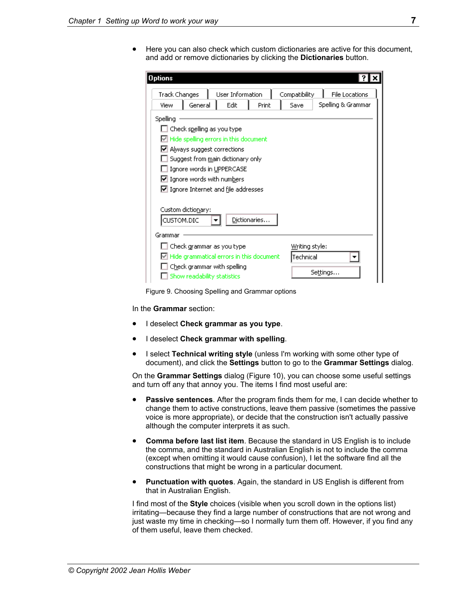• Here you can also check which custom dictionaries are active for this document, and add or remove dictionaries by clicking the **Dictionaries** button.

<span id="page-14-0"></span>

| <b>Options</b>                                                                                                                                                                                                                                                                                         |                                                                      |
|--------------------------------------------------------------------------------------------------------------------------------------------------------------------------------------------------------------------------------------------------------------------------------------------------------|----------------------------------------------------------------------|
| <b>Track Changes</b><br>User Information<br>General<br>Edit<br>Print<br>View                                                                                                                                                                                                                           | Compatibility<br><b>File Locations</b><br>Spelling & Grammar<br>Save |
| Spelling<br>Check spelling as you type<br>Hide spelling errors in this document<br>$\boxdot$ Always suggest corrections<br>Suggest from <u>m</u> ain dictionary only<br>Ignore words in UPPERCASE<br>$\triangleright$ Ignore words with numbers<br>$\triangleright$ Ignore Internet and file addresses |                                                                      |
| Custom dictionary:<br>Dictionaries<br>CUSTOM.DIC<br>Grammar                                                                                                                                                                                                                                            |                                                                      |
| Check grammar as you type<br>Hide grammatical errors in this document<br>Check grammar with spelling<br>Show readability statistics                                                                                                                                                                    | Writing style:<br>Technical<br>Settings                              |

Figure 9. Choosing Spelling and Grammar options

In the **Grammar** section:

- I deselect **Check grammar as you type**.
- I deselect **Check grammar with spelling**.
- I select **Technical writing style** (unless I'm working with some other type of document), and click the **Settings** button to go to the **Grammar Settings** dialog.

On the **Grammar Settings** dialog ([Figure 10\)](#page-15-1), you can choose some useful settings and turn off any that annoy you. The items I find most useful are:

- **Passive sentences**. After the program finds them for me, I can decide whether to change them to active constructions, leave them passive (sometimes the passive voice is more appropriate), or decide that the construction isn't actually passive although the computer interprets it as such.
- **Comma before last list item**. Because the standard in US English is to include the comma, and the standard in Australian English is not to include the comma (except when omitting it would cause confusion), I let the software find all the constructions that might be wrong in a particular document.
- **Punctuation with quotes**. Again, the standard in US English is different from that in Australian English.

I find most of the **Style** choices (visible when you scroll down in the options list) irritating—because they find a large number of constructions that are not wrong and just waste my time in checking—so I normally turn them off. However, if you find any of them useful, leave them checked.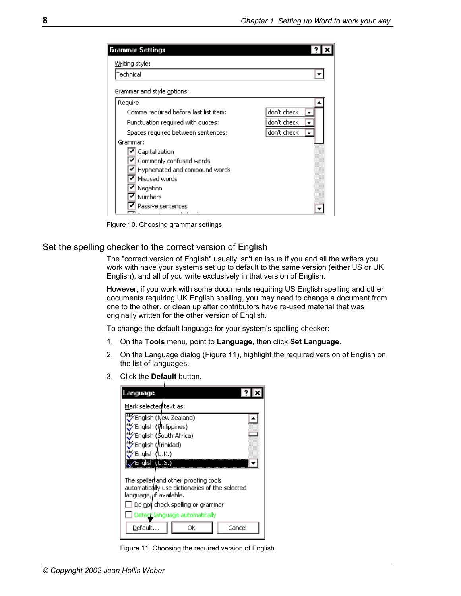<span id="page-15-1"></span>

| <b>Grammar Settings</b>               |             |
|---------------------------------------|-------------|
| Writing style:                        |             |
| Technical                             |             |
| Grammar and style options:            |             |
| Require                               |             |
| Comma required before last list item: | don't check |
| Punctuation required with quotes:     | don't check |
| Spaces required between sentences:    | don't check |
| Grammar:                              |             |
| Capitalization                        |             |
| Commonly confused words               |             |
| Hyphenated and compound words         |             |
| Misused words                         |             |
| Negation                              |             |
| <b>Numbers</b>                        |             |
| Passive sentences                     |             |
| .                                     |             |

Figure 10. Choosing grammar settings

### <span id="page-15-0"></span>Set the spelling checker to the correct version of English

The "correct version of English" usually isn't an issue if you and all the writers you work with have your systems set up to default to the same version (either US or UK English), and all of you write exclusively in that version of English.

However, if you work with some documents requiring US English spelling and other documents requiring UK English spelling, you may need to change a document from one to the other, or clean up after contributors have re-used material that was originally written for the other version of English.

To change the default language for your system's spelling checker:

- 1. On the **Tools** menu, point to **Language**, then click **Set Language**.
- 2. On the Language dialog ([Figure 11\)](#page-15-2), highlight the required version of English on the list of languages.
- 3. Click the **Default** button.

<span id="page-15-2"></span>

| .anguage                                                                                                                                                                                                            |                       |  |  |  |  |
|---------------------------------------------------------------------------------------------------------------------------------------------------------------------------------------------------------------------|-----------------------|--|--|--|--|
| Mark selected text as:                                                                                                                                                                                              |                       |  |  |  |  |
|                                                                                                                                                                                                                     | English (New Zealand) |  |  |  |  |
| English (Philippines)                                                                                                                                                                                               |                       |  |  |  |  |
| English (\$outh Africa)                                                                                                                                                                                             |                       |  |  |  |  |
|                                                                                                                                                                                                                     | English (Trinidad)    |  |  |  |  |
| English (U.K.)                                                                                                                                                                                                      |                       |  |  |  |  |
| English (U.S.)                                                                                                                                                                                                      |                       |  |  |  |  |
| The speller and other proofing tools<br>automatically use dictionaries of the selected<br>language, /if available.<br>Do not check spelling or grammar<br>Detect language automatically<br>Default…<br>Cancel<br>ОΚ |                       |  |  |  |  |

Figure 11. Choosing the required version of English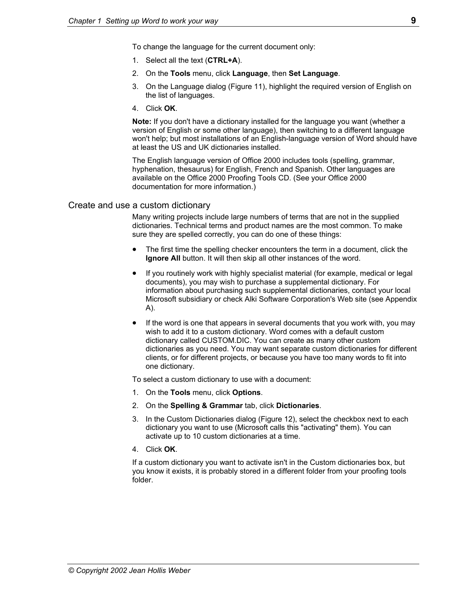To change the language for the current document only:

- 1. Select all the text (**CTRL+A**).
- 2. On the **Tools** menu, click **Language**, then **Set Language**.
- 3. On the Language dialog ([Figure 11\)](#page-15-2), highlight the required version of English on the list of languages.
- 4. Click **OK**.

**Note:** If you don't have a dictionary installed for the language you want (whether a version of English or some other language), then switching to a different language won't help; but most installations of an English-language version of Word should have at least the US and UK dictionaries installed.

The English language version of Office 2000 includes tools (spelling, grammar, hyphenation, thesaurus) for English, French and Spanish. Other languages are available on the Office 2000 Proofing Tools CD. (See your Office 2000 documentation for more information.)

### <span id="page-16-0"></span>Create and use a custom dictionary

Many writing projects include large numbers of terms that are not in the supplied dictionaries. Technical terms and product names are the most common. To make sure they are spelled correctly, you can do one of these things:

- The first time the spelling checker encounters the term in a document, click the **Ignore All** button. It will then skip all other instances of the word.
- If you routinely work with highly specialist material (for example, medical or legal documents), you may wish to purchase a supplemental dictionary. For information about purchasing such supplemental dictionaries, contact your local Microsoft subsidiary or check Alki Software Corporation's Web site (see Appendix A).
- If the word is one that appears in several documents that you work with, you may wish to add it to a custom dictionary. Word comes with a default custom dictionary called CUSTOM.DIC. You can create as many other custom dictionaries as you need. You may want separate custom dictionaries for different clients, or for different projects, or because you have too many words to fit into one dictionary.

To select a custom dictionary to use with a document:

- 1. On the **Tools** menu, click **Options**.
- 2. On the **Spelling & Grammar** tab, click **Dictionaries**.
- 3. In the Custom Dictionaries dialog [\(Figure 12\)](#page-17-0), select the checkbox next to each dictionary you want to use (Microsoft calls this "activating" them). You can activate up to 10 custom dictionaries at a time.
- 4. Click **OK**.

If a custom dictionary you want to activate isn't in the Custom dictionaries box, but you know it exists, it is probably stored in a different folder from your proofing tools folder.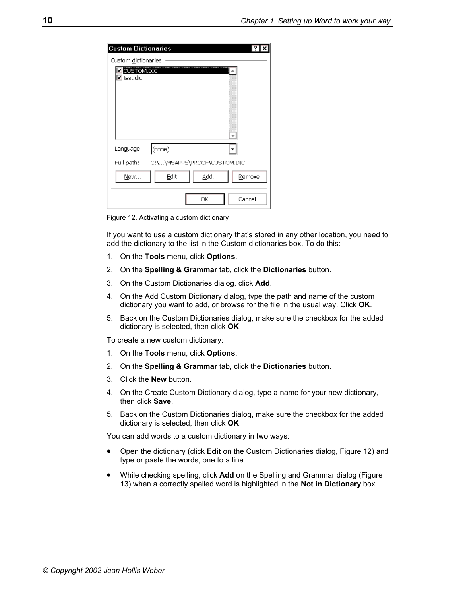<span id="page-17-0"></span>

| <b>Custom Dictionaries</b>        |                             |               |
|-----------------------------------|-----------------------------|---------------|
| Custom dictionaries               |                             |               |
| <b>ZECUSTOM.DIC</b><br>☑ test.dic |                             |               |
| Language:                         | (none)                      |               |
| Full path:                        | C:\\MSAPPS\PROOF\CUSTOM.DIC |               |
| New                               | Edit                        | Add<br>Remove |
|                                   |                             | ОК<br>Cancel  |

Figure 12. Activating a custom dictionary

If you want to use a custom dictionary that's stored in any other location, you need to add the dictionary to the list in the Custom dictionaries box. To do this:

- 1. On the **Tools** menu, click **Options**.
- 2. On the **Spelling & Grammar** tab, click the **Dictionaries** button.
- 3. On the Custom Dictionaries dialog, click **Add**.
- 4. On the Add Custom Dictionary dialog, type the path and name of the custom dictionary you want to add, or browse for the file in the usual way. Click **OK**.
- 5. Back on the Custom Dictionaries dialog, make sure the checkbox for the added dictionary is selected, then click **OK**.

To create a new custom dictionary:

- 1. On the **Tools** menu, click **Options**.
- 2. On the **Spelling & Grammar** tab, click the **Dictionaries** button.
- 3. Click the **New** button.
- 4. On the Create Custom Dictionary dialog, type a name for your new dictionary, then click **Save**.
- 5. Back on the Custom Dictionaries dialog, make sure the checkbox for the added dictionary is selected, then click **OK**.

You can add words to a custom dictionary in two ways:

- Open the dictionary (click **Edit** on the Custom Dictionaries dialog, [Figure 12\)](#page-17-0) and type or paste the words, one to a line.
- While checking spelling, click **Add** on the Spelling and Grammar dialog ([Figure](#page-18-1)  13[\)](#page-18-1) when a correctly spelled word is highlighted in the **Not in Dictionary** box.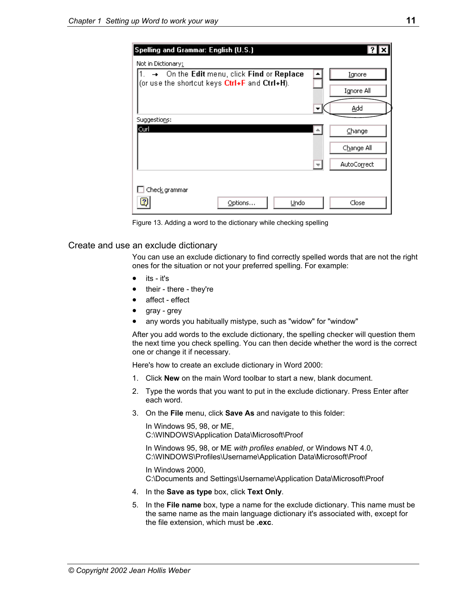| Spelling and Grammar: English (U.S.)                                |                                                                    |                                     |
|---------------------------------------------------------------------|--------------------------------------------------------------------|-------------------------------------|
| Not in Dictionary:<br>(or use the shortcut keys Ctrl+F and Ctrl+H). | $ 1. \rightarrow \emptyset$ n the Edit menu, click Find or Replace | Ignore<br>Ignore All<br>Add         |
| Suggestions:<br>Curl                                                |                                                                    | Change<br>Change All<br>AutoCorrect |
| Check grammar<br>2                                                  | Undo<br>Options                                                    | Close                               |

<span id="page-18-1"></span>Figure 13. Adding a word to the dictionary while checking spelling

### <span id="page-18-0"></span>Create and use an exclude dictionary

You can use an exclude dictionary to find correctly spelled words that are not the right ones for the situation or not your preferred spelling. For example:

- its it's
- their there they're
- affect effect
- gray grey
- any words you habitually mistype, such as "widow" for "window"

After you add words to the exclude dictionary, the spelling checker will question them the next time you check spelling. You can then decide whether the word is the correct one or change it if necessary.

Here's how to create an exclude dictionary in Word 2000:

- 1. Click **New** on the main Word toolbar to start a new, blank document.
- 2. Type the words that you want to put in the exclude dictionary. Press Enter after each word.
- 3. On the **File** menu, click **Save As** and navigate to this folder:

 In Windows 95, 98, or ME, C:\WINDOWS\Application Data\Microsoft\Proof

 In Windows 95, 98, or ME *with profiles enabled*, or Windows NT 4.0, C:\WINDOWS\Profiles\Username\Application Data\Microsoft\Proof

 In Windows 2000, C:\Documents and Settings\Username\Application Data\Microsoft\Proof

- 4. In the **Save as type** box, click **Text Only**.
- 5. In the **File name** box, type a name for the exclude dictionary. This name must be the same name as the main language dictionary it's associated with, except for the file extension, which must be **.exc**.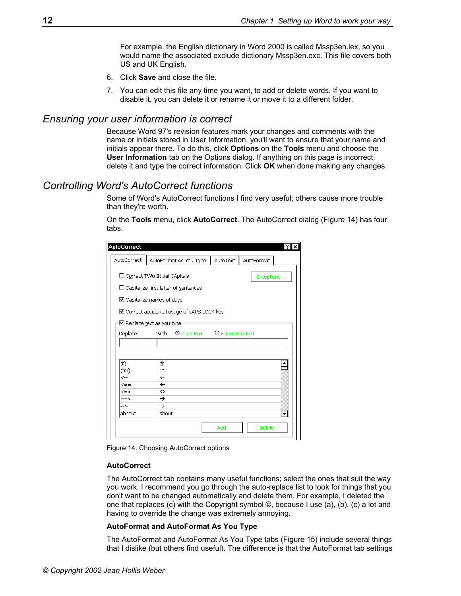For example, the English dictionary in Word 2000 is called Mssp3en.lex, so you would name the associated exclude dictionary Mssp3en.exc. This file covers both US and UK English.

- 6. Click **Save** and close the file.
- 7. You can edit this file any time you want, to add or delete words. If you want to disable it, you can delete it or rename it or move it to a different folder.

### <span id="page-19-0"></span>*Ensuring your user information is correct*

Because Word 97's revision features mark your changes and comments with the name or initials stored in User Information, you'll want to ensure that your name and initials appear there. To do this, click **Options** on the **Tools** menu and choose the **User Information** tab on the Options dialog. If anything on this page is incorrect, delete it and type the correct information. Click **OK** when done making any changes.

# <span id="page-19-1"></span>*Controlling Word's AutoCorrect functions*

Some of Word's AutoCorrect functions I find very useful; others cause more trouble than they're worth.

On the **Tools** menu, click **AutoCorrect**. The AutoCorrect dialog [\(Figure 14\)](#page-19-2) has four tabs.

<span id="page-19-2"></span>

| <b>AutoCorrect</b>                          |                                             |          | ?          |  |
|---------------------------------------------|---------------------------------------------|----------|------------|--|
| AutoCorrect                                 | AutoFormat As You Type                      | AutoText | AutoFormat |  |
|                                             | □ Correct TWo INitial CApitals              |          | Exceptions |  |
| $\Box$ Capitalize first letter of sentences |                                             |          |            |  |
|                                             | ☑ Capitalize names of days                  |          |            |  |
|                                             | ■ Correct accidental usage of cAPS LOCK key |          |            |  |
|                                             | Meplace text as you type                    |          |            |  |
| Replace:                                    | With: O Plain text O Formatted text         |          |            |  |
|                                             |                                             |          |            |  |
|                                             |                                             |          |            |  |
|                                             |                                             |          |            |  |
| (r)                                         | ®                                           |          |            |  |
| (tm)                                        | TМ                                          |          |            |  |
| <--                                         | $\leftarrow$                                |          |            |  |
| <==                                         | ←                                           |          |            |  |
| $\leq$ =>                                   | ⇔                                           |          |            |  |
| $==>$                                       | →                                           |          |            |  |
| -->                                         | $\rightarrow$                               |          |            |  |
| labbout                                     | about                                       |          | ٠          |  |



### **AutoCorrect**

The AutoCorrect tab contains many useful functions; select the ones that suit the way you work. I recommend you go through the auto-replace list to look for things that you don't want to be changed automatically and delete them. For example, I deleted the one that replaces (c) with the Copyright symbol ©, because I use (a), (b), (c) a lot and having to override the change was extremely annoying.

### **AutoFormat and AutoFormat As You Type**

The AutoFormat and AutoFormat As You Type tabs [\(Figure 15\)](#page-20-1) include several things that I dislike (but others find useful). The difference is that the AutoFormat tab settings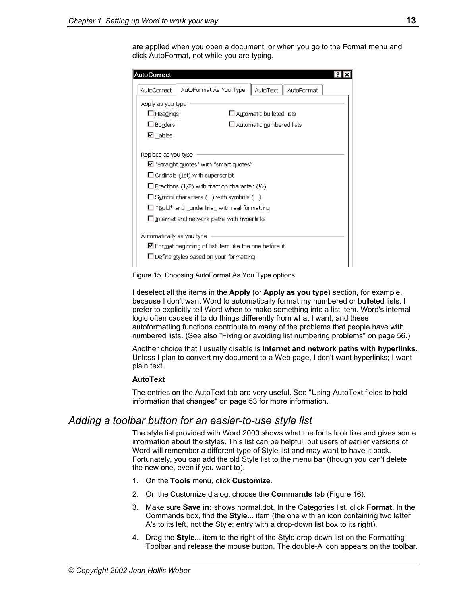are applied when you open a document, or when you go to the Format menu and click AutoFormat, not while you are typing.

<span id="page-20-1"></span>

| $\blacksquare$ "Straight guotes" with "smart quotes" |  |  |  |  |
|------------------------------------------------------|--|--|--|--|
| $\Box$ Ordinals (1st) with superscript               |  |  |  |  |
| $\Box$ Fractions (1/2) with fraction character (1/2) |  |  |  |  |
| $\Box$ Symbol characters (--) with symbols (--)      |  |  |  |  |
| $\Box$ *Bold* and _underline_ with real formatting   |  |  |  |  |
|                                                      |  |  |  |  |
|                                                      |  |  |  |  |
|                                                      |  |  |  |  |
|                                                      |  |  |  |  |
|                                                      |  |  |  |  |
|                                                      |  |  |  |  |

Figure 15. Choosing AutoFormat As You Type options

I deselect all the items in the **Apply** (or **Apply as you type**) section, for example, because I don't want Word to automatically format my numbered or bulleted lists. I prefer to explicitly tell Word when to make something into a list item. Word's internal logic often causes it to do things differently from what I want, and these autoformatting functions contribute to many of the problems that people have with numbered lists. (See also "[Fixing or avoiding list numbering problems"](#page-63-1) on page [56.](#page-63-1))

Another choice that I usually disable is **Internet and network paths with hyperlinks**. Unless I plan to convert my document to a Web page, I don't want hyperlinks; I want plain text.

### **AutoText**

The entries on the AutoText tab are very useful. See "[Using AutoText fields to hold](#page-60-0)  [information that changes"](#page-60-0) on page [53](#page-60-0) for more information.

# <span id="page-20-0"></span>*Adding a toolbar button for an easier-to-use style list*

The style list provided with Word 2000 shows what the fonts look like and gives some information about the styles. This list can be helpful, but users of earlier versions of Word will remember a different type of Style list and may want to have it back. Fortunately, you can add the old Style list to the menu bar (though you can't delete the new one, even if you want to).

- 1. On the **Tools** menu, click **Customize**.
- 2. On the Customize dialog, choose the **Commands** tab [\(Figure 16\)](#page-21-1).
- 3. Make sure **Save in:** shows normal.dot. In the Categories list, click **Format**. In the Commands box, find the **Style...** item (the one with an icon containing two letter A's to its left, not the Style: entry with a drop-down list box to its right).
- 4. Drag the **Style...** item to the right of the Style drop-down list on the Formatting Toolbar and release the mouse button. The double-A icon appears on the toolbar.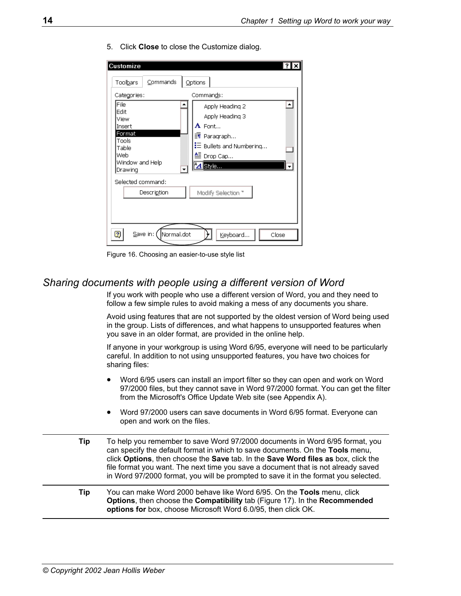| Customize<br>Commands<br>Toolbars                                                                              | Options                                                                                                                                                       |
|----------------------------------------------------------------------------------------------------------------|---------------------------------------------------------------------------------------------------------------------------------------------------------------|
| Categories:<br>File<br>Edit<br>View<br>Insert<br>Format<br>Tools<br>Table<br>Web<br>Window and Help<br>Drawing | Commands:<br>▲<br>Apply Heading 2<br>Apply Heading 3<br>$A$ Font<br>- Paragraph<br>$\mathrel{\mathop:}=$ Bullets and Numbering<br>鱼 Drop Cap…<br>$^4$ 4 Style |
| Selected command:<br>Description<br>Normal.dot<br>2<br>$S$ ave in: (                                           | Modify Selection "<br>Keyboard<br>Close                                                                                                                       |

5. Click **Close** to close the Customize dialog.

<span id="page-21-1"></span>Figure 16. Choosing an easier-to-use style list

# <span id="page-21-0"></span>*Sharing documents with people using a different version of Word*

If you work with people who use a different version of Word, you and they need to follow a few simple rules to avoid making a mess of any documents you share.

Avoid using features that are not supported by the oldest version of Word being used in the group. Lists of differences, and what happens to unsupported features when you save in an older format, are provided in the online help.

If anyone in your workgroup is using Word 6/95, everyone will need to be particularly careful. In addition to not using unsupported features, you have two choices for sharing files:

- Word 6/95 users can install an import filter so they can open and work on Word 97/2000 files, but they cannot save in Word 97/2000 format. You can get the filter from the Microsoft's Office Update Web site (see Appendix A).
- Word 97/2000 users can save documents in Word 6/95 format. Everyone can open and work on the files.
- **Tip** To help you remember to save Word 97/2000 documents in Word 6/95 format, you can specify the default format in which to save documents. On the **Tools** menu, click **Options**, then choose the **Save** tab. In the **Save Word files as** box, click the file format you want. The next time you save a document that is not already saved in Word 97/2000 format, you will be prompted to save it in the format you selected.
- **Tip** You can make Word 2000 behave like Word 6/95. On the **Tools** menu, click **Options**, then choose the **Compatibility** tab [\(Figure 17\)](#page-22-1). In the **Recommended options for** box, choose Microsoft Word 6.0/95, then click OK.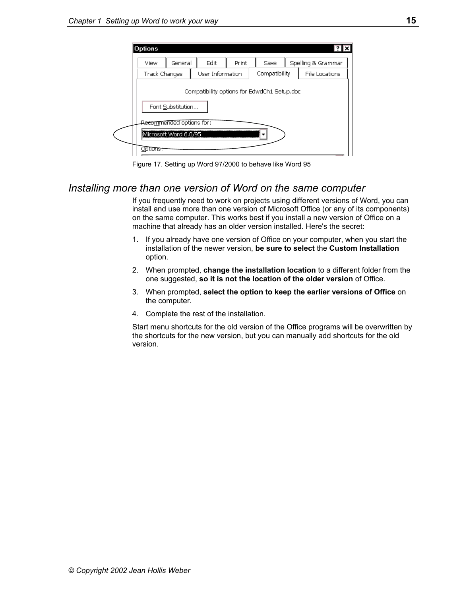| View                                                                  | General | Edit             | Print | Save          | Spelling & Grammar |
|-----------------------------------------------------------------------|---------|------------------|-------|---------------|--------------------|
| <b>Track Changes</b>                                                  |         | User Information |       | Compatibility | File Locations     |
| Compatibility options for EdwdCh1 Setup.doc<br>Font Substitution      |         |                  |       |               |                    |
| Re <del>co<u>m</u>mended options for :</del><br>Microsoft Word 6.0/95 |         |                  |       |               |                    |

<span id="page-22-1"></span>Figure 17. Setting up Word 97/2000 to behave like Word 95

# <span id="page-22-0"></span>*Installing more than one version of Word on the same computer*

If you frequently need to work on projects using different versions of Word, you can install and use more than one version of Microsoft Office (or any of its components) on the same computer. This works best if you install a new version of Office on a machine that already has an older version installed. Here's the secret:

- 1. If you already have one version of Office on your computer, when you start the installation of the newer version, **be sure to select** the **Custom Installation**  option.
- 2. When prompted, **change the installation location** to a different folder from the one suggested, **so it is not the location of the older version** of Office.
- 3. When prompted, **select the option to keep the earlier versions of Office** on the computer.
- 4. Complete the rest of the installation.

Start menu shortcuts for the old version of the Office programs will be overwritten by the shortcuts for the new version, but you can manually add shortcuts for the old version.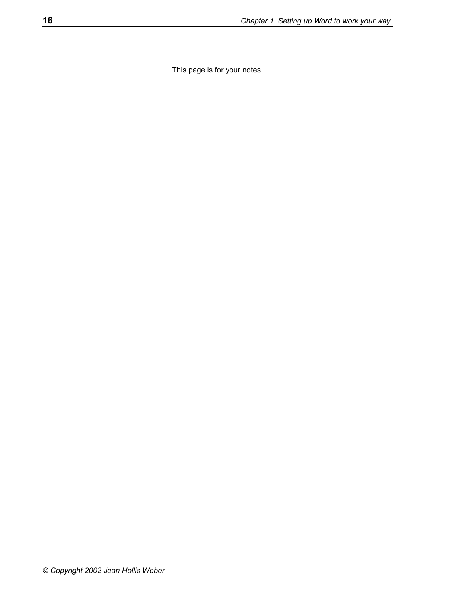This page is for your notes.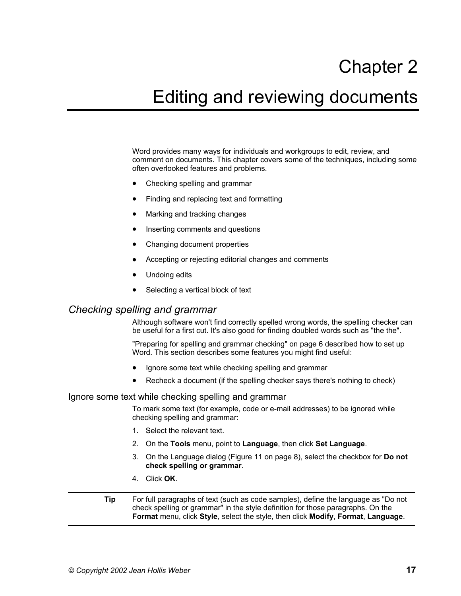# Chapter 2

# <span id="page-24-0"></span>Editing and reviewing documents

Word provides many ways for individuals and workgroups to edit, review, and comment on documents. This chapter covers some of the techniques, including some often overlooked features and problems.

- [Checking spelling and grammar](#page-24-1)
- [Finding and replacing text and formatting](#page-25-1)
- Marking and tracking changes
- [Inserting comments and questions](#page-31-0)
- [Changing document properties](#page-32-0)
- [Accepting or rejecting editorial changes and comments](#page-32-1)
- Undoing edits
- Selecting a vertical block of text

### <span id="page-24-1"></span>*Checking spelling and grammar*

Although software won't find correctly spelled wrong words, the spelling checker can be useful for a first cut. It's also good for finding doubled words such as "the the".

["Preparing for spelling and grammar checking"](#page-13-0) on page [6](#page-13-0) described how to set up Word. This section describes some features you might find useful:

- [Ignore some text while checking spelling and grammar](#page-24-2)
- [Recheck a document](#page-25-0) (if the spelling checker says there's nothing to check)

### <span id="page-24-2"></span>Ignore some text while checking spelling and grammar

To mark some text (for example, code or e-mail addresses) to be ignored while checking spelling and grammar:

- 1. Select the relevant text.
- 2. On the **Tools** menu, point to **Language**, then click **Set Language**.
- 3. On the Language dialog ([Figure 11](#page-15-2) on page [8\)](#page-15-2), select the checkbox for **Do not check spelling or grammar**.
- 4. Click **OK**.
- **Tip** For full paragraphs of text (such as code samples), define the language as "Do not check spelling or grammar" in the style definition for those paragraphs. On the **Format** menu, click **Style**, select the style, then click **Modify**, **Format**, **Language**.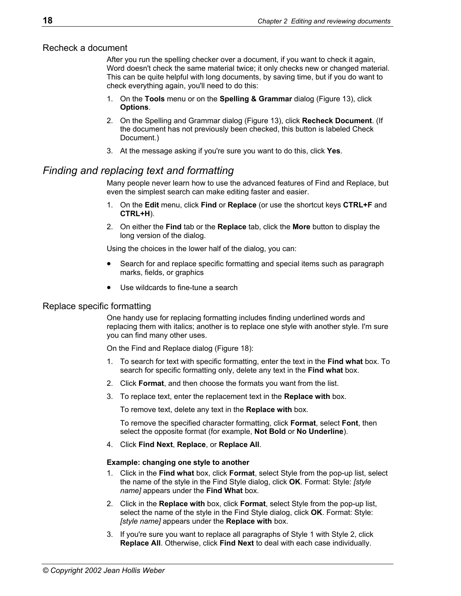### <span id="page-25-0"></span>Recheck a document

After you run the spelling checker over a document, if you want to check it again, Word doesn't check the same material twice; it only checks new or changed material. This can be quite helpful with long documents, by saving time, but if you do want to check everything again, you'll need to do this:

- 1. On the **Tools** menu or on the **Spelling & Grammar** dialog (Figure 13), click **Options**.
- 2. On the Spelling and Grammar dialog (Figure 13), click **Recheck Document**. (If the document has not previously been checked, this button is labeled Check Document.)
- 3. At the message asking if you're sure you want to do this, click **Yes**.

# <span id="page-25-1"></span>*Finding and replacing text and formatting*

Many people never learn how to use the advanced features of Find and Replace, but even the simplest search can make editing faster and easier.

- 1. On the **Edit** menu, click **Find** or **Replace** (or use the shortcut keys **CTRL+F** and **CTRL+H**).
- 2. On either the **Find** tab or the **Replace** tab, click the **More** button to display the long version of the dialog.

Using the choices in the lower half of the dialog, you can:

- Search for and replace specific formatting and special items such as paragraph marks, fields, or graphics
- Use wildcards to fine-tune a search

### <span id="page-25-2"></span>Replace specific formatting

One handy use for replacing formatting includes finding underlined words and replacing them with italics; another is to replace one style with another style. I'm sure you can find many other uses.

On the Find and Replace dialog ([Figure 18\)](#page-26-2):

- 1. To search for text with specific formatting, enter the text in the **Find what** box. To search for specific formatting only, delete any text in the **Find what** box.
- 2. Click **Format**, and then choose the formats you want from the list.
- 3. To replace text, enter the replacement text in the **Replace with** box.

To remove text, delete any text in the **Replace with** box.

To remove the specified character formatting, click **Format**, select **Font**, then select the opposite format (for example, **Not Bold** or **No Underline**).

4. Click **Find Next**, **Replace**, or **Replace All**.

### **Example: changing one style to another**

- 1. Click in the **Find what** box, click **Format**, select Style from the pop-up list, select the name of the style in the Find Style dialog, click **OK**. Format: Style: *[style name]* appears under the **Find What** box.
- 2. Click in the **Replace with** box, click **Format**, select Style from the pop-up list, select the name of the style in the Find Style dialog, click **OK**. Format: Style: *[style name]* appears under the **Replace with** box.
- 3. If you're sure you want to replace all paragraphs of Style 1 with Style 2, click **Replace All**. Otherwise, click **Find Next** to deal with each case individually.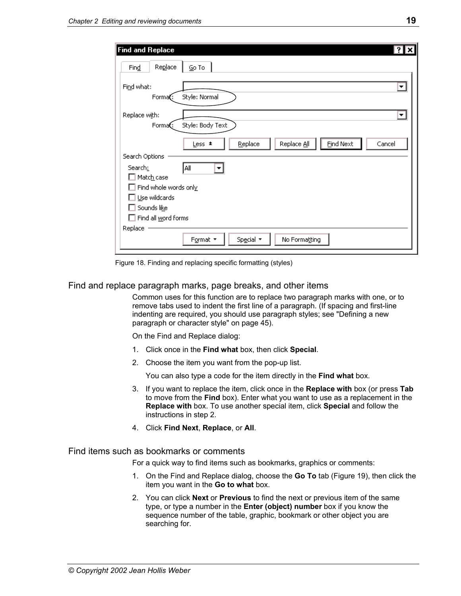| Find and Replace                                                   |
|--------------------------------------------------------------------|
| Replace<br>$Go$ To<br>Find                                         |
| Find what:<br>▼<br>Style: Normal<br>Forma <b>C</b> :               |
| Replace with:<br>Style: Body Text<br>Format:                       |
| <b>Find Next</b><br>Replace All<br>Replace<br>Cancel<br>Less $\pm$ |
| Search Options<br>All<br>Search:<br>Match case                     |
| Find whole words only                                              |
| Use wildcards                                                      |
| Sounds like                                                        |
| Find all word forms                                                |
| Replace<br>Special *<br>No Formatting<br>Format *                  |

<span id="page-26-2"></span>Figure 18. Finding and replacing specific formatting (styles)

### <span id="page-26-0"></span>Find and replace paragraph marks, page breaks, and other items

Common uses for this function are to replace two paragraph marks with one, or to remove tabs used to indent the first line of a paragraph. (If spacing and first-line indenting are required, you should use paragraph styles; see "[Defining a new](#page-52-0)  [paragraph or character style"](#page-52-0) on page [45\)](#page-52-0).

On the Find and Replace dialog:

- 1. Click once in the **Find what** box, then click **Special**.
- 2. Choose the item you want from the pop-up list.

You can also type a code for the item directly in the **Find what** box.

- 3. If you want to replace the item, click once in the **Replace with** box (or press **Tab**  to move from the **Find** box). Enter what you want to use as a replacement in the **Replace with** box. To use another special item, click **Special** and follow the instructions in step 2.
- 4. Click **Find Next**, **Replace**, or **All**.

### <span id="page-26-1"></span>Find items such as bookmarks or comments

For a quick way to find items such as bookmarks, graphics or comments:

- 1. On the Find and Replace dialog, choose the **Go To** tab [\(Figure 19\)](#page-27-1), then click the item you want in the **Go to what** box.
- 2. You can click **Next** or **Previous** to find the next or previous item of the same type, or type a number in the **Enter (object) number** box if you know the sequence number of the table, graphic, bookmark or other object you are searching for.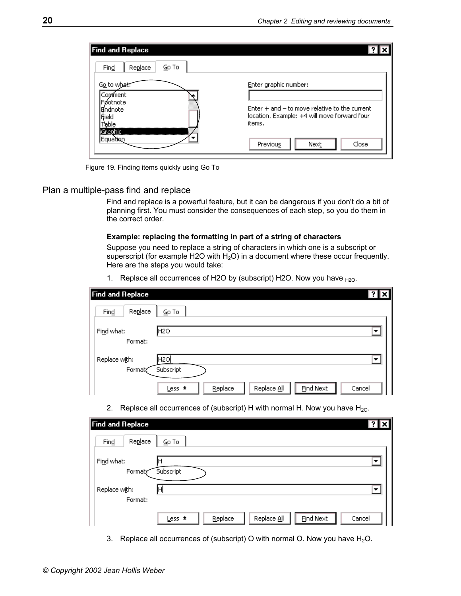| <b>Find and Replace</b>                                                           |                                                                                                                                  |
|-----------------------------------------------------------------------------------|----------------------------------------------------------------------------------------------------------------------------------|
| Go To<br>Find<br>Replace                                                          |                                                                                                                                  |
| Go to what<br>Comment<br>Føotnote<br>Endnote<br>Field<br>`able<br><b>SGraphic</b> | Enter graphic number:<br>Enter + and - to move relative to the current<br>location. Example: +4 will move forward four<br>items. |
| Equation                                                                          | Close<br>Previous<br>Next                                                                                                        |

<span id="page-27-1"></span>Figure 19. Finding items quickly using Go To

### <span id="page-27-0"></span>Plan a multiple-pass find and replace

Find and replace is a powerful feature, but it can be dangerous if you don't do a bit of planning first. You must consider the consequences of each step, so you do them in the correct order.

#### **Example: replacing the formatting in part of a string of characters**

Suppose you need to replace a string of characters in which one is a subscript or superscript (for example H2O with  $H_2O$ ) in a document where these occur frequently. Here are the steps you would take:

1. Replace all occurrences of H2O by (subscript) H2O. Now you have  $_{H2O}$ .

| <b>Find and Replace</b>  |                                                      | ? x    |
|--------------------------|------------------------------------------------------|--------|
| Replace<br>Find          | $Go$ To                                              |        |
| Find what:<br>Format:    | H <sub>20</sub>                                      |        |
| Replace with:<br>Format, | H2O <br>Subscript                                    | ▾      |
|                          | <b>Find Next</b><br>Replace<br>Replace All<br>$Les*$ | Cancel |

2. Replace all occurrences of (subscript) H with normal H. Now you have  $H_{2O}$ .

| <b>Find and Replace</b>                                        | <b>? x</b> |
|----------------------------------------------------------------|------------|
| Replace<br>$Go$ To<br>Find                                     |            |
| Find what:<br>Subscript<br>Formaty                             | ▼          |
| Replace with:<br>ŀН<br>Format:                                 |            |
| <b>Find Next</b><br>Replace<br>Replace All<br>Cancel<br>$Les*$ |            |

3. Replace all occurrences of (subscript) O with normal O. Now you have  $H_2O$ .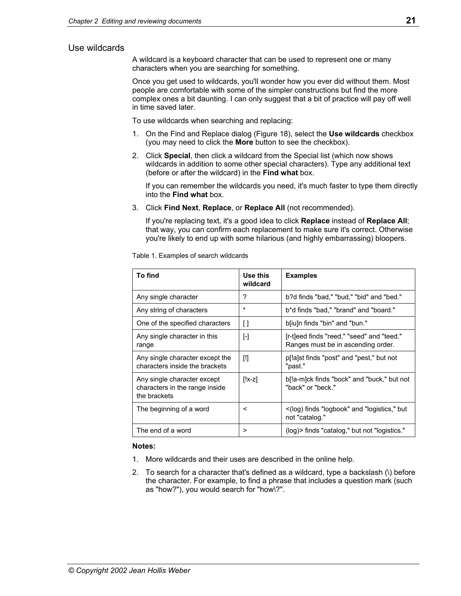### <span id="page-28-0"></span>Use wildcards

A wildcard is a keyboard character that can be used to represent one or many characters when you are searching for something.

Once you get used to wildcards, you'll wonder how you ever did without them. Most people are comfortable with some of the simpler constructions but find the more complex ones a bit daunting. I can only suggest that a bit of practice will pay off well in time saved later.

To use wildcards when searching and replacing:

- 1. On the Find and Replace dialog ([Figure 18\)](#page-26-2), select the **Use wildcards** checkbox (you may need to click the **More** button to see the checkbox).
- 2. Click **Special**, then click a wildcard from the Special list (which now shows wildcards in addition to some other special characters). Type any additional text (before or after the wildcard) in the **Find what** box.

If you can remember the wildcards you need, it's much faster to type them directly into the **Find what** box.

3. Click **Find Next**, **Replace**, or **Replace All** (not recommended).

If you're replacing text, it's a good idea to click **Replace** instead of **Replace All**; that way, you can confirm each replacement to make sure it's correct. Otherwise you're likely to end up with some hilarious (and highly embarrassing) bloopers.

| To find                                                                       | Use this<br>wildcard | <b>Examples</b>                                                                 |
|-------------------------------------------------------------------------------|----------------------|---------------------------------------------------------------------------------|
| Any single character                                                          | ?                    | b?d finds "bad," "bud," "bid" and "bed."                                        |
| Any string of characters                                                      | $\star$              | b*d finds "bad," "brand" and "board."                                           |
| One of the specified characters                                               | $\mathfrak{g}$       | b[iu]n finds "bin" and "bun."                                                   |
| Any single character in this<br>range                                         | $[\cdot]$            | [r-t]eed finds "reed," "seed" and "teed."<br>Ranges must be in ascending order. |
| Any single character except the<br>characters inside the brackets             | $[]$                 | p[!a]st finds "post" and "pest," but not<br>"past."                             |
| Any single character except<br>characters in the range inside<br>the brackets | $[!x-z]$             | b[!a-m]ck finds "bock" and "buck," but not<br>"back" or "beck."                 |
| The beginning of a word                                                       | <                    | <(log) finds "logbook" and "logistics," but<br>not "catalog."                   |
| The end of a word                                                             | >                    | (log) > finds "catalog," but not "logistics."                                   |

Table 1. Examples of search wildcards

#### **Notes:**

- 1. More wildcards and their uses are described in the online help.
- 2. To search for a character that's defined as a wildcard, type a backslash (\) before the character. For example, to find a phrase that includes a question mark (such as "how?"), you would search for "how\?".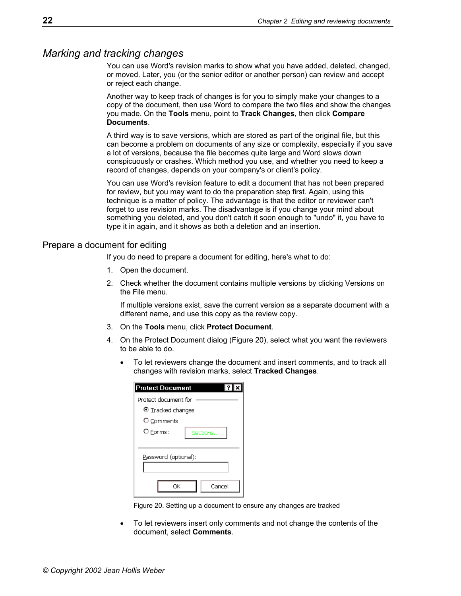### <span id="page-29-0"></span>*Marking and tracking changes*

You can use Word's revision marks to show what you have added, deleted, changed, or moved. Later, you (or the senior editor or another person) can review and accept or reject each change.

Another way to keep track of changes is for you to simply make your changes to a copy of the document, then use Word to compare the two files and show the changes you made. On the **Tools** menu, point to **Track Changes**, then click **Compare Documents**.

A third way is to save versions, which are stored as part of the original file, but this can become a problem on documents of any size or complexity, especially if you save a lot of versions, because the file becomes quite large and Word slows down conspicuously or crashes. Which method you use, and whether you need to keep a record of changes, depends on your company's or client's policy.

You can use Word's revision feature to edit a document that has not been prepared for review, but you may want to do the preparation step first. Again, using this technique is a matter of policy. The advantage is that the editor or reviewer can't forget to use revision marks. The disadvantage is if you change your mind about something you deleted, and you don't catch it soon enough to "undo" it, you have to type it in again, and it shows as both a deletion and an insertion.

### <span id="page-29-1"></span>Prepare a document for editing

If you do need to prepare a document for editing, here's what to do:

- 1. Open the document.
- 2. Check whether the document contains multiple versions by clicking Versions on the File menu.

If multiple versions exist, save the current version as a separate document with a different name, and use this copy as the review copy.

- 3. On the **Tools** menu, click **Protect Document**.
- 4. On the Protect Document dialog [\(Figure 20\)](#page-29-2), select what you want the reviewers to be able to do.
	- To let reviewers change the document and insert comments, and to track all changes with revision marks, select **Tracked Changes**.

<span id="page-29-2"></span>

| <b>Protect Document</b> |
|-------------------------|
| Protect document for    |
| $\odot$ Tracked changes |
| O Comments              |
| O Forms:<br>Sections    |
|                         |
| Password (optional):    |
|                         |
|                         |
| Cancel<br>ΩK            |

Figure 20. Setting up a document to ensure any changes are tracked

• To let reviewers insert only comments and not change the contents of the document, select **Comments**.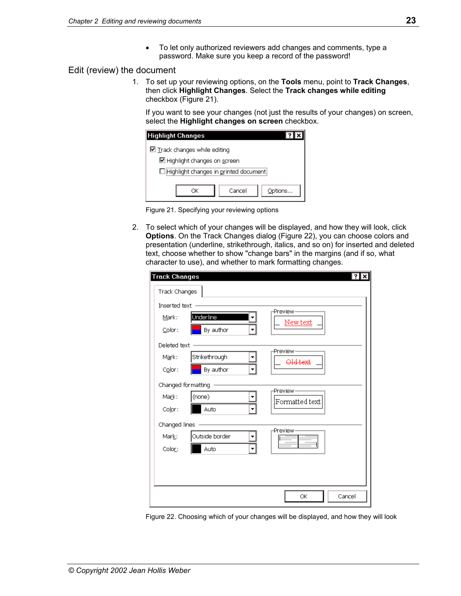• To let only authorized reviewers add changes and comments, type a password. Make sure you keep a record of the password!

### <span id="page-30-0"></span>Edit (review) the document

1. To set up your reviewing options, on the **Tools** menu, point to **Track Changes**, then click **Highlight Changes**. Select the **Track changes while editing**  checkbox ([Figure 21\)](#page-30-1).

If you want to see your changes (not just the results of your changes) on screen, select the **Highlight changes on screen** checkbox.

<span id="page-30-1"></span>

| Highlight Changes                     |        |         |
|---------------------------------------|--------|---------|
| $\boxdot$ Track changes while editing |        |         |
| ■ Highlight changes on screen         |        |         |
| Highlight changes in printed document |        |         |
|                                       |        |         |
|                                       | Cancel | Options |
|                                       |        |         |



2. To select which of your changes will be displayed, and how they will look, click **Options**. On the Track Changes dialog ([Figure 22\)](#page-30-2), you can choose colors and presentation (underline, strikethrough, italics, and so on) for inserted and deleted text, choose whether to show "change bars" in the margins (and if so, what character to use), and whether to mark formatting changes.

<span id="page-30-2"></span>

| Track Changes                              | $\overline{?}$<br>×   |
|--------------------------------------------|-----------------------|
| Track Changes                              |                       |
| Inserted text                              | -Preview-             |
| Underline<br>Mark:                         | New text              |
| By author<br>Color:<br>٠                   |                       |
| Deleted text                               |                       |
| Strikethrough<br>M <u>a</u> rk:            | -Preview-<br>Old text |
| By author<br>Color:<br>٠                   |                       |
| Changed formatting -                       | Preview-              |
| (none)<br>Ma <u>r</u> k:                   | Formatted text        |
| Auto<br>Color:                             |                       |
| Changed lines                              |                       |
| Outside border<br>Mark:                    | -Preview-             |
| Auto<br>$\overline{\phantom{a}}$<br>Color: |                       |
|                                            |                       |
|                                            |                       |
|                                            | Cancel<br>ОК          |
|                                            |                       |

Figure 22. Choosing which of your changes will be displayed, and how they will look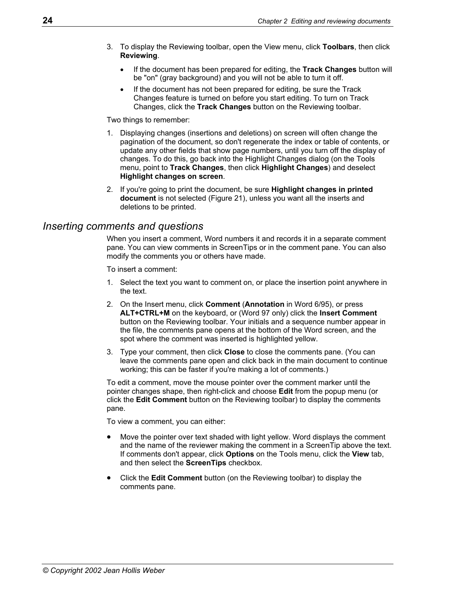- 3. To display the Reviewing toolbar, open the View menu, click **Toolbars**, then click **Reviewing**.
	- If the document has been prepared for editing, the **Track Changes** button will be "on" (gray background) and you will not be able to turn it off.
	- If the document has not been prepared for editing, be sure the Track Changes feature is turned on before you start editing. To turn on Track Changes, click the **Track Changes** button on the Reviewing toolbar.

Two things to remember:

- 1. Displaying changes (insertions and deletions) on screen will often change the pagination of the document, so don't regenerate the index or table of contents, or update any other fields that show page numbers, until you turn off the display of changes. To do this, go back into the Highlight Changes dialog (on the Tools menu, point to **Track Changes**, then click **Highlight Changes**) and deselect **Highlight changes on screen**.
- 2. If you're going to print the document, be sure **Highlight changes in printed document** is not selected [\(Figure 21\)](#page-30-1), unless you want all the inserts and deletions to be printed.

### <span id="page-31-0"></span>*Inserting comments and questions*

When you insert a comment, Word numbers it and records it in a separate comment pane. You can view comments in ScreenTips or in the comment pane. You can also modify the comments you or others have made.

To insert a comment:

- 1. Select the text you want to comment on, or place the insertion point anywhere in the text.
- 2. On the Insert menu, click **Comment** (**Annotation** in Word 6/95), or press **ALT+CTRL+M** on the keyboard, or (Word 97 only) click the **Insert Comment**  button on the Reviewing toolbar. Your initials and a sequence number appear in the file, the comments pane opens at the bottom of the Word screen, and the spot where the comment was inserted is highlighted yellow.
- 3. Type your comment, then click **Close** to close the comments pane. (You can leave the comments pane open and click back in the main document to continue working; this can be faster if you're making a lot of comments.)

To edit a comment, move the mouse pointer over the comment marker until the pointer changes shape, then right-click and choose **Edit** from the popup menu (or click the **Edit Comment** button on the Reviewing toolbar) to display the comments pane.

To view a comment, you can either:

- Move the pointer over text shaded with light yellow. Word displays the comment and the name of the reviewer making the comment in a ScreenTip above the text. If comments don't appear, click **Options** on the Tools menu, click the **View** tab, and then select the **ScreenTips** checkbox.
- Click the **Edit Comment** button (on the Reviewing toolbar) to display the comments pane.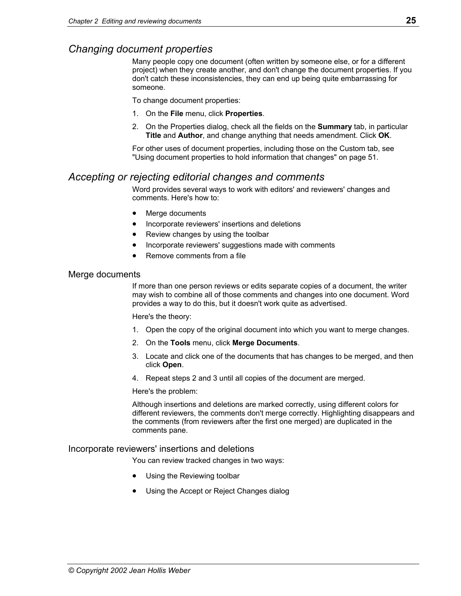# <span id="page-32-0"></span>*Changing document properties*

Many people copy one document (often written by someone else, or for a different project) when they create another, and don't change the document properties. If you don't catch these inconsistencies, they can end up being quite embarrassing for someone.

To change document properties:

- 1. On the **File** menu, click **Properties**.
- 2. On the Properties dialog, check all the fields on the **Summary** tab, in particular **Title** and **Author**, and change anything that needs amendment. Click **OK**.

For other uses of document properties, including those on the Custom tab, see ["Using document properties to hold information that changes"](#page-58-1) on page [51.](#page-58-1)

# <span id="page-32-1"></span>*Accepting or rejecting editorial changes and comments*

Word provides several ways to work with editors' and reviewers' changes and comments. Here's how to:

- [Merge documents](#page-32-2)
- [Incorporate reviewers' insertions and deletions](#page-32-3)
- Review changes by using the toolbar
- [Incorporate reviewers' suggestions made with comments](#page-33-1)
- Remove comments from a file

### <span id="page-32-2"></span>Merge documents

If more than one person reviews or edits separate copies of a document, the writer may wish to combine all of those comments and changes into one document. Word provides a way to do this, but it doesn't work quite as advertised.

Here's the theory:

- 1. Open the copy of the original document into which you want to merge changes.
- 2. On the **Tools** menu, click **Merge Documents**.
- 3. Locate and click one of the documents that has changes to be merged, and then click **Open**.
- 4. Repeat steps 2 and 3 until all copies of the document are merged.

Here's the problem:

Although insertions and deletions are marked correctly, using different colors for different reviewers, the comments don't merge correctly. Highlighting disappears and the comments (from reviewers after the first one merged) are duplicated in the comments pane.

<span id="page-32-3"></span>Incorporate reviewers' insertions and deletions

You can review tracked changes in two ways:

- Using the Reviewing toolbar
- Using the Accept or Reject Changes dialog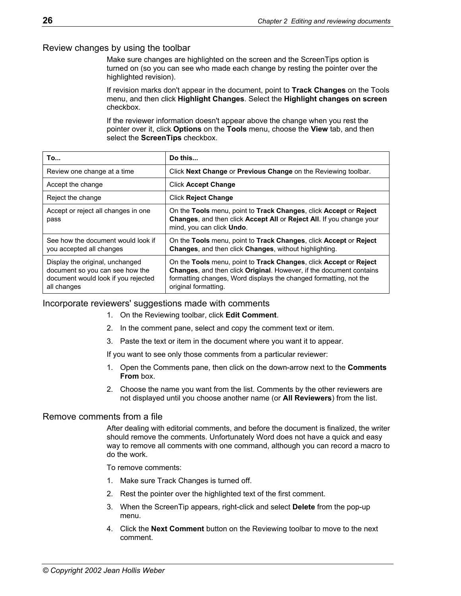### <span id="page-33-0"></span>Review changes by using the toolbar

Make sure changes are highlighted on the screen and the ScreenTips option is turned on (so you can see who made each change by resting the pointer over the highlighted revision).

If revision marks don't appear in the document, point to **Track Changes** on the Tools menu, and then click **Highlight Changes**. Select the **Highlight changes on screen** checkbox.

If the reviewer information doesn't appear above the change when you rest the pointer over it, click **Options** on the **Tools** menu, choose the **View** tab, and then select the **ScreenTips** checkbox.

| To                                                                                                                       | Do this                                                                                                                                                                                                                                      |
|--------------------------------------------------------------------------------------------------------------------------|----------------------------------------------------------------------------------------------------------------------------------------------------------------------------------------------------------------------------------------------|
| Review one change at a time                                                                                              | Click Next Change or Previous Change on the Reviewing toolbar.                                                                                                                                                                               |
| Accept the change                                                                                                        | <b>Click Accept Change</b>                                                                                                                                                                                                                   |
| Reject the change                                                                                                        | <b>Click Reject Change</b>                                                                                                                                                                                                                   |
| Accept or reject all changes in one<br>pass                                                                              | On the Tools menu, point to Track Changes, click Accept or Reject<br>Changes, and then click Accept All or Reject All. If you change your<br>mind, you can click Undo.                                                                       |
| See how the document would look if<br>you accepted all changes                                                           | On the Tools menu, point to Track Changes, click Accept or Reject<br>Changes, and then click Changes, without highlighting.                                                                                                                  |
| Display the original, unchanged<br>document so you can see how the<br>document would look if you rejected<br>all changes | On the Tools menu, point to Track Changes, click Accept or Reject<br><b>Changes, and then click Original. However, if the document contains</b><br>formatting changes, Word displays the changed formatting, not the<br>original formatting. |

### <span id="page-33-1"></span>Incorporate reviewers' suggestions made with comments

- 1. On the Reviewing toolbar, click **Edit Comment**.
- 2. In the comment pane, select and copy the comment text or item.
- 3. Paste the text or item in the document where you want it to appear.

If you want to see only those comments from a particular reviewer:

- 1. Open the Comments pane, then click on the down-arrow next to the **Comments From** box.
- 2. Choose the name you want from the list. Comments by the other reviewers are not displayed until you choose another name (or **All Reviewers**) from the list.

### <span id="page-33-2"></span>Remove comments from a file

After dealing with editorial comments, and before the document is finalized, the writer should remove the comments. Unfortunately Word does not have a quick and easy way to remove all comments with one command, although you can record a macro to do the work.

To remove comments:

- 1. Make sure Track Changes is turned off.
- 2. Rest the pointer over the highlighted text of the first comment.
- 3. When the ScreenTip appears, right-click and select **Delete** from the pop-up menu.
- 4. Click the **Next Comment** button on the Reviewing toolbar to move to the next comment.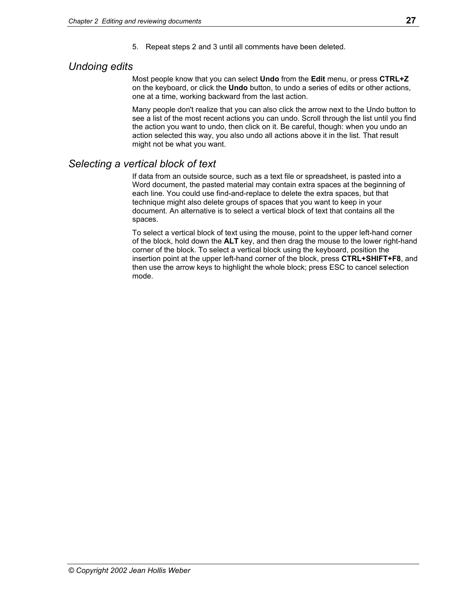5. Repeat steps 2 and 3 until all comments have been deleted.

# <span id="page-34-0"></span>*Undoing edits*

Most people know that you can select **Undo** from the **Edit** menu, or press **CTRL+Z** on the keyboard, or click the **Undo** button, to undo a series of edits or other actions, one at a time, working backward from the last action.

Many people don't realize that you can also click the arrow next to the Undo button to see a list of the most recent actions you can undo. Scroll through the list until you find the action you want to undo, then click on it. Be careful, though: when you undo an action selected this way, you also undo all actions above it in the list. That result might not be what you want.

# <span id="page-34-1"></span>*Selecting a vertical block of text*

If data from an outside source, such as a text file or spreadsheet, is pasted into a Word document, the pasted material may contain extra spaces at the beginning of each line. You could use find-and-replace to delete the extra spaces, but that technique might also delete groups of spaces that you want to keep in your document. An alternative is to select a vertical block of text that contains all the spaces.

To select a vertical block of text using the mouse, point to the upper left-hand corner of the block, hold down the **ALT** key, and then drag the mouse to the lower right-hand corner of the block. To select a vertical block using the keyboard, position the insertion point at the upper left-hand corner of the block, press **CTRL+SHIFT+F8**, and then use the arrow keys to highlight the whole block; press ESC to cancel selection mode.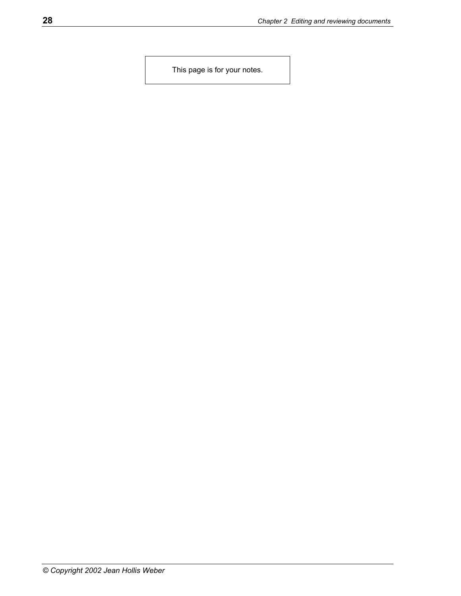This page is for your notes.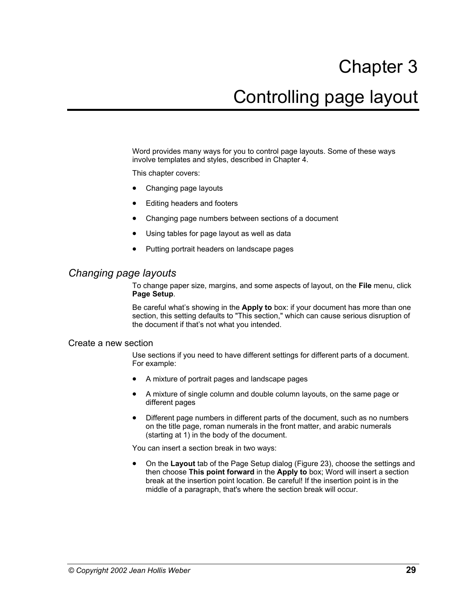# Chapter 3 Controlling page layout

Word provides many ways for you to control page layouts. Some of these ways involve templates and styles, described in Chapter 4.

This chapter covers:

- Changing page layouts
- [Editing headers and footers](#page-39-0)
- [Changing page numbers between sections of a document](#page-40-0)
- Using tables for page layout as well as data
- [Putting portrait headers on landscape pages](#page-43-0)

# <span id="page-36-0"></span>*Changing page layouts*

To change paper size, margins, and some aspects of layout, on the **File** menu, click **Page Setup**.

Be careful what's showing in the **Apply to** box: if your document has more than one section, this setting defaults to "This section," which can cause serious disruption of the document if that's not what you intended.

#### <span id="page-36-1"></span>Create a new section

Use sections if you need to have different settings for different parts of a document. For example:

- A mixture of portrait pages and landscape pages
- A mixture of single column and double column layouts, on the same page or different pages
- Different page numbers in different parts of the document, such as no numbers on the title page, roman numerals in the front matter, and arabic numerals (starting at 1) in the body of the document.

You can insert a section break in two ways:

• On the **Layout** tab of the Page Setup dialog [\(Figure 23\)](#page-37-0), choose the settings and then choose **This point forward** in the **Apply to** box; Word will insert a section break at the insertion point location. Be careful! If the insertion point is in the middle of a paragraph, that's where the section break will occur.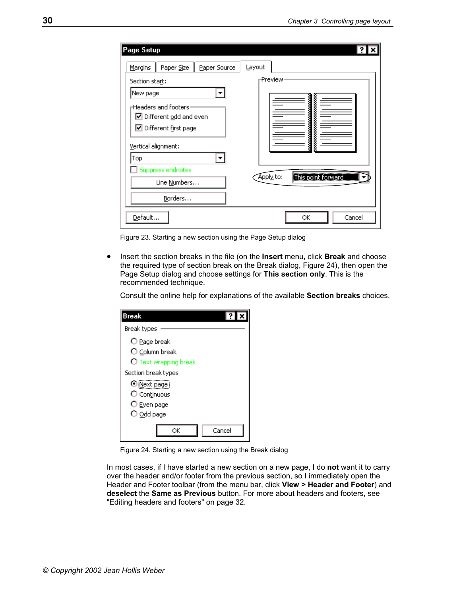| Page Setup                                                                                                                 |                                 |
|----------------------------------------------------------------------------------------------------------------------------|---------------------------------|
| Paper Size<br>Paper Source<br><b>Margins</b>                                                                               | Layout                          |
| Section start:                                                                                                             | ⊢Preview∙                       |
| New page<br>$\pm$ Headers and footers:<br>☑ Different odd and even<br>$\nabla$ Different first page<br>Vertical alignment: | į                               |
| Top<br>Suppress endnotes<br>Line Numbers<br>Borders                                                                        | This point forward<br>Apply to: |
| Default                                                                                                                    | Cancel<br>ОК                    |

<span id="page-37-0"></span>Figure 23. Starting a new section using the Page Setup dialog

• Insert the section breaks in the file (on the **Insert** menu, click **Break** and choose the required type of section break on the Break dialog, [Figure 24\)](#page-37-1), then open the Page Setup dialog and choose settings for **This section only**. This is the recommended technique.

Consult the online help for explanations of the available **Section breaks** choices.

<span id="page-37-1"></span>

| <b>Break</b>            |
|-------------------------|
| Break types             |
| O Page break            |
| $\bigcirc$ Column break |
| O Text wrapping break   |
| Section break types     |
| O Mext page             |
| O Continuous            |
| $\bigcirc$ Even page    |
| $\bigcirc$ Odd page     |
| Cancel<br>ОK            |

Figure 24. Starting a new section using the Break dialog

In most cases, if I have started a new section on a new page, I do **not** want it to carry over the header and/or footer from the previous section, so I immediately open the Header and Footer toolbar (from the menu bar, click **View > Header and Footer**) and **deselect** the **Same as Previous** button. For more about headers and footers, see ["Editing headers and footers"](#page-39-0) on page [32.](#page-39-0)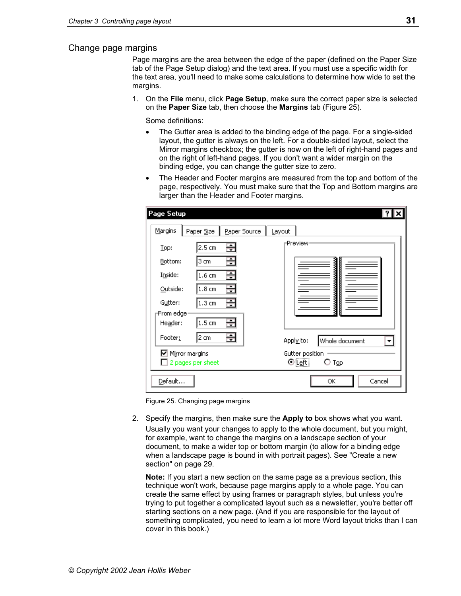#### Change page margins

Page margins are the area between the edge of the paper (defined on the Paper Size tab of the Page Setup dialog) and the text area. If you must use a specific width for the text area, you'll need to make some calculations to determine how wide to set the margins.

1. On the **File** menu, click **Page Setup**, make sure the correct paper size is selected on the **Paper Size** tab, then choose the **Margins** tab [\(Figure 25\)](#page-38-0).

Some definitions:

- The Gutter area is added to the binding edge of the page. For a single-sided layout, the gutter is always on the left. For a double-sided layout, select the Mirror margins checkbox; the gutter is now on the left of right-hand pages and on the right of left-hand pages. If you don't want a wider margin on the binding edge, you can change the gutter size to zero.
- The Header and Footer margins are measured from the top and bottom of the page, respectively. You must make sure that the Top and Bottom margins are larger than the Header and Footer margins.

<span id="page-38-0"></span>

| Page Setup                         |                                                      |                                    |
|------------------------------------|------------------------------------------------------|------------------------------------|
| Margins                            | Paper Source<br>Paper Size                           | Layout                             |
| Top:                               | 圕<br>$2.5 \text{ cm}$                                | <b>Preview</b>                     |
| Bottom:                            | 플<br>3 cm                                            |                                    |
| Inside:                            | 畺<br>1.6 <sub>cm</sub>                               | <b>Communication</b>               |
| Outside:                           | 圕<br>1.8 <sub>cm</sub>                               | j                                  |
| Gutter:                            | Ξ<br>$1.3 \text{ cm}$                                |                                    |
| -From edge <sup>.</sup><br>Header: | ÷<br>1.5 <sub>cm</sub>                               |                                    |
| Footer:                            | ÷<br>2 cm                                            | Apply to:<br>Whole document<br>▼   |
|                                    | $\boxdot$ Mirror margins<br>$\Box$ 2 pages per sheet | Gutter position<br>⊙[eft]<br>О Тор |
| Default                            |                                                      | Cancel<br>ОК                       |

Figure 25. Changing page margins

2. Specify the margins, then make sure the **Apply to** box shows what you want. Usually you want your changes to apply to the whole document, but you might, for example, want to change the margins on a landscape section of your document, to make a wider top or bottom margin (to allow for a binding edge when a landscape page is bound in with portrait pages). See ["Create a new](#page-36-1)  [section"](#page-36-1) on page [29.](#page-36-1)

**Note:** If you start a new section on the same page as a previous section, this technique won't work, because page margins apply to a whole page. You can create the same effect by using frames or paragraph styles, but unless you're trying to put together a complicated layout such as a newsletter, you're better off starting sections on a new page. (And if you are responsible for the layout of something complicated, you need to learn a lot more Word layout tricks than I can cover in this book.)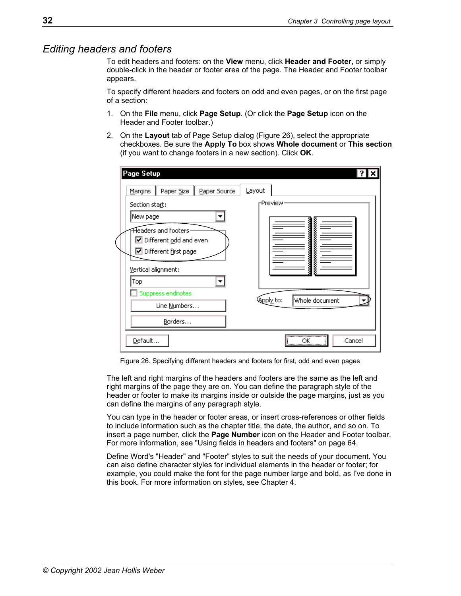### <span id="page-39-0"></span>*Editing headers and footers*

To edit headers and footers: on the **View** menu, click **Header and Footer**, or simply double-click in the header or footer area of the page. The Header and Footer toolbar appears.

To specify different headers and footers on odd and even pages, or on the first page of a section:

- 1. On the **File** menu, click **Page Setup**. (Or click the **Page Setup** icon on the Header and Footer toolbar.)
- 2. On the **Layout** tab of Page Setup dialog ([Figure 26\)](#page-39-1), select the appropriate checkboxes. Be sure the **Apply To** box shows **Whole document** or **This section**  (if you want to change footers in a new section). Click **OK**.

| Page Setup                            |                             |
|---------------------------------------|-----------------------------|
| Paper Size<br>Paper Source<br>Margins | Layout                      |
| Section start:                        | ⊢Preview <sup>,</sup>       |
| New page                              |                             |
| Headers and footers-                  |                             |
| ☑ Different odd and even              |                             |
| ☑ Different first page                |                             |
| Vertical alignment:                   |                             |
| Top                                   |                             |
| Suppress endnotes                     | Kappl⊻to:<br>Whole document |
| Line Numbers                          |                             |
| Borders                               |                             |
| Default                               | Cancel<br>ОK<br>            |

<span id="page-39-1"></span>Figure 26. Specifying different headers and footers for first, odd and even pages

The left and right margins of the headers and footers are the same as the left and right margins of the page they are on. You can define the paragraph style of the header or footer to make its margins inside or outside the page margins, just as you can define the margins of any paragraph style.

You can type in the header or footer areas, or insert cross-references or other fields to include information such as the chapter title, the date, the author, and so on. To insert a page number, click the **Page Number** icon on the Header and Footer toolbar. For more information, see ["Using fields in headers and footers"](#page-71-0) on page [64.](#page-71-0)

Define Word's "Header" and "Footer" styles to suit the needs of your document. You can also define character styles for individual elements in the header or footer; for example, you could make the font for the page number large and bold, as I've done in this book. For more information on styles, see Chapter 4.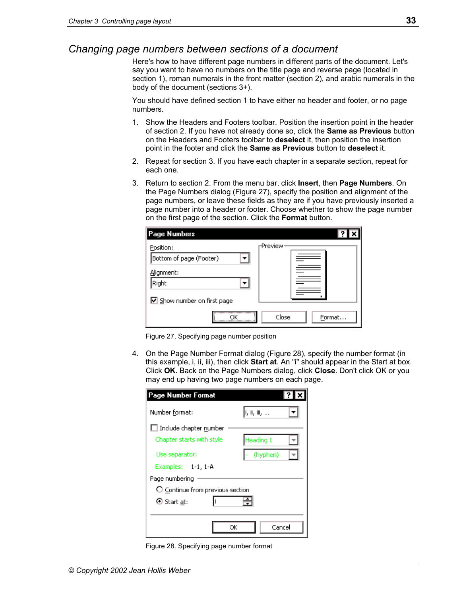# <span id="page-40-0"></span>*Changing page numbers between sections of a document*

Here's how to have different page numbers in different parts of the document. Let's say you want to have no numbers on the title page and reverse page (located in section 1), roman numerals in the front matter (section 2), and arabic numerals in the body of the document (sections 3+).

You should have defined section 1 to have either no header and footer, or no page numbers.

- 1. Show the Headers and Footers toolbar. Position the insertion point in the header of section 2. If you have not already done so, click the **Same as Previous** button on the Headers and Footers toolbar to **deselect** it, then position the insertion point in the footer and click the **Same as Previous** button to **deselect** it.
- 2. Repeat for section 3. If you have each chapter in a separate section, repeat for each one.
- 3. Return to section 2. From the menu bar, click **Insert**, then **Page Numbers**. On the Page Numbers dialog [\(Figure 27\)](#page-40-1), specify the position and alignment of the page numbers, or leave these fields as they are if you have previously inserted a page number into a header or footer. Choose whether to show the page number on the first page of the section. Click the **Format** button.

<span id="page-40-1"></span>

| Page Numbers                |                      |
|-----------------------------|----------------------|
| Position:                   | Preview <sup>,</sup> |
| Bottom of page (Footer)     |                      |
| Alignment:<br>Right         |                      |
|                             |                      |
| ☑ Show number on first page |                      |
|                             | Close<br>Format      |

Figure 27. Specifying page number position

4. On the Page Number Format dialog ([Figure 28\)](#page-40-2), specify the number format (in this example, i, ii, iii), then click **Start at**. An "i" should appear in the Start at box. Click **OK**. Back on the Page Numbers dialog, click **Close**. Don't click OK or you may end up having two page numbers on each page.

<span id="page-40-2"></span>

| Page Number Format                                         |            |  |
|------------------------------------------------------------|------------|--|
| Number format:                                             | ,iii, iii, |  |
| $\Box$ Include chapter number<br>Chapter starts with style | Heading 1  |  |
| Use separator:                                             | (hyphen)   |  |
| Examples: 1-1, 1-A                                         |            |  |
| Page numbering                                             |            |  |
| O Continue from previous section                           |            |  |
| ⊙ Start <u>at</u> :                                        |            |  |
| ОK                                                         | Cancel     |  |

Figure 28. Specifying page number format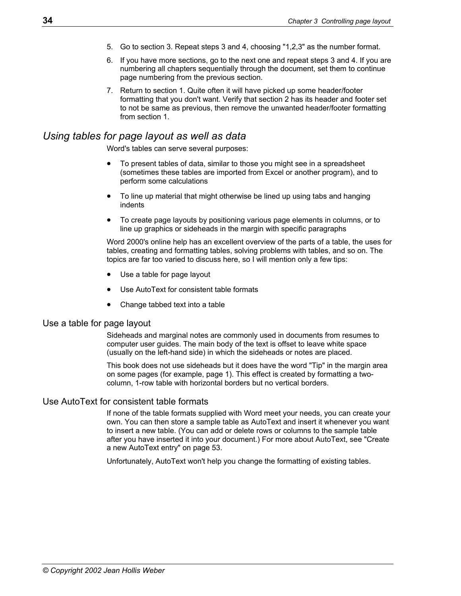- 5. Go to section 3. Repeat steps 3 and 4, choosing "1,2,3" as the number format.
- 6. If you have more sections, go to the next one and repeat steps 3 and 4. If you are numbering all chapters sequentially through the document, set them to continue page numbering from the previous section.
- 7. Return to section 1. Quite often it will have picked up some header/footer formatting that you don't want. Verify that section 2 has its header and footer set to not be same as previous, then remove the unwanted header/footer formatting from section 1.

## <span id="page-41-0"></span>*Using tables for page layout as well as data*

Word's tables can serve several purposes:

- To present tables of data, similar to those you might see in a spreadsheet (sometimes these tables are imported from Excel or another program), and to perform some calculations
- To line up material that might otherwise be lined up using tabs and hanging indents
- To create page layouts by positioning various page elements in columns, or to line up graphics or sideheads in the margin with specific paragraphs

Word 2000's online help has an excellent overview of the parts of a table, the uses for tables, creating and formatting tables, solving problems with tables, and so on. The topics are far too varied to discuss here, so I will mention only a few tips:

- [Use a table for page layout](#page-41-1)
- Use AutoText for consistent table formats
- [Change tabbed text into a table](#page-42-0)

#### <span id="page-41-1"></span>Use a table for page layout

Sideheads and marginal notes are commonly used in documents from resumes to computer user guides. The main body of the text is offset to leave white space (usually on the left-hand side) in which the sideheads or notes are placed.

This book does not use sideheads but it does have the word "Tip" in the margin area on some pages (for example, page 1). This effect is created by formatting a twocolumn, 1-row table with horizontal borders but no vertical borders.

#### <span id="page-41-2"></span>Use AutoText for consistent table formats

If none of the table formats supplied with Word meet your needs, you can create your own. You can then store a sample table as AutoText and insert it whenever you want to insert a new table. (You can add or delete rows or columns to the sample table after you have inserted it into your document.) For more about AutoText, see "[Create](#page-60-0)  [a new AutoText entry"](#page-60-0) on page [53.](#page-60-0)

Unfortunately, AutoText won't help you change the formatting of existing tables.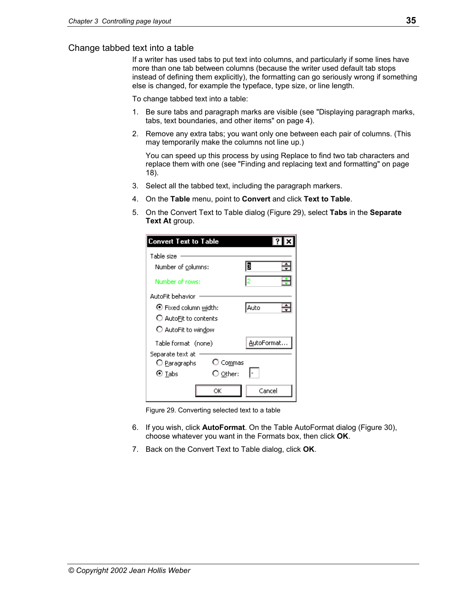#### <span id="page-42-0"></span>Change tabbed text into a table

If a writer has used tabs to put text into columns, and particularly if some lines have more than one tab between columns (because the writer used default tab stops instead of defining them explicitly), the formatting can go seriously wrong if something else is changed, for example the typeface, type size, or line length.

To change tabbed text into a table:

- 1. Be sure tabs and paragraph marks are visible (see "[Displaying paragraph marks,](#page-11-0)  [tabs, text boundaries, and other items"](#page-11-0) on page [4\)](#page-11-0).
- 2. Remove any extra tabs; you want only one between each pair of columns. (This may temporarily make the columns not line up.)

You can speed up this process by using Replace to find two tab characters and replace them with one (see "[Finding and replacing text and formatting"](#page-25-0) on page [18\)](#page-25-0).

- 3. Select all the tabbed text, including the paragraph markers.
- 4. On the **Table** menu, point to **Convert** and click **Text to Table**.
- 5. On the Convert Text to Table dialog ([Figure 29\)](#page-42-1), select **Tabs** in the **Separate Text At** group.

<span id="page-42-1"></span>

| Convert Text to Table          |                   |            |
|--------------------------------|-------------------|------------|
| Table size                     |                   |            |
| Number of columns:             |                   | B          |
| Number of rows:                |                   | l2         |
| AutoFit behavior               |                   |            |
| $\bullet$ Fixed column width:  |                   | Auto       |
| $\bigcirc$ AutoFit to contents |                   |            |
| O AutoFit to window            |                   |            |
| Table format (none)            |                   | AutoFormat |
| Separate text at               |                   |            |
| O Paragraphs                   | ○ Commas          |            |
| ⊙ Tabs                         | $\bigcirc$ Other: |            |
|                                | ОК                | Cancel     |

Figure 29. Converting selected text to a table

- 6. If you wish, click **AutoFormat**. On the Table AutoFormat dialog ([Figure 30\)](#page-43-1), choose whatever you want in the Formats box, then click **OK**.
- 7. Back on the Convert Text to Table dialog, click **OK**.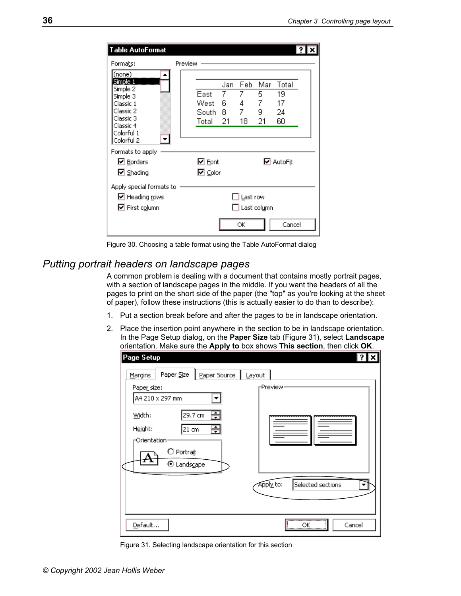<span id="page-43-1"></span>

| Table AutoFormat                                                                                                                |                                |                           |                                         |                           |                               |  |
|---------------------------------------------------------------------------------------------------------------------------------|--------------------------------|---------------------------|-----------------------------------------|---------------------------|-------------------------------|--|
| Formats:                                                                                                                        | Preview                        |                           |                                         |                           |                               |  |
| (none)<br>Simple 1<br>Simple 2<br>Simple 3<br>Classic 1<br>Classic 2<br>Classic 3<br>Classic 4<br>Colorful 1<br>▼<br>Colorful 2 | East<br>West<br>South<br>Total | Jan<br>7<br>6<br>8.<br>21 | Feb<br>7<br>4<br>7<br>18                | Mar<br>5<br>7<br>9.<br>21 | Total<br>19<br>17<br>24<br>60 |  |
| Formats to apply<br><b>☑</b> Borders<br><b>☑</b> Shading                                                                        | l <b>⊻</b> Font<br>l⊠ ⊆olor    |                           |                                         |                           | <b>☑</b> AutoFit              |  |
| Apply special formats to<br>$\boxdot$ Heading rows<br>M First column                                                            |                                |                           | Last row<br>$\Box$ Last col <u>u</u> mn |                           |                               |  |
|                                                                                                                                 |                                |                           | ОК                                      |                           | Cancel                        |  |

Figure 30. Choosing a table format using the Table AutoFormat dialog

# <span id="page-43-0"></span>*Putting portrait headers on landscape pages*

A common problem is dealing with a document that contains mostly portrait pages, with a section of landscape pages in the middle. If you want the headers of all the pages to print on the short side of the paper (the "top" as you're looking at the sheet of paper), follow these instructions (this is actually easier to do than to describe):

- 1. Put a section break before and after the pages to be in landscape orientation.
- 2. Place the insertion point anywhere in the section to be in landscape orientation. In the Page Setup dialog, on the **Paper Size** tab ([Figure 31\)](#page-43-2), select **Landscape**  orientation. Make sure the **Apply to** box shows **This section**, then click **OK**.

| Page Setup                                     |                           |              |           | ? x                  |
|------------------------------------------------|---------------------------|--------------|-----------|----------------------|
| Margins                                        | Paper Size                | Paper Source | Layout    |                      |
| Paper_size:                                    | A4 210 x 297 mm           |              | ⊢Preview∙ |                      |
| Width:<br>Height:<br>-Orientation <sup>,</sup> | 29.7 cm<br>21 cm          | 픔<br>÷       |           | ,,,,,,,,,,,,,,,,,,,, |
|                                                | O Portrait<br>O Landscape |              |           |                      |
|                                                |                           |              | Apply to: | Selected sections    |
| Default                                        |                           |              |           | <br>Cancel<br>ОК<br> |

<span id="page-43-2"></span>Figure 31. Selecting landscape orientation for this section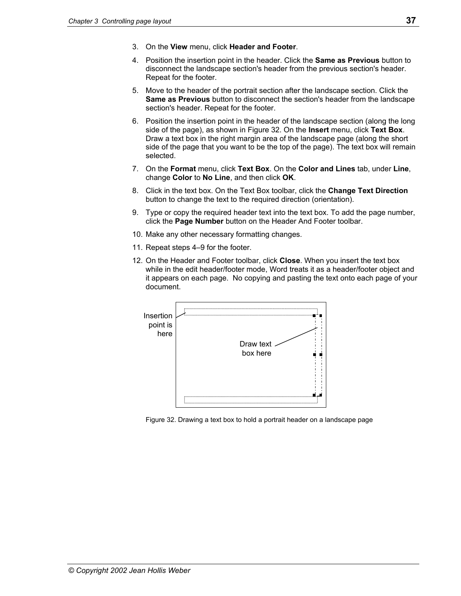- 3. On the **View** menu, click **Header and Footer**.
- 4. Position the insertion point in the header. Click the **Same as Previous** button to disconnect the landscape section's header from the previous section's header. Repeat for the footer.
- 5. Move to the header of the portrait section after the landscape section. Click the **Same as Previous** button to disconnect the section's header from the landscape section's header. Repeat for the footer.
- 6. Position the insertion point in the header of the landscape section (along the long side of the page), as shown in [Figure 32.](#page-44-0) On the **Insert** menu, click **Text Box**. Draw a text box in the right margin area of the landscape page (along the short side of the page that you want to be the top of the page). The text box will remain selected.
- 7. On the **Format** menu, click **Text Box**. On the **Color and Lines** tab, under **Line**, change **Color** to **No Line**, and then click **OK**.
- 8. Click in the text box. On the Text Box toolbar, click the **Change Text Direction**  button to change the text to the required direction (orientation).
- 9. Type or copy the required header text into the text box. To add the page number, click the **Page Number** button on the Header And Footer toolbar.
- 10. Make any other necessary formatting changes.
- 11. Repeat steps 4–9 for the footer.
- 12. On the Header and Footer toolbar, click **Close**. When you insert the text box while in the edit header/footer mode, Word treats it as a header/footer object and it appears on each page. No copying and pasting the text onto each page of your document.



<span id="page-44-0"></span>Figure 32. Drawing a text box to hold a portrait header on a landscape page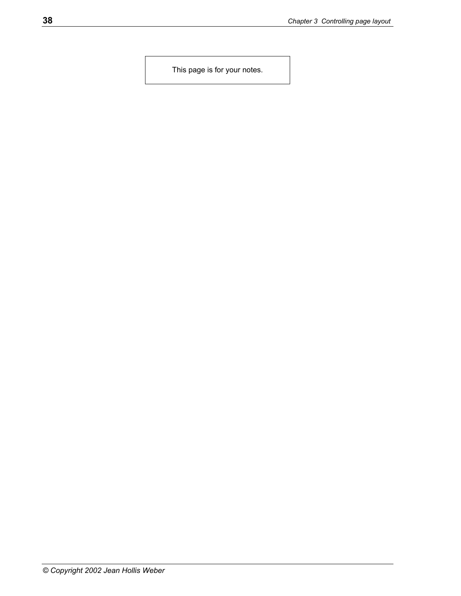This page is for your notes.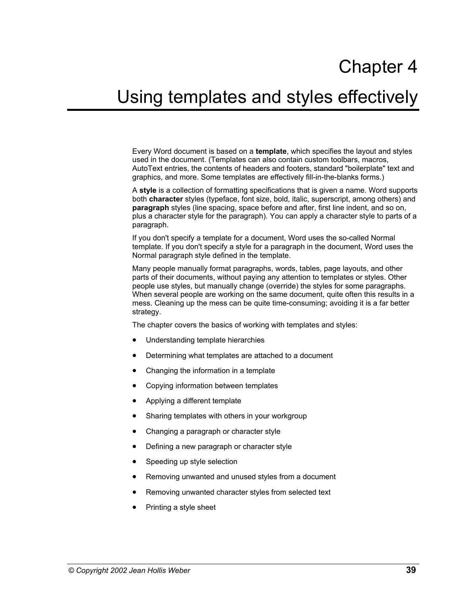# Chapter 4

# Using templates and styles effectively

Every Word document is based on a **template**, which specifies the layout and styles used in the document. (Templates can also contain custom toolbars, macros, AutoText entries, the contents of headers and footers, standard "boilerplate" text and graphics, and more. Some templates are effectively fill-in-the-blanks forms.)

A **style** is a collection of formatting specifications that is given a name. Word supports both **character** styles (typeface, font size, bold, italic, superscript, among others) and **paragraph** styles (line spacing, space before and after, first line indent, and so on, plus a character style for the paragraph). You can apply a character style to parts of a paragraph.

If you don't specify a template for a document, Word uses the so-called Normal template. If you don't specify a style for a paragraph in the document, Word uses the Normal paragraph style defined in the template.

Many people manually format paragraphs, words, tables, page layouts, and other parts of their documents, without paying any attention to templates or styles. Other people use styles, but manually change (override) the styles for some paragraphs. When several people are working on the same document, quite often this results in a mess. Cleaning up the mess can be quite time-consuming; avoiding it is a far better strategy.

The chapter covers the basics of working with templates and styles:

- [Understanding template hierarchies](#page-47-0)
- [Determining what templates are attached to a document](#page-47-1)
- [Changing the information in a template](#page-47-2)
- [Copying information between templates](#page-48-0)
- [Applying a different template](#page-49-0)
- [Sharing templates with others in your workgroup](#page-50-0)
- [Changing a paragraph or character style](#page-50-1)
- [Defining a new paragraph or character style](#page-52-0)
- Speeding up style selection
- [Removing unwanted and unused styles from a document](#page-56-0)
- Removing unwanted character styles from selected text
- [Printing a style sheet](#page-57-1)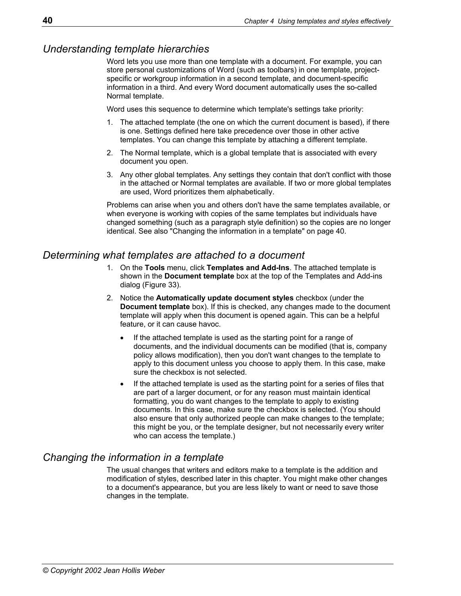# <span id="page-47-0"></span>*Understanding template hierarchies*

Word lets you use more than one template with a document. For example, you can store personal customizations of Word (such as toolbars) in one template, projectspecific or workgroup information in a second template, and document-specific information in a third. And every Word document automatically uses the so-called Normal template.

Word uses this sequence to determine which template's settings take priority:

- 1. The attached template (the one on which the current document is based), if there is one. Settings defined here take precedence over those in other active templates. You can change this template by attaching a different template.
- 2. The Normal template, which is a global template that is associated with every document you open.
- 3. Any other global templates. Any settings they contain that don't conflict with those in the attached or Normal templates are available. If two or more global templates are used, Word prioritizes them alphabetically.

Problems can arise when you and others don't have the same templates available, or when everyone is working with copies of the same templates but individuals have changed something (such as a paragraph style definition) so the copies are no longer identical. See also "[Changing the information in a template"](#page-47-2) on page [40.](#page-47-2)

# <span id="page-47-1"></span>*Determining what templates are attached to a document*

- 1. On the **Tools** menu, click **Templates and Add-Ins**. The attached template is shown in the **Document template** box at the top of the Templates and Add-ins dialog ([Figure 33\)](#page-48-1).
- 2. Notice the **Automatically update document styles** checkbox (under the **Document template** box). If this is checked, any changes made to the document template will apply when this document is opened again. This can be a helpful feature, or it can cause havoc.
	- If the attached template is used as the starting point for a range of documents, and the individual documents can be modified (that is, company policy allows modification), then you don't want changes to the template to apply to this document unless you choose to apply them. In this case, make sure the checkbox is not selected.
	- If the attached template is used as the starting point for a series of files that are part of a larger document, or for any reason must maintain identical formatting, you do want changes to the template to apply to existing documents. In this case, make sure the checkbox is selected. (You should also ensure that only authorized people can make changes to the template; this might be you, or the template designer, but not necessarily every writer who can access the template.)

# <span id="page-47-2"></span>*Changing the information in a template*

The usual changes that writers and editors make to a template is the addition and modification of styles, described later in this chapter. You might make other changes to a document's appearance, but you are less likely to want or need to save those changes in the template.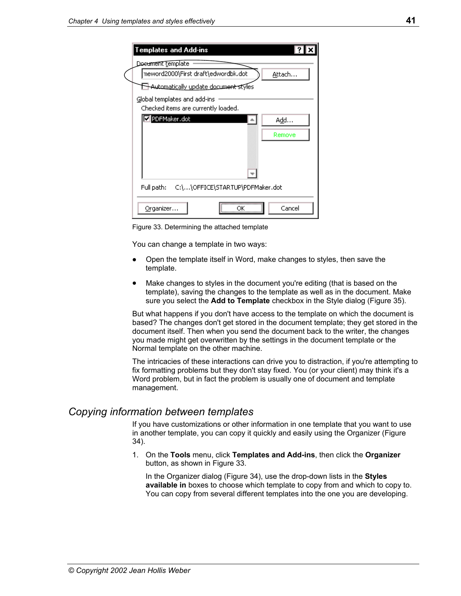| Templates and Add-ins                                                            |
|----------------------------------------------------------------------------------|
| Do <del>cument te</del> mplate<br> neword2000\First draft\edwordbk.dot<br>Attach |
| Automatically update document styles                                             |
| Global templates and add-ins<br>Checked items are currently loaded.              |
| PDFMaker.dot<br>A <u>d</u> d                                                     |
| Remove                                                                           |
|                                                                                  |
| Full path: C:\\OFFICE\STARTUP\PDFMaker.dot                                       |
| Cancel<br>Organizer                                                              |

<span id="page-48-1"></span>Figure 33. Determining the attached template

You can change a template in two ways:

- Open the template itself in Word, make changes to styles, then save the template.
- Make changes to styles in the document you're editing (that is based on the template), saving the changes to the template as well as in the document. Make sure you select the **Add to Template** checkbox in the Style dialog ([Figure 35\)](#page-51-0).

But what happens if you don't have access to the template on which the document is based? The changes don't get stored in the document template; they get stored in the document itself. Then when you send the document back to the writer, the changes you made might get overwritten by the settings in the document template or the Normal template on the other machine.

The intricacies of these interactions can drive you to distraction, if you're attempting to fix formatting problems but they don't stay fixed. You (or your client) may think it's a Word problem, but in fact the problem is usually one of document and template management.

#### <span id="page-48-0"></span>*Copying information between templates*

If you have customizations or other information in one template that you want to use in another template, you can copy it quickly and easily using the Organizer ([Figure](#page-49-1)  34[\)](#page-49-1).

1. On the **Tools** menu, click **Templates and Add-ins**, then click the **Organizer** button, as shown in [Figure 33.](#page-48-1)

 In the Organizer dialog [\(Figure 34\)](#page-49-1), use the drop-down lists in the **Styles available in** boxes to choose which template to copy from and which to copy to. You can copy from several different templates into the one you are developing.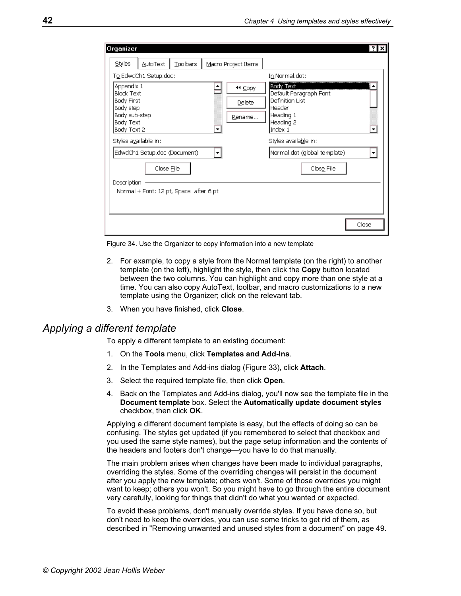<span id="page-49-1"></span>

| Organizer                                                                                               |                                                      |          |                             | ?                                                                                                                                                                    |
|---------------------------------------------------------------------------------------------------------|------------------------------------------------------|----------|-----------------------------|----------------------------------------------------------------------------------------------------------------------------------------------------------------------|
| Styles                                                                                                  | <b>AutoText</b>                                      | Toolbars | Macro Project Items         |                                                                                                                                                                      |
|                                                                                                         | To EdwdCh1 Setup.doc:                                |          |                             | In Normal.dot:                                                                                                                                                       |
| Appendix 1<br>Block Text<br><b>Body First</b><br>Body step<br>Body sub-step<br>Body Text<br>Body Text 2 | Styles available in:<br>EdwdCh1 Setup.doc (Document) |          | 44 Copy<br>Delete<br>Rename | <b>Body Text</b><br>Default Paragraph Font<br>Definition List<br>Header<br>Heading 1<br>Heading 2<br>Index 1<br>Styles available in:<br>Normal.dot (global template) |
| Description                                                                                             | Close File<br>Normal + Font: 12 pt, Space after 6 pt |          |                             | Close File                                                                                                                                                           |
|                                                                                                         |                                                      |          |                             | Close                                                                                                                                                                |

Figure 34. Use the Organizer to copy information into a new template

- 2. For example, to copy a style from the Normal template (on the right) to another template (on the left), highlight the style, then click the **Copy** button located between the two columns. You can highlight and copy more than one style at a time. You can also copy AutoText, toolbar, and macro customizations to a new template using the Organizer; click on the relevant tab.
- 3. When you have finished, click **Close**.

#### <span id="page-49-0"></span>*Applying a different template*

To apply a different template to an existing document:

- 1. On the **Tools** menu, click **Templates and Add-Ins**.
- 2. In the Templates and Add-ins dialog ([Figure 33\)](#page-48-1), click **Attach**.
- 3. Select the required template file, then click **Open**.
- 4. Back on the Templates and Add-ins dialog, you'll now see the template file in the **Document template** box. Select the **Automatically update document styles**  checkbox, then click **OK**.

Applying a different document template is easy, but the effects of doing so can be confusing. The styles get updated (if you remembered to select that checkbox and you used the same style names), but the page setup information and the contents of the headers and footers don't change—you have to do that manually.

The main problem arises when changes have been made to individual paragraphs, overriding the styles. Some of the overriding changes will persist in the document after you apply the new template; others won't. Some of those overrides you might want to keep; others you won't. So you might have to go through the entire document very carefully, looking for things that didn't do what you wanted or expected.

To avoid these problems, don't manually override styles. If you have done so, but don't need to keep the overrides, you can use some tricks to get rid of them, as described in ["Removing unwanted and unused styles from a document"](#page-56-0) on page [49.](#page-56-0)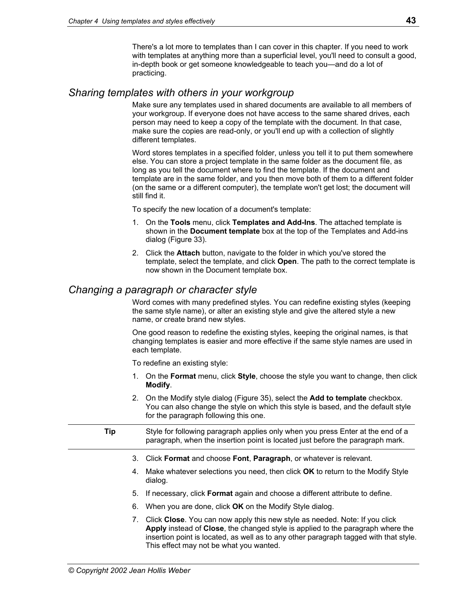There's a lot more to templates than I can cover in this chapter. If you need to work with templates at anything more than a superficial level, you'll need to consult a good, in-depth book or get someone knowledgeable to teach you—and do a lot of practicing.

# <span id="page-50-0"></span>*Sharing templates with others in your workgroup*

Make sure any templates used in shared documents are available to all members of your workgroup. If everyone does not have access to the same shared drives, each person may need to keep a copy of the template with the document. In that case, make sure the copies are read-only, or you'll end up with a collection of slightly different templates.

Word stores templates in a specified folder, unless you tell it to put them somewhere else. You can store a project template in the same folder as the document file, as long as you tell the document where to find the template. If the document and template are in the same folder, and you then move both of them to a different folder (on the same or a different computer), the template won't get lost; the document will still find it.

To specify the new location of a document's template:

- 1. On the **Tools** menu, click **Templates and Add-Ins**. The attached template is shown in the **Document template** box at the top of the Templates and Add-ins dialog ([Figure 33\)](#page-48-1).
- 2. Click the **Attach** button, navigate to the folder in which you've stored the template, select the template, and click **Open**. The path to the correct template is now shown in the Document template box.

# <span id="page-50-1"></span>*Changing a paragraph or character style*

Word comes with many predefined styles. You can redefine existing styles (keeping the same style name), or alter an existing style and give the altered style a new name, or create brand new styles.

One good reason to redefine the existing styles, keeping the original names, is that changing templates is easier and more effective if the same style names are used in each template.

To redefine an existing style:

- 1. On the **Format** menu, click **Style**, choose the style you want to change, then click **Modify**.
- 2. On the Modify style dialog ([Figure 35\)](#page-51-0), select the **Add to template** checkbox. You can also change the style on which this style is based, and the default style for the paragraph following this one.

**Tip** Style for following paragraph applies only when you press Enter at the end of a paragraph, when the insertion point is located just before the paragraph mark.

- 3. Click **Format** and choose **Font**, **Paragraph**, or whatever is relevant.
- 4. Make whatever selections you need, then click **OK** to return to the Modify Style dialog.
- 5. If necessary, click **Format** again and choose a different attribute to define.
- 6. When you are done, click **OK** on the Modify Style dialog.
- 7. Click **Close**. You can now apply this new style as needed. Note: If you click **Apply** instead of **Close**, the changed style is applied to the paragraph where the insertion point is located, as well as to any other paragraph tagged with that style. This effect may not be what you wanted.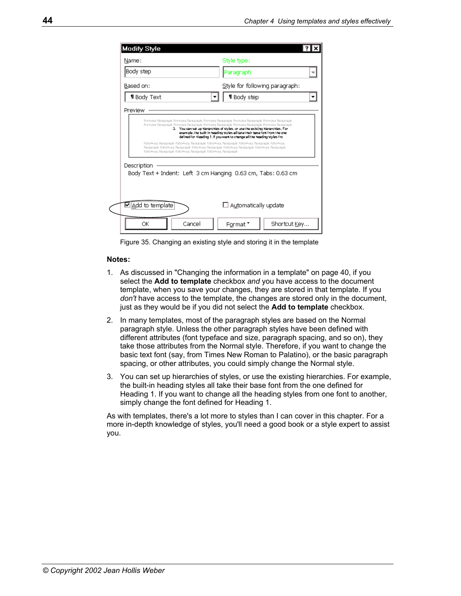| <b>Modify Style</b><br>Name:                                   | Style type:                                                                                                                                                                                                                                                             |
|----------------------------------------------------------------|-------------------------------------------------------------------------------------------------------------------------------------------------------------------------------------------------------------------------------------------------------------------------|
| Body step                                                      |                                                                                                                                                                                                                                                                         |
|                                                                | Paragraph                                                                                                                                                                                                                                                               |
| Based on:                                                      | Style for following paragraph:                                                                                                                                                                                                                                          |
| <b>1</b> Body Text                                             | <b>1</b> Body step                                                                                                                                                                                                                                                      |
|                                                                |                                                                                                                                                                                                                                                                         |
|                                                                |                                                                                                                                                                                                                                                                         |
|                                                                | Premous Paragraph Premous Paragraph Premous Paragraph Premous Paragraph Premous Paragraph<br>Premous Parasraph Premous Parasraph Premous Parasraph Premous Parasraph Premous Parasraph<br>3. You can set up higrarchies of styles, or use the existing higrarchies. For |
|                                                                | example, the built- in heading styles all take their base (ont from the one-<br>defined for Heading 1. If you want to change all the heading styles fro                                                                                                                 |
| Followids Parasiraph Followids Parasiraph Followids Parasiraph | Following Paragraph Following Paragraph Following Paragraph Following Paragraph Following<br>Paragraph Following Paragraph Following Paragraph Following Paragraph Following Paragraph                                                                                  |
|                                                                |                                                                                                                                                                                                                                                                         |
| Description                                                    | Body Text + Indent: Left 3 cm Hanging 0.63 cm, Tabs: 0.63 cm                                                                                                                                                                                                            |
|                                                                |                                                                                                                                                                                                                                                                         |
|                                                                |                                                                                                                                                                                                                                                                         |
| Mil <u>A</u> dd to template                                    | $\Box$ Automatically update                                                                                                                                                                                                                                             |
| ОК<br>Cancel                                                   | Shortcut Key                                                                                                                                                                                                                                                            |

<span id="page-51-0"></span>Figure 35. Changing an existing style and storing it in the template

#### **Notes:**

- 1. As discussed in "[Changing the information in a template"](#page-47-2) on page [40,](#page-47-2) if you select the **Add to template** checkbox *and* you have access to the document template, when you save your changes, they are stored in that template. If you don't have access to the template, the changes are stored only in the document, just as they would be if you did not select the **Add to template** checkbox.
- 2. In many templates, most of the paragraph styles are based on the Normal paragraph style. Unless the other paragraph styles have been defined with different attributes (font typeface and size, paragraph spacing, and so on), they take those attributes from the Normal style. Therefore, if you want to change the basic text font (say, from Times New Roman to Palatino), or the basic paragraph spacing, or other attributes, you could simply change the Normal style.
- 3. You can set up hierarchies of styles, or use the existing hierarchies. For example, the built-in heading styles all take their base font from the one defined for Heading 1. If you want to change all the heading styles from one font to another, simply change the font defined for Heading 1.

As with templates, there's a lot more to styles than I can cover in this chapter. For a more in-depth knowledge of styles, you'll need a good book or a style expert to assist you.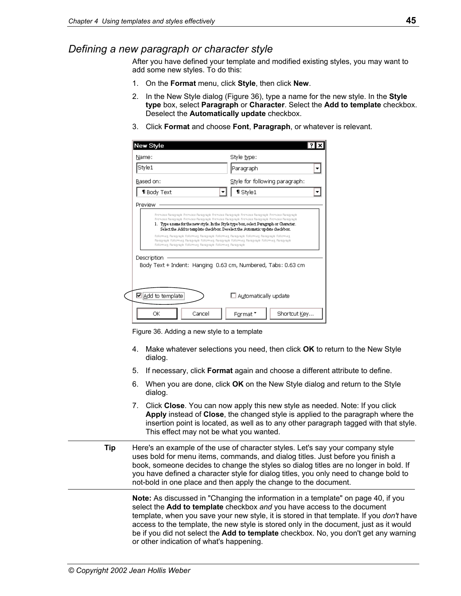# <span id="page-52-0"></span>*Defining a new paragraph or character style*

After you have defined your template and modified existing styles, you may want to add some new styles. To do this:

- 1. On the **Format** menu, click **Style**, then click **New**.
- 2. In the New Style dialog [\(Figure 36\)](#page-52-1), type a name for the new style. In the **Style type** box, select **Paragraph** or **Character**. Select the **Add to template** checkbox. Deselect the **Automatically update** checkbox.
- 3. Click **Format** and choose **Font**, **Paragraph**, or whatever is relevant.

| Name:                                                       | Style type:                                                                                                                                                                                                                                                                                                                                                       |  |
|-------------------------------------------------------------|-------------------------------------------------------------------------------------------------------------------------------------------------------------------------------------------------------------------------------------------------------------------------------------------------------------------------------------------------------------------|--|
| Style1                                                      | Paragraph                                                                                                                                                                                                                                                                                                                                                         |  |
| Based on:                                                   | Style for following paragraph:                                                                                                                                                                                                                                                                                                                                    |  |
| <b>1</b> Body Text                                          | $\P$ Style1                                                                                                                                                                                                                                                                                                                                                       |  |
| Preview                                                     |                                                                                                                                                                                                                                                                                                                                                                   |  |
|                                                             | Premous Paragraph Premous Paragraph Premous Paragraph Premous Paragraph Premous Paragraph<br>1. Type a name for the new style. In the Style type box, select Paragraph or Character.<br>Select the Add to template checkbox. Deselect the Automatic update checkbox.<br>Following Paragraph Following Paragraph Following Paragraph Following Paragraph Following |  |
| Following Paragraph Following Paragraph Following Paragraph | Paragraph Following Paragraph Following Paragraph Following Paragraph Following Paragraph                                                                                                                                                                                                                                                                         |  |
| Description                                                 | Body Text + Indent: Hanging 0.63 cm, Numbered, Tabs: 0.63 cm                                                                                                                                                                                                                                                                                                      |  |
|                                                             |                                                                                                                                                                                                                                                                                                                                                                   |  |
| ☑ <u>A</u> dd to template                                   | $\Box$ Automatically update                                                                                                                                                                                                                                                                                                                                       |  |

<span id="page-52-1"></span>Figure 36. Adding a new style to a template

- 4. Make whatever selections you need, then click **OK** to return to the New Style dialog.
- 5. If necessary, click **Format** again and choose a different attribute to define.
- 6. When you are done, click **OK** on the New Style dialog and return to the Style dialog.
- 7. Click **Close**. You can now apply this new style as needed. Note: If you click **Apply** instead of **Close**, the changed style is applied to the paragraph where the insertion point is located, as well as to any other paragraph tagged with that style. This effect may not be what you wanted.
- **Tip** Here's an example of the use of character styles. Let's say your company style uses bold for menu items, commands, and dialog titles. Just before you finish a book, someone decides to change the styles so dialog titles are no longer in bold. If you have defined a character style for dialog titles, you only need to change bold to not-bold in one place and then apply the change to the document.

**Note:** As discussed in "[Changing the information in a template"](#page-47-2) on page [40,](#page-47-2) if you select the **Add to template** checkbox *and* you have access to the document template, when you save your new style, it is stored in that template. If you *don't* have access to the template, the new style is stored only in the document, just as it would be if you did not select the **Add to template** checkbox. No, you don't get any warning or other indication of what's happening.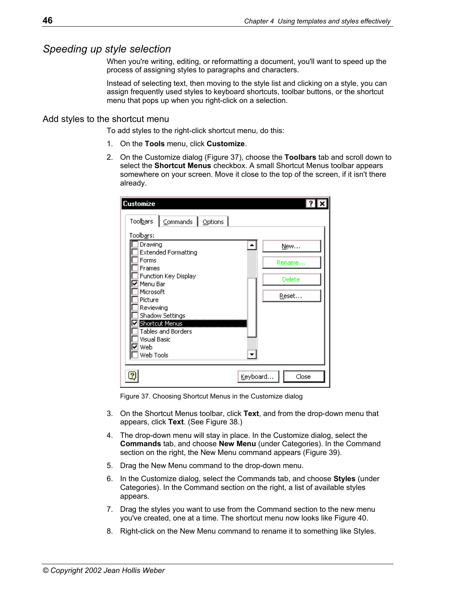# <span id="page-53-0"></span>*Speeding up style selection*

When you're writing, editing, or reformatting a document, you'll want to speed up the process of assigning styles to paragraphs and characters.

Instead of selecting text, then moving to the style list and clicking on a style, you can assign frequently used styles to keyboard shortcuts, toolbar buttons, or the shortcut menu that pops up when you right-click on a selection.

#### Add styles to the shortcut menu

To add styles to the right-click shortcut menu, do this:

- 1. On the **Tools** menu, click **Customize**.
- 2. On the Customize dialog ([Figure 37\)](#page-53-1), choose the **Toolbars** tab and scroll down to select the **Shortcut Menus** checkbox. A small Shortcut Menus toolbar appears somewhere on your screen. Move it close to the top of the screen, if it isn't there already.

<span id="page-53-1"></span>

| <b>Customize</b>                                 |        |
|--------------------------------------------------|--------|
| Toolbars<br>Commands   Options                   |        |
| Toolbars:                                        |        |
| Drawing<br><b>Extended Formatting</b>            | New    |
| Forms<br>Frames                                  | Rename |
| Function Key Display<br>⊽ Menu Bar               | Delete |
| Microsoft<br>Picture                             | Reset  |
| Reviewing                                        |        |
| Shadow Settings<br><b>V</b> Shortcut Menus       |        |
| <b>Tables and Borders</b><br><b>Visual Basic</b> |        |
| Web                                              |        |
| Web Tools                                        |        |
| Keyboard                                         | Close  |

Figure 37. Choosing Shortcut Menus in the Customize dialog

- 3. On the Shortcut Menus toolbar, click **Text**, and from the drop-down menu that appears, click **Text**. (See [Figure 38.](#page-54-0))
- 4. The drop-down menu will stay in place. In the Customize dialog, select the **Commands** tab, and choose **New Menu** (under Categories). In the Command section on the right, the New Menu command appears ([Figure 39\)](#page-54-1).
- 5. Drag the New Menu command to the drop-down menu.
- 6. In the Customize dialog, select the Commands tab, and choose **Styles** (under Categories). In the Command section on the right, a list of available styles appears.
- 7. Drag the styles you want to use from the Command section to the new menu you've created, one at a time. The shortcut menu now looks like [Figure 40.](#page-55-0)
- 8. Right-click on the New Menu command to rename it to something like Styles.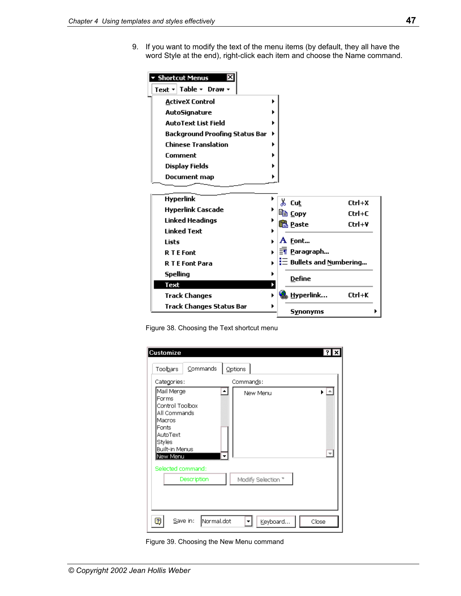9. If you want to modify the text of the menu items (by default, they all have the word Style at the end), right-click each item and choose the Name command.

<span id="page-54-0"></span>

Figure 38. Choosing the Text shortcut menu

<span id="page-54-1"></span>

| <b>Customize</b><br>Toolbars                                                                                                         | Commands               | Options            | ×                        |
|--------------------------------------------------------------------------------------------------------------------------------------|------------------------|--------------------|--------------------------|
| Categories:                                                                                                                          |                        | Commands:          |                          |
| Mail Merge<br>Forms<br>Control Toolbox<br>All Commands<br>Macros<br><b>Fonts</b><br>AutoText<br>Styles<br>Built-in Menus<br>New Menu |                        | New Menu           | $\overline{\phantom{a}}$ |
| Selected command:                                                                                                                    | Description            | Modify Selection * |                          |
| 2                                                                                                                                    | Save in:<br>Normal.dot | Keyboard           | Close                    |

Figure 39. Choosing the New Menu command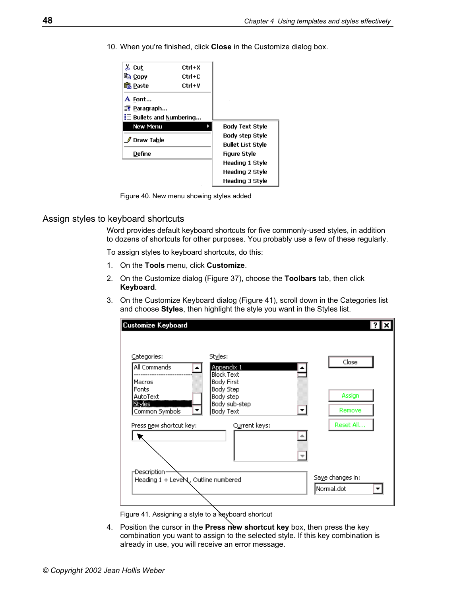10. When you're finished, click **Close** in the Customize dialog box.

<span id="page-55-0"></span>

Figure 40. New menu showing styles added

#### Assign styles to keyboard shortcuts

Word provides default keyboard shortcuts for five commonly-used styles, in addition to dozens of shortcuts for other purposes. You probably use a few of these regularly.

To assign styles to keyboard shortcuts, do this:

- 1. On the **Tools** menu, click **Customize**.
- 2. On the Customize dialog ([Figure 37\)](#page-53-1), choose the **Toolbars** tab, then click **Keyboard**.
- 3. On the Customize Keyboard dialog ([Figure 41\)](#page-55-1), scroll down in the Categories list and choose **Styles**, then highlight the style you want in the Styles list.

| Categories:                         | Styles:                         | Close            |
|-------------------------------------|---------------------------------|------------------|
| All Commands                        | Appendix 1                      |                  |
| Macros                              | <b>Block Text</b><br>Body First |                  |
| Fonts                               | Body Step                       |                  |
| AutoText<br>Styles                  | Body step<br>Body sub-step      | Assign           |
| Common Symbols                      | Body Text<br>▼                  | Remove<br>▼      |
| Press new shortcut key:             | Current keys:                   | Reset All        |
|                                     |                                 | ▲                |
|                                     |                                 |                  |
| Description-                        |                                 | Save changes in: |
| Heading 1 + LeveN, Outline numbered |                                 | Normal.dot<br>▼  |

<span id="page-55-1"></span>Figure 41. Assigning a style to a keyboard shortcut

4. Position the cursor in the **Press new shortcut key** box, then press the key combination you want to assign to the selected style. If this key combination is already in use, you will receive an error message.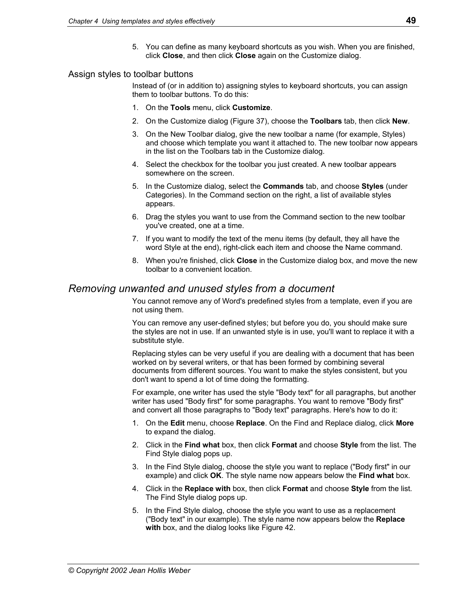5. You can define as many keyboard shortcuts as you wish. When you are finished, click **Close**, and then click **Close** again on the Customize dialog.

#### Assign styles to toolbar buttons

Instead of (or in addition to) assigning styles to keyboard shortcuts, you can assign them to toolbar buttons. To do this:

- 1. On the **Tools** menu, click **Customize**.
- 2. On the Customize dialog ([Figure 37\)](#page-53-1), choose the **Toolbars** tab, then click **New**.
- 3. On the New Toolbar dialog, give the new toolbar a name (for example, Styles) and choose which template you want it attached to. The new toolbar now appears in the list on the Toolbars tab in the Customize dialog.
- 4. Select the checkbox for the toolbar you just created. A new toolbar appears somewhere on the screen.
- 5. In the Customize dialog, select the **Commands** tab, and choose **Styles** (under Categories). In the Command section on the right, a list of available styles appears.
- 6. Drag the styles you want to use from the Command section to the new toolbar you've created, one at a time.
- 7. If you want to modify the text of the menu items (by default, they all have the word Style at the end), right-click each item and choose the Name command.
- 8. When you're finished, click **Close** in the Customize dialog box, and move the new toolbar to a convenient location.

# <span id="page-56-0"></span>*Removing unwanted and unused styles from a document*

You cannot remove any of Word's predefined styles from a template, even if you are not using them.

You can remove any user-defined styles; but before you do, you should make sure the styles are not in use. If an unwanted style is in use, you'll want to replace it with a substitute style.

Replacing styles can be very useful if you are dealing with a document that has been worked on by several writers, or that has been formed by combining several documents from different sources. You want to make the styles consistent, but you don't want to spend a lot of time doing the formatting.

For example, one writer has used the style "Body text" for all paragraphs, but another writer has used "Body first" for some paragraphs. You want to remove "Body first" and convert all those paragraphs to "Body text" paragraphs. Here's how to do it:

- 1. On the **Edit** menu, choose **Replace**. On the Find and Replace dialog, click **More** to expand the dialog.
- 2. Click in the **Find what** box, then click **Format** and choose **Style** from the list. The Find Style dialog pops up.
- 3. In the Find Style dialog, choose the style you want to replace ("Body first" in our example) and click **OK**. The style name now appears below the **Find what** box.
- 4. Click in the **Replace with** box, then click **Format** and choose **Style** from the list. The Find Style dialog pops up.
- 5. In the Find Style dialog, choose the style you want to use as a replacement ("Body text" in our example). The style name now appears below the **Replace with** box, and the dialog looks like [Figure 42.](#page-57-2)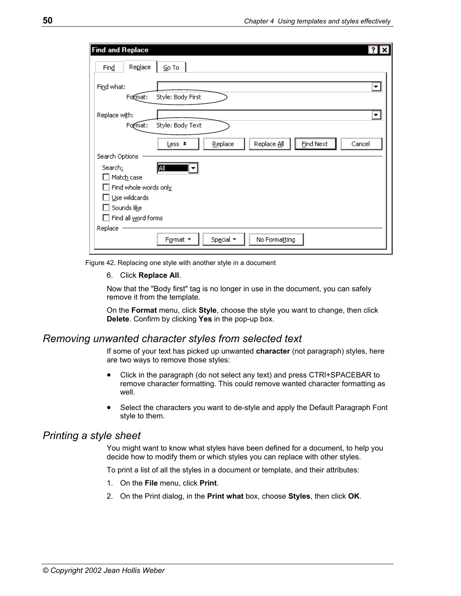| Find and Replace                                                                 |  |
|----------------------------------------------------------------------------------|--|
| Replace<br>Go To<br>Find                                                         |  |
| Find what:<br>Style: Body First<br>Format:                                       |  |
| Replace with:<br>Style: Body Text<br>Format:                                     |  |
| <b>Find Next</b><br>Replace All<br>Replace<br>Less *<br>Cancel<br>Search Options |  |
| <b>EII</b><br>Search:<br>Match case                                              |  |
| Find whole words only                                                            |  |
| Use wildcards<br>Sounds like                                                     |  |
| Find all word forms                                                              |  |
| Replace<br>Format *<br>Special *<br>No Formatting                                |  |

<span id="page-57-2"></span>Figure 42. Replacing one style with another style in a document

6. Click **Replace All**.

Now that the "Body first" tag is no longer in use in the document, you can safely remove it from the template.

On the **Format** menu, click **Style**, choose the style you want to change, then click **Delete**. Confirm by clicking **Yes** in the pop-up box.

#### <span id="page-57-0"></span>*Removing unwanted character styles from selected text*

If some of your text has picked up unwanted **character** (not paragraph) styles, here are two ways to remove those styles:

- Click in the paragraph (do not select any text) and press CTRl+SPACEBAR to remove character formatting. This could remove wanted character formatting as well.
- Select the characters you want to de-style and apply the Default Paragraph Font style to them.

# <span id="page-57-1"></span>*Printing a style sheet*

You might want to know what styles have been defined for a document, to help you decide how to modify them or which styles you can replace with other styles.

To print a list of all the styles in a document or template, and their attributes:

- 1. On the **File** menu, click **Print**.
- 2. On the Print dialog, in the **Print what** box, choose **Styles**, then click **OK**.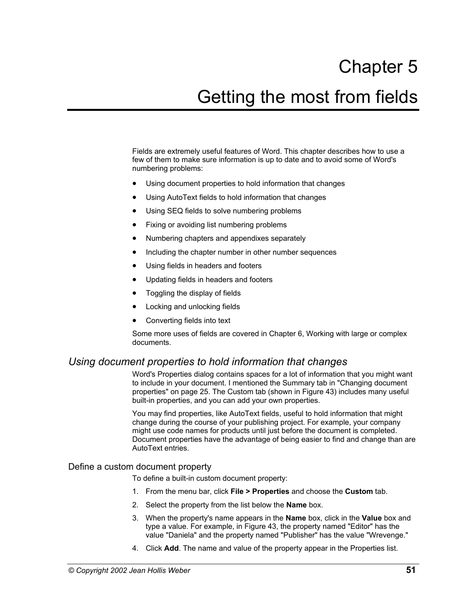# Chapter 5 Getting the most from fields

Fields are extremely useful features of Word. This chapter describes how to use a few of them to make sure information is up to date and to avoid some of Word's numbering problems:

- Using document properties to hold information that changes
- Using AutoText fields to hold information that changes
- [Using SEQ fields to solve numbering problems](#page-63-0)
- Fixing or avoiding list numbering problems
- [Numbering chapters and appendixes separately](#page-67-0)
- Including the chapter number in other number sequences
- [Using fields in headers and footers](#page-71-0)
- [Updating fields in headers and footers](#page-72-0)
- [Toggling the display of fields](#page-72-1)
- [Locking and unlocking fields](#page-73-0)
- [Converting fields into text](#page-73-1)

Some more uses of fields are covered in Chapter 6, Working with large or complex documents.

# <span id="page-58-0"></span>*Using document properties to hold information that changes*

Word's Properties dialog contains spaces for a lot of information that you might want to include in your document. I mentioned the Summary tab in ["Changing document](#page-32-0)  [properties"](#page-32-0) on page [25.](#page-32-0) The Custom tab (shown in [Figure 43\)](#page-59-0) includes many useful built-in properties, and you can add your own properties.

You may find properties, like AutoText fields, useful to hold information that might change during the course of your publishing project. For example, your company might use code names for products until just before the document is completed. Document properties have the advantage of being easier to find and change than are AutoText entries.

#### Define a custom document property

To define a built-in custom document property:

- 1. From the menu bar, click **File > Properties** and choose the **Custom** tab.
- 2. Select the property from the list below the **Name** box.
- 3. When the property's name appears in the **Name** box, click in the **Value** box and type a value. For example, in [Figure 43,](#page-59-0) the property named "Editor" has the value "Daniela" and the property named "Publisher" has the value "Wrevenge."
- 4. Click **Add**. The name and value of the property appear in the Properties list.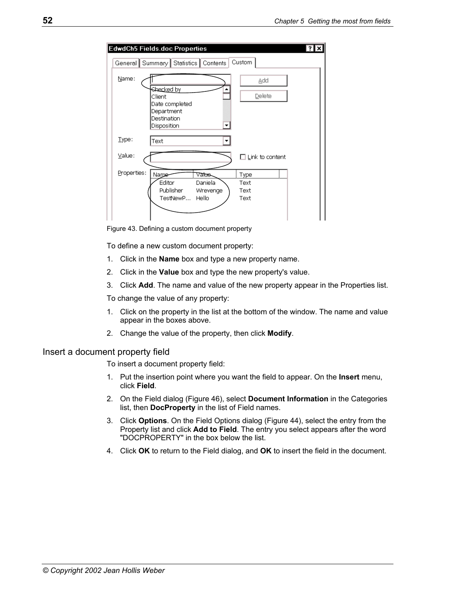| <b>EdwdCh5 Fields.doc Properties</b>                                                         |                              |
|----------------------------------------------------------------------------------------------|------------------------------|
| General Summary Statistics Contents                                                          | Custom                       |
| Name:<br>Shecked by<br>Client<br>Date completed<br>Department<br>Destination<br>Disposition  | Add<br>Delete                |
| Type:<br>Text                                                                                |                              |
| Value:                                                                                       | $\Box$ Link to content       |
| Properties:<br>Name<br>Value<br>Editor<br>Daniela<br>Publisher<br>Wrevenge<br>TestNewP Hello | Type<br>Text<br>Text<br>Text |

<span id="page-59-0"></span>Figure 43. Defining a custom document property

To define a new custom document property:

- 1. Click in the **Name** box and type a new property name.
- 2. Click in the **Value** box and type the new property's value.
- 3. Click **Add**. The name and value of the new property appear in the Properties list.

To change the value of any property:

- 1. Click on the property in the list at the bottom of the window. The name and value appear in the boxes above.
- 2. Change the value of the property, then click **Modify**.

#### Insert a document property field

To insert a document property field:

- 1. Put the insertion point where you want the field to appear. On the **Insert** menu, click **Field**.
- 2. On the Field dialog ([Figure 46\)](#page-61-0), select **Document Information** in the Categories list, then **DocProperty** in the list of Field names.
- 3. Click **Options**. On the Field Options dialog ([Figure 44\)](#page-60-2), select the entry from the Property list and click **Add to Field**. The entry you select appears after the word "DOCPROPERTY" in the box below the list.
- 4. Click **OK** to return to the Field dialog, and **OK** to insert the field in the document.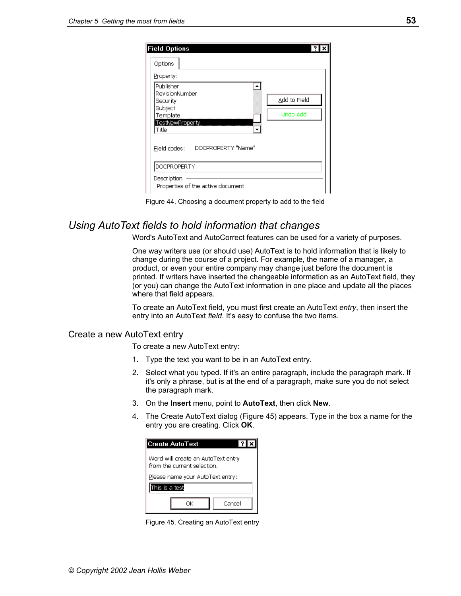<span id="page-60-2"></span>

| <b>Field Options</b>              |              |
|-----------------------------------|--------------|
| Options                           |              |
| Property:                         |              |
| Publisher                         |              |
| RevisionNumber<br>Security        | Add to Field |
| Subject<br>Template               | Undo Add     |
| TestNewProperty<br>Title          |              |
| Ejeld codes: DOCPROPERTY "Name"   |              |
| DOCPROPERTY                       |              |
| Description                       |              |
| Properties of the active document |              |



# <span id="page-60-1"></span>*Using AutoText fields to hold information that changes*

Word's AutoText and AutoCorrect features can be used for a variety of purposes.

One way writers use (or should use) AutoText is to hold information that is likely to change during the course of a project. For example, the name of a manager, a product, or even your entire company may change just before the document is printed. If writers have inserted the changeable information as an AutoText field, they (or you) can change the AutoText information in one place and update all the places where that field appears.

To create an AutoText field, you must first create an AutoText *entry*, then insert the entry into an AutoText *field*. It's easy to confuse the two items.

#### <span id="page-60-0"></span>Create a new AutoText entry

To create a new AutoText entry:

- 1. Type the text you want to be in an AutoText entry.
- 2. Select what you typed. If it's an entire paragraph, include the paragraph mark. If it's only a phrase, but is at the end of a paragraph, make sure you do not select the paragraph mark.
- 3. On the **Insert** menu, point to **AutoText**, then click **New**.
- 4. The Create AutoText dialog [\(Figure 45\)](#page-60-3) appears. Type in the box a name for the entry you are creating. Click **OK**.

<span id="page-60-3"></span>

| <b>Create AutoText</b><br>17.                                     |
|-------------------------------------------------------------------|
| Word will create an AutoText entry<br>from the current selection. |
| Please name your AutoText entry:                                  |
| This is a test                                                    |
| Cancel<br>ΩK                                                      |

Figure 45. Creating an AutoText entry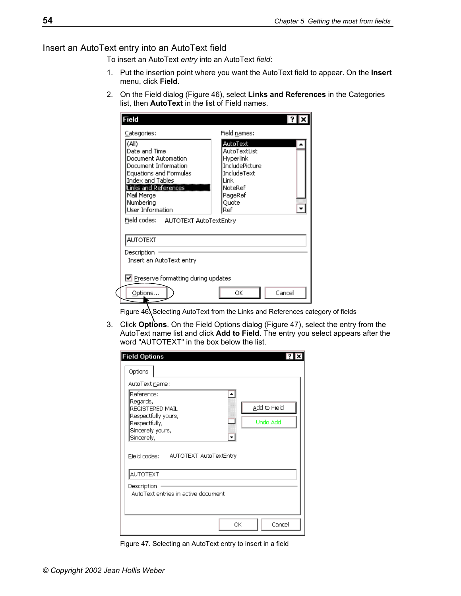# Insert an AutoText entry into an AutoText field

To insert an AutoText *entry* into an AutoText *field*:

- 1. Put the insertion point where you want the AutoText field to appear. On the **Insert**  menu, click **Field**.
- 2. On the Field dialog ([Figure 46\)](#page-61-0), select **Links and References** in the Categories list, then **AutoText** in the list of Field names.

| Categories:                                                                                                                                                                                       | Field names:                                                                                                         |  |
|---------------------------------------------------------------------------------------------------------------------------------------------------------------------------------------------------|----------------------------------------------------------------------------------------------------------------------|--|
| (A  )<br>Date and Time<br>Document Automation<br>Document Information<br>Equations and Formulas<br><b>Index and Tables</b><br>Links and References<br>Mail Merge<br>Numbering<br>User Information | AutoText<br>AutoTextList<br>Hyperlink<br>IncludePicture<br>IncludeText<br>Link<br>NoteRef<br>PageRef<br>Ouote<br>Ref |  |
| Field codes: AUTOTEXT AutoTextEntry                                                                                                                                                               |                                                                                                                      |  |
| <b>AUTOTEXT</b>                                                                                                                                                                                   |                                                                                                                      |  |
| Description<br>Insert an AutoText entry                                                                                                                                                           |                                                                                                                      |  |
|                                                                                                                                                                                                   |                                                                                                                      |  |
| $\triangleright$ Preserve formatting during updates                                                                                                                                               |                                                                                                                      |  |

<span id="page-61-0"></span>Figure 46. Selecting AutoText from the Links and References category of fields

3. Click **Options**. On the Field Options dialog ([Figure 47\)](#page-61-1), select the entry from the AutoText name list and click **Add to Field**. The entry you select appears after the word "AUTOTEXT" in the box below the list.

<span id="page-61-1"></span>

| <b>Field Options</b>                                                                                                                                       |                          |
|------------------------------------------------------------------------------------------------------------------------------------------------------------|--------------------------|
| Options                                                                                                                                                    |                          |
| AutoText name:                                                                                                                                             |                          |
| Reference:<br>Regards,<br>REGISTERED MAIL<br>Respectfully yours,<br>Respectfully,<br>Sincerely yours,<br>Sincerely,<br>Field codes: AUTOTEXT AutoTextEntry | Add to Field<br>Undo Add |
| <b>AUTOTEXT</b><br>Description<br>AutoText entries in active document                                                                                      |                          |
|                                                                                                                                                            | Cancel<br>ОК             |

Figure 47. Selecting an AutoText entry to insert in a field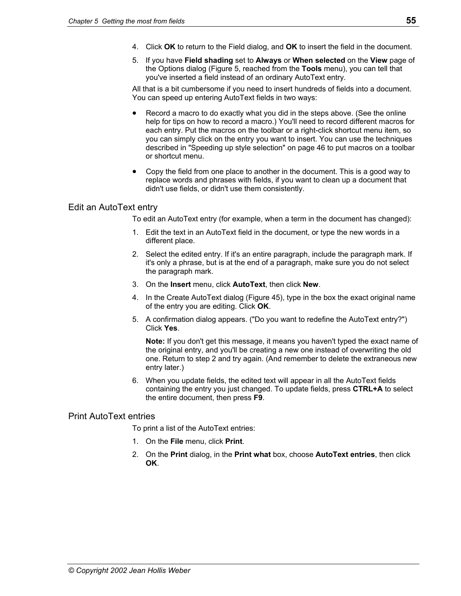- 4. Click **OK** to return to the Field dialog, and **OK** to insert the field in the document.
- 5. If you have **Field shading** set to **Always** or **When selected** on the **View** page of the Options dialog (Figure 5, reached from the **Tools** menu), you can tell that you've inserted a field instead of an ordinary AutoText entry.

All that is a bit cumbersome if you need to insert hundreds of fields into a document. You can speed up entering AutoText fields in two ways:

- Record a macro to do exactly what you did in the steps above. (See the online help for tips on how to record a macro.) You'll need to record different macros for each entry. Put the macros on the toolbar or a right-click shortcut menu item, so you can simply click on the entry you want to insert. You can use the techniques described in "[Speeding up style selection"](#page-53-0) on page [46](#page-53-0) to put macros on a toolbar or shortcut menu.
- Copy the field from one place to another in the document. This is a good way to replace words and phrases with fields, if you want to clean up a document that didn't use fields, or didn't use them consistently.

#### Edit an AutoText entry

To edit an AutoText entry (for example, when a term in the document has changed):

- 1. Edit the text in an AutoText field in the document, or type the new words in a different place.
- 2. Select the edited entry. If it's an entire paragraph, include the paragraph mark. If it's only a phrase, but is at the end of a paragraph, make sure you do not select the paragraph mark.
- 3. On the **Insert** menu, click **AutoText**, then click **New**.
- 4. In the Create AutoText dialog ([Figure 45\)](#page-60-3), type in the box the exact original name of the entry you are editing. Click **OK**.
- 5. A confirmation dialog appears. ("Do you want to redefine the AutoText entry?") Click **Yes**.

**Note:** If you don't get this message, it means you haven't typed the exact name of the original entry, and you'll be creating a new one instead of overwriting the old one. Return to step 2 and try again. (And remember to delete the extraneous new entry later.)

6. When you update fields, the edited text will appear in all the AutoText fields containing the entry you just changed. To update fields, press **CTRL+A** to select the entire document, then press **F9**.

#### Print AutoText entries

To print a list of the AutoText entries:

- 1. On the **File** menu, click **Print**.
- 2. On the **Print** dialog, in the **Print what** box, choose **AutoText entries**, then click **OK**.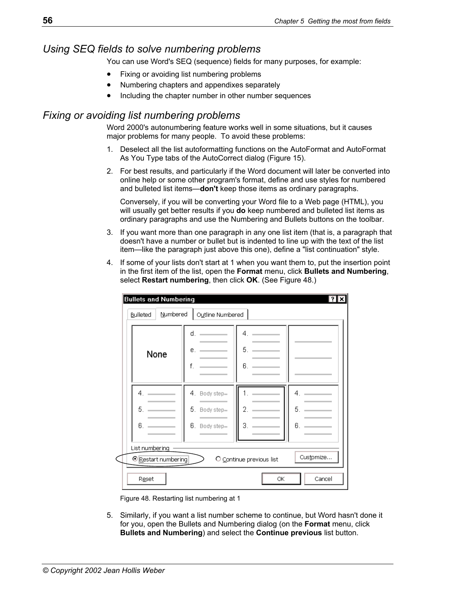# <span id="page-63-0"></span>*Using SEQ fields to solve numbering problems*

You can use Word's SEQ (sequence) fields for many purposes, for example:

- [Fixing or avoiding list numbering problems](#page-63-1)
- [Numbering chapters and appendixes separately](#page-67-0)
- Including the chapter number in other number sequences

# <span id="page-63-1"></span>*Fixing or avoiding list numbering problems*

Word 2000's autonumbering feature works well in some situations, but it causes major problems for many people. To avoid these problems:

- 1. Deselect all the list autoformatting functions on the AutoFormat and AutoFormat As You Type tabs of the AutoCorrect dialog (Figure 15).
- 2. For best results, and particularly if the Word document will later be converted into online help or some other program's format, define and use styles for numbered and bulleted list items—**don't** keep those items as ordinary paragraphs.

 Conversely, if you will be converting your Word file to a Web page (HTML), you will usually get better results if you **do** keep numbered and bulleted list items as ordinary paragraphs and use the Numbering and Bullets buttons on the toolbar.

- 3. If you want more than one paragraph in any one list item (that is, a paragraph that doesn't have a number or bullet but is indented to line up with the text of the list item—like the paragraph just above this one), define a "list continuation" style.
- 4. If some of your lists don't start at 1 when you want them to, put the insertion point in the first item of the list, open the **Format** menu, click **Bullets and Numbering**, select **Restart numbering**, then click **OK**. (See [Figure 48.](#page-63-2))

<span id="page-63-2"></span>

| None           | d.<br>е.<br>f.                          | 4.<br>5.<br>6. |    |
|----------------|-----------------------------------------|----------------|----|
| 4.             | 4. Body step=                           |                | 4. |
| 5.             | 5. Body step=                           | 2.             | 5. |
| 6.             | <b>Service Control</b><br>6. Body step= | З.             | 6. |
| List numbering |                                         |                |    |

Figure 48. Restarting list numbering at 1

5. Similarly, if you want a list number scheme to continue, but Word hasn't done it for you, open the Bullets and Numbering dialog (on the **Format** menu, click **Bullets and Numbering**) and select the **Continue previous** list button.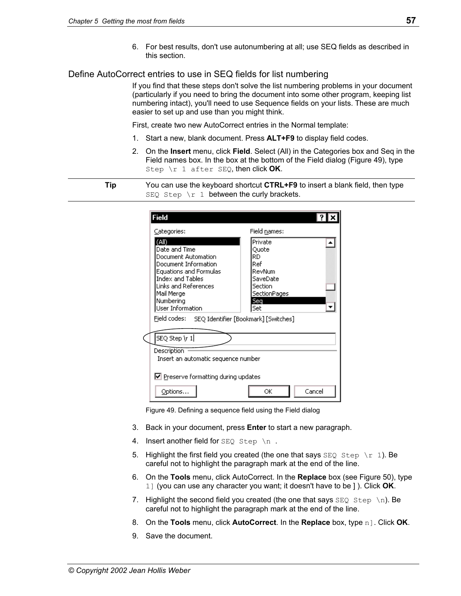6. For best results, don't use autonumbering at all; use SEQ fields as described in this section.

## Define AutoCorrect entries to use in SEQ fields for list numbering

If you find that these steps don't solve the list numbering problems in your document (particularly if you need to bring the document into some other program, keeping list numbering intact), you'll need to use Sequence fields on your lists. These are much easier to set up and use than you might think.

First, create two new AutoCorrect entries in the Normal template:

- 1. Start a new, blank document. Press **ALT+F9** to display field codes.
- 2. On the **Insert** menu, click **Field**. Select (All) in the Categories box and Seq in the Field names box. In the box at the bottom of the Field dialog ([Figure 49\)](#page-64-0), type Step \r 1 after SEQ, then click **OK**.

**Tip** You can use the keyboard shortcut **CTRL+F9** to insert a blank field, then type  $SEQ$  Step \r 1 between the curly brackets.

| Categories:                                                                                                                                                                          | Field names:                                                                          |
|--------------------------------------------------------------------------------------------------------------------------------------------------------------------------------------|---------------------------------------------------------------------------------------|
| (All)<br>Date and Time<br>Document Automation<br>Document Information<br><b>Equations and Formulas</b><br>Index and Tables<br><b>Links and References</b><br>Mail Merge<br>Numbering | Private<br>Quote<br>RD<br>Ref<br>RevNum<br>SaveDate<br>Section<br>SectionPages<br>Seq |
| User Information<br>Field codes:                                                                                                                                                     | Set<br>SEQ Identifier [Bookmark] [Switches]                                           |
| SEQ Step \r 1                                                                                                                                                                        |                                                                                       |
| Description<br>Insert an automatic sequence number                                                                                                                                   |                                                                                       |
|                                                                                                                                                                                      |                                                                                       |

<span id="page-64-0"></span>Figure 49. Defining a sequence field using the Field dialog

- 3. Back in your document, press **Enter** to start a new paragraph.
- 4. Insert another field for  $SEQ$  Step \n.
- 5. Highlight the first field you created (the one that says  $SEO$  Step \r 1). Be careful not to highlight the paragraph mark at the end of the line.
- 6. On the **Tools** menu, click AutoCorrect. In the **Replace** box (see [Figure 50\)](#page-65-0), type 1] (you can use any character you want; it doesn't have to be ] ). Click **OK**.
- 7. Highlight the second field you created (the one that says  $SEQ$  Step \n). Be careful not to highlight the paragraph mark at the end of the line.
- 8. On the **Tools** menu, click **AutoCorrect**. In the **Replace** box, type n]. Click **OK**.
- 9. Save the document.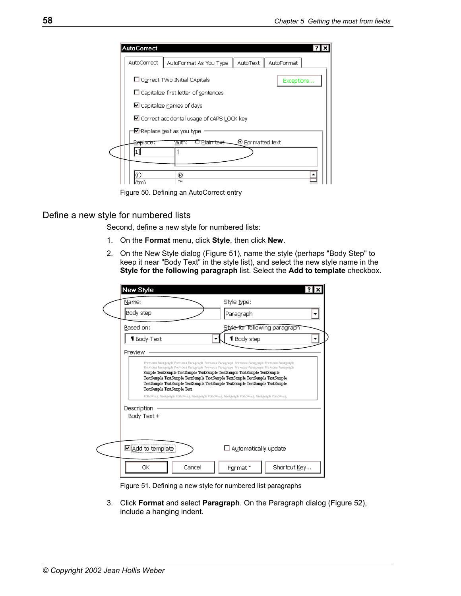| <b>AutoCorrect</b><br>AutoCorrect | AutoText  <br>AutoFormat As You Type        | AutoFormat               |  |
|-----------------------------------|---------------------------------------------|--------------------------|--|
|                                   | □ Correct TWo INitial CApitals              | Exceptions               |  |
|                                   | $\Box$ Capitalize first letter of sentences |                          |  |
|                                   | $\boxdot$ Capitalize names of days          |                          |  |
|                                   | ■ Correct accidental usage of cAPS LOCK key |                          |  |
|                                   | Meplace text as you type⊑                   |                          |  |
| Re <del>place</del> :             | <u>Plain text</u><br>With:                  | $\bullet$ Formatted text |  |
| 11                                |                                             |                          |  |
|                                   |                                             |                          |  |
| (r)                               | ®<br><b>TM</b>                              |                          |  |

<span id="page-65-0"></span>Figure 50. Defining an AutoCorrect entry

#### Define a new style for numbered lists

Second, define a new style for numbered lists:

- 1. On the **Format** menu, click **Style**, then click **New**.
- 2. On the New Style dialog ([Figure 51\)](#page-65-1), name the style (perhaps "Body Step" to keep it near "Body Text" in the style list), and select the new style name in the **Style for the following paragraph** list. Select the **Add to template** checkbox.

| Name:   |                            | Style type:                                                                                                                                                                                                                                                                                                                           |  |
|---------|----------------------------|---------------------------------------------------------------------------------------------------------------------------------------------------------------------------------------------------------------------------------------------------------------------------------------------------------------------------------------|--|
|         | Body step                  | Paragraph                                                                                                                                                                                                                                                                                                                             |  |
|         | Based on:                  | Style for following paragraph.                                                                                                                                                                                                                                                                                                        |  |
|         | <b>1</b> Body Text         | <b>1</b> Body step                                                                                                                                                                                                                                                                                                                    |  |
| Preview |                            |                                                                                                                                                                                                                                                                                                                                       |  |
|         | TextSample TextSample Text | Premous Paragraph Premous Paragraph Premous Paragraph Premous Paragraph Premous Paragraph<br>Sample TextSample TextSample TextSample TextSample TextSample TextSample<br>TextSample TextSample TextSample TextSample TextSample TextSample TextSample<br>TextSample TextSample TextSample TextSample TextSample TextSample TextSample |  |
|         | Description                | Following Paragraph Following Paragraph Following Paragraph Following Paragraph Following                                                                                                                                                                                                                                             |  |
|         | Body Text +                |                                                                                                                                                                                                                                                                                                                                       |  |
|         | ☑ <u>A</u> dd to template  | $\Box$ Automatically update                                                                                                                                                                                                                                                                                                           |  |

<span id="page-65-1"></span>Figure 51. Defining a new style for numbered list paragraphs

3. Click **Format** and select **Paragraph**. On the Paragraph dialog [\(Figure 52\)](#page-66-0), include a hanging indent.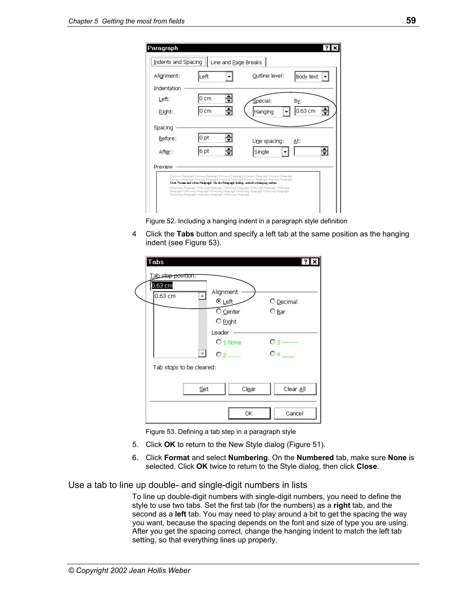| Paragraph                                                                                                                                                                                                                                                                                                                          |                      |                                                                                                                                                                                                  | γ.           |
|------------------------------------------------------------------------------------------------------------------------------------------------------------------------------------------------------------------------------------------------------------------------------------------------------------------------------------|----------------------|--------------------------------------------------------------------------------------------------------------------------------------------------------------------------------------------------|--------------|
| Indents and Spacing                                                                                                                                                                                                                                                                                                                | Line and Page Breaks |                                                                                                                                                                                                  |              |
| Alignment:                                                                                                                                                                                                                                                                                                                         | Left                 | Outline level:                                                                                                                                                                                   | Body text    |
| Indentation                                                                                                                                                                                                                                                                                                                        |                      |                                                                                                                                                                                                  |              |
| Left:                                                                                                                                                                                                                                                                                                                              | 0 cm                 | Special:                                                                                                                                                                                         | By:          |
| Right:                                                                                                                                                                                                                                                                                                                             | 0 cm                 | Hanging                                                                                                                                                                                          | 0.63 cm<br>≑ |
| Spacing                                                                                                                                                                                                                                                                                                                            |                      |                                                                                                                                                                                                  |              |
| Before:                                                                                                                                                                                                                                                                                                                            | 0 pt                 | Line spacing:                                                                                                                                                                                    | <u>Α</u> t:  |
| Aft <u>er</u> :                                                                                                                                                                                                                                                                                                                    | 6 pt                 | Single                                                                                                                                                                                           | ÷            |
| Preview                                                                                                                                                                                                                                                                                                                            |                      |                                                                                                                                                                                                  |              |
|                                                                                                                                                                                                                                                                                                                                    |                      | Previous Paragraph Previous Paragraph Previous Paragraph Previous Paragraph Previous Paragraph<br>Previous Paragraph Previous Paragraph Previous Paragraph Previous Paragraph Previous Paragraph |              |
| Click, Forces and scient Paragraph. On the Paragraph dialog, raciude a basgrap radent<br>Following Paggiaph Following Paggiaph Following Paggiaph Following Paggiaph Following<br>Paagiaph Fallowieg Paagiaph Fallowieg Paagiaph Fellowieg Paagiaph Fellowieg Paagiaph<br>Following Paggiaph Following Paggiaph Following Paggiaph |                      |                                                                                                                                                                                                  |              |
|                                                                                                                                                                                                                                                                                                                                    |                      |                                                                                                                                                                                                  |              |

<span id="page-66-0"></span>Figure 52. Including a hanging indent in a paragraph style definition

4 Click the **Tabs** button and specify a left tab at the same position as the hanging indent (see [Figure 53\)](#page-66-1).



<span id="page-66-1"></span>Figure 53. Defining a tab step in a paragraph style

- 5. Click **OK** to return to the New Style dialog [\(Figure 51\)](#page-65-1).
- 6. Click **Format** and select **Numbering**. On the **Numbered** tab, make sure **None** is selected. Click **OK** twice to return to the Style dialog, then click **Close**.

#### Use a tab to line up double- and single-digit numbers in lists

To line up double-digit numbers with single-digit numbers, you need to define the style to use two tabs. Set the first tab (for the numbers) as a **right** tab, and the second as a **left** tab. You may need to play around a bit to get the spacing the way you want, because the spacing depends on the font and size of type you are using. After you get the spacing correct, change the hanging indent to match the left tab setting, so that everything lines up properly.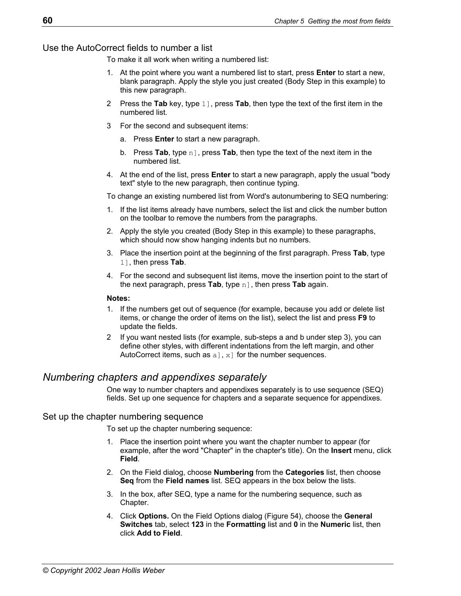Use the AutoCorrect fields to number a list

To make it all work when writing a numbered list:

- 1. At the point where you want a numbered list to start, press **Enter** to start a new, blank paragraph. Apply the style you just created (Body Step in this example) to this new paragraph.
- 2 Press the **Tab** key, type 1], press **Tab**, then type the text of the first item in the numbered list.
- 3 For the second and subsequent items:
	- a. Press **Enter** to start a new paragraph.
	- b. Press **Tab**, type n], press **Tab**, then type the text of the next item in the numbered list.
- 4. At the end of the list, press **Enter** to start a new paragraph, apply the usual "body text" style to the new paragraph, then continue typing.

To change an existing numbered list from Word's autonumbering to SEQ numbering:

- 1. If the list items already have numbers, select the list and click the number button on the toolbar to remove the numbers from the paragraphs.
- 2. Apply the style you created (Body Step in this example) to these paragraphs, which should now show hanging indents but no numbers.
- 3. Place the insertion point at the beginning of the first paragraph. Press **Tab**, type 1], then press **Tab**.
- 4. For the second and subsequent list items, move the insertion point to the start of the next paragraph, press **Tab**, type n], then press **Tab** again.

#### **Notes:**

- 1. If the numbers get out of sequence (for example, because you add or delete list items, or change the order of items on the list), select the list and press **F9** to update the fields.
- 2 If you want nested lists (for example, sub-steps a and b under step 3), you can define other styles, with different indentations from the left margin, and other AutoCorrect items, such as  $a, x$  for the number sequences.

# <span id="page-67-0"></span>*Numbering chapters and appendixes separately*

One way to number chapters and appendixes separately is to use sequence (SEQ) fields. Set up one sequence for chapters and a separate sequence for appendixes.

#### Set up the chapter numbering sequence

To set up the chapter numbering sequence:

- 1. Place the insertion point where you want the chapter number to appear (for example, after the word "Chapter" in the chapter's title). On the **Insert** menu, click **Field**.
- 2. On the Field dialog, choose **Numbering** from the **Categories** list, then choose **Seq** from the **Field names** list. SEQ appears in the box below the lists.
- 3. In the box, after SEQ, type a name for the numbering sequence, such as Chapter.
- 4. Click **Options.** On the Field Options dialog ([Figure 54\)](#page-68-0), choose the **General Switches** tab, select **123** in the **Formatting** list and **0** in the **Numeric** list, then click **Add to Field**.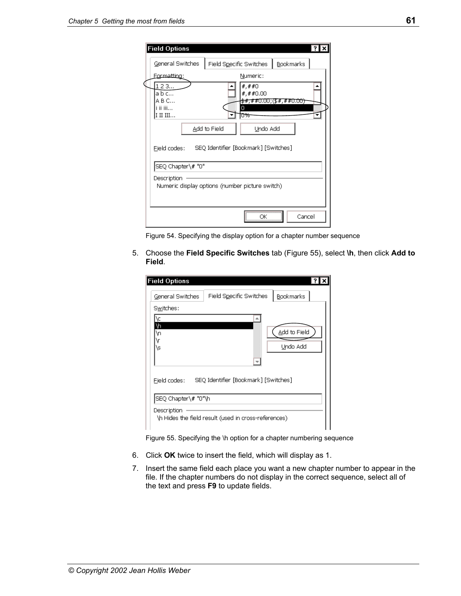|                                                                           | <b>Field Options</b> |                         |                                                                     |           |
|---------------------------------------------------------------------------|----------------------|-------------------------|---------------------------------------------------------------------|-----------|
|                                                                           | General Switches     | Field Specific Switches |                                                                     | Bookmarks |
|                                                                           | Formatting:          |                         | Numeric:                                                            |           |
| 123<br>a b c<br>A B C<br>i ii iii<br>I II III                             |                      |                         | #,##0<br>#, ##0.00<br><del>\$#,##0.00;(\$#,##0.00)</del><br>Π<br>0% |           |
|                                                                           |                      | Add to Field            | Undo Add                                                            |           |
| SEQ Identifier [Bookmark] [Switches]<br>Field codes:<br>SEQ Chapter\# "0" |                      |                         |                                                                     |           |
| Description<br>Numeric display options (number picture switch)            |                      |                         |                                                                     |           |
|                                                                           |                      |                         | ΟК                                                                  | Cancel    |

<span id="page-68-0"></span>Figure 54. Specifying the display option for a chapter number sequence

5. Choose the **Field Specific Switches** tab [\(Figure 55\)](#page-68-1), select **\h**, then click **Add to Field**.

| <b>Field Options</b> |                                                      |
|----------------------|------------------------------------------------------|
| General Switches     | Field Specific Switches<br>Bookmarks                 |
| Switches:            |                                                      |
| ۱¢<br>۱þ<br>۱ņ<br>\s | Add to Field<br>Undo Add                             |
| Field codes:         | SEQ Identifier [Bookmark] [Switches]                 |
| SEQ Chapter\# "0"\h  |                                                      |
| Description          | \h Hides the field result (used in cross-references) |

<span id="page-68-1"></span>Figure 55. Specifying the \h option for a chapter numbering sequence

- 6. Click **OK** twice to insert the field, which will display as 1.
- 7. Insert the same field each place you want a new chapter number to appear in the file. If the chapter numbers do not display in the correct sequence, select all of the text and press **F9** to update fields.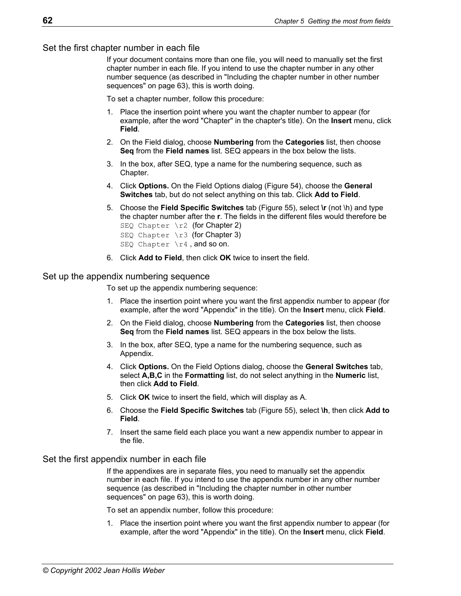Set the first chapter number in each file

If your document contains more than one file, you will need to manually set the first chapter number in each file. If you intend to use the chapter number in any other number sequence (as described in "[Including the chapter number in other number](#page-70-0)  [sequences"](#page-70-0) on page [63\)](#page-70-0), this is worth doing.

To set a chapter number, follow this procedure:

- 1. Place the insertion point where you want the chapter number to appear (for example, after the word "Chapter" in the chapter's title). On the **Insert** menu, click **Field**.
- 2. On the Field dialog, choose **Numbering** from the **Categories** list, then choose **Seq** from the **Field names** list. SEQ appears in the box below the lists.
- 3. In the box, after SEQ, type a name for the numbering sequence, such as Chapter.
- 4. Click **Options.** On the Field Options dialog ([Figure 54\)](#page-68-0), choose the **General Switches** tab, but do not select anything on this tab. Click **Add to Field**.
- 5. Choose the **Field Specific Switches** tab [\(Figure 55\)](#page-68-1), select **\r** (not \h) and type the chapter number after the **r**. The fields in the different files would therefore be SEQ Chapter  $\rceil$  (for Chapter 2)
	- SEQ Chapter \r3 (for Chapter 3)
	- SEQ Chapter \r4, and so on.
- 6. Click **Add to Field**, then click **OK** twice to insert the field.

#### Set up the appendix numbering sequence

To set up the appendix numbering sequence:

- 1. Place the insertion point where you want the first appendix number to appear (for example, after the word "Appendix" in the title). On the **Insert** menu, click **Field**.
- 2. On the Field dialog, choose **Numbering** from the **Categories** list, then choose **Seq** from the **Field names** list. SEQ appears in the box below the lists.
- 3. In the box, after SEQ, type a name for the numbering sequence, such as Appendix.
- 4. Click **Options.** On the Field Options dialog, choose the **General Switches** tab, select **A,B,C** in the **Formatting** list, do not select anything in the **Numeric** list, then click **Add to Field**.
- 5. Click **OK** twice to insert the field, which will display as A.
- 6. Choose the **Field Specific Switches** tab [\(Figure 55\)](#page-68-1), select **\h**, then click **Add to Field**.
- 7. Insert the same field each place you want a new appendix number to appear in the file.

#### Set the first appendix number in each file

If the appendixes are in separate files, you need to manually set the appendix number in each file. If you intend to use the appendix number in any other number sequence (as described in "[Including the chapter number in other number](#page-70-0)  [sequences"](#page-70-0) on page [63\)](#page-70-0), this is worth doing.

To set an appendix number, follow this procedure:

1. Place the insertion point where you want the first appendix number to appear (for example, after the word "Appendix" in the title). On the **Insert** menu, click **Field**.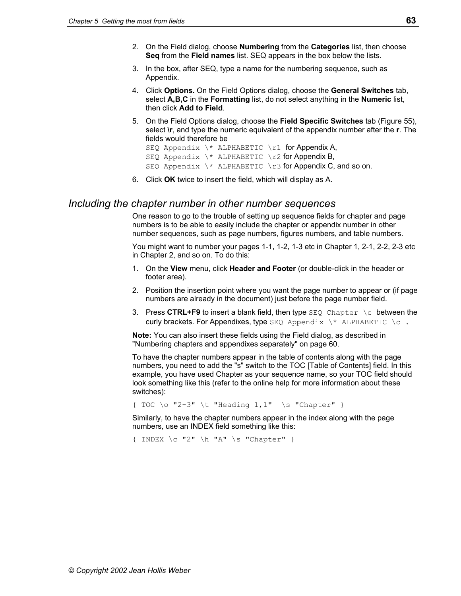- 2. On the Field dialog, choose **Numbering** from the **Categories** list, then choose **Seq** from the **Field names** list. SEQ appears in the box below the lists.
- 3. In the box, after SEQ, type a name for the numbering sequence, such as Appendix.
- 4. Click **Options.** On the Field Options dialog, choose the **General Switches** tab, select **A,B,C** in the **Formatting** list, do not select anything in the **Numeric** list, then click **Add to Field**.
- 5. On the Field Options dialog, choose the **Field Specific Switches** tab [\(Figure 55\)](#page-68-1), select **\r**, and type the numeric equivalent of the appendix number after the **r**. The fields would therefore be

```
SEQ Appendix \setminus^* ALPHABETIC \setminusr1 for Appendix A,
SEQ Appendix \setminus^* ALPHABETIC \setminusr2 for Appendix B,
SEQ Appendix \setminus^* ALPHABETIC \setminusr3 for Appendix C, and so on.
```
6. Click **OK** twice to insert the field, which will display as A.

# <span id="page-70-0"></span>*Including the chapter number in other number sequences*

One reason to go to the trouble of setting up sequence fields for chapter and page numbers is to be able to easily include the chapter or appendix number in other number sequences, such as page numbers, figures numbers, and table numbers.

You might want to number your pages 1-1, 1-2, 1-3 etc in Chapter 1, 2-1, 2-2, 2-3 etc in Chapter 2, and so on. To do this:

- 1. On the **View** menu, click **Header and Footer** (or double-click in the header or footer area).
- 2. Position the insertion point where you want the page number to appear or (if page numbers are already in the document) just before the page number field.
- **3. Press CTRL+F9** to insert a blank field, then type SEQ Chapter \c between the curly brackets. For Appendixes, type  $SEQ$  Appendix  $\setminus^*$  ALPHABETIC  $\setminus c$ .

**Note:** You can also insert these fields using the Field dialog, as described in ["Numbering chapters and appendixes separately"](#page-67-0) on page [60.](#page-67-0)

To have the chapter numbers appear in the table of contents along with the page numbers, you need to add the "s" switch to the TOC [Table of Contents] field. In this example, you have used Chapter as your sequence name, so your TOC field should look something like this (refer to the online help for more information about these switches):

{ TOC \o "2-3" \t "Heading 1,1" \s "Chapter" }

Similarly, to have the chapter numbers appear in the index along with the page numbers, use an INDEX field something like this:

 $\{$  INDEX  $\c$  "2"  $\hbar$  "A"  $\s$  "Chapter" }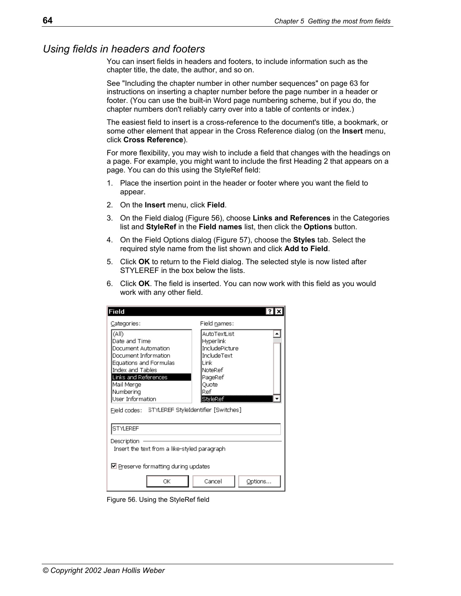# <span id="page-71-0"></span>*Using fields in headers and footers*

You can insert fields in headers and footers, to include information such as the chapter title, the date, the author, and so on.

See "[Including the chapter number in other number sequences"](#page-70-0) on page [63](#page-70-0) for instructions on inserting a chapter number before the page number in a header or footer. (You can use the built-in Word page numbering scheme, but if you do, the chapter numbers don't reliably carry over into a table of contents or index.)

The easiest field to insert is a cross-reference to the document's title, a bookmark, or some other element that appear in the Cross Reference dialog (on the **Insert** menu, click **Cross Reference**).

For more flexibility, you may wish to include a field that changes with the headings on a page. For example, you might want to include the first Heading 2 that appears on a page. You can do this using the StyleRef field:

- 1. Place the insertion point in the header or footer where you want the field to appear.
- 2. On the **Insert** menu, click **Field**.
- 3. On the Field dialog ([Figure 56\)](#page-71-1), choose **Links and References** in the Categories list and **StyleRef** in the **Field names** list, then click the **Options** button.
- 4. On the Field Options dialog ([Figure 57\)](#page-72-2), choose the **Styles** tab. Select the required style name from the list shown and click **Add to Field**.
- 5. Click **OK** to return to the Field dialog. The selected style is now listed after STYLEREF in the box below the lists.
- 6. Click **OK**. The field is inserted. You can now work with this field as you would work with any other field.

<span id="page-71-1"></span>

| Field                                                                                                                                                                                       |                                                                                                                       |  |  |
|---------------------------------------------------------------------------------------------------------------------------------------------------------------------------------------------|-----------------------------------------------------------------------------------------------------------------------|--|--|
| Categories:                                                                                                                                                                                 | Field names:                                                                                                          |  |  |
| (All)<br>Date and Time<br>Document Automation.<br>Document Information<br>Equations and Formulas<br>Index and Tables<br>Links and References<br>Mail Merge<br>Numbering<br>User Information | AutoTextList<br>Hyperlink<br>IncludePicture<br>IncludeText<br>1 ink<br>NoteRef<br>PageRef<br>Ouote<br>Ref<br>StvleRef |  |  |
|                                                                                                                                                                                             |                                                                                                                       |  |  |
| STYLEREF                                                                                                                                                                                    |                                                                                                                       |  |  |
| Description<br>Insert the text from a like-styled paragraph                                                                                                                                 |                                                                                                                       |  |  |
| $\boxtimes$ Preserve formatting during updates                                                                                                                                              |                                                                                                                       |  |  |
| ОK                                                                                                                                                                                          | Cancel<br>Options                                                                                                     |  |  |

Figure 56. Using the StyleRef field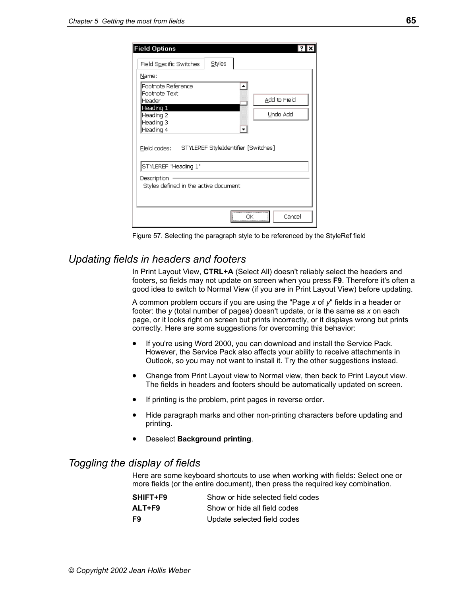| <b>Field Options</b>                                                     |        |              |
|--------------------------------------------------------------------------|--------|--------------|
| Field Specific Switches                                                  | Styles |              |
| Name:                                                                    |        |              |
| Footnote Reference                                                       |        |              |
| Footnote Text<br>Header                                                  |        | Add to Field |
| Heading 1                                                                |        |              |
| Heading 2                                                                |        | Undo Add     |
| Heading 3                                                                |        |              |
| Heading 4                                                                |        |              |
| Field codes: STYLEREF StyleIdentifier [Switches]<br>STYLEREF "Heading 1" |        |              |
| Description                                                              |        |              |
| Styles defined in the active document                                    |        |              |
|                                                                          |        |              |
|                                                                          |        |              |
|                                                                          |        | Cancel       |

Figure 57. Selecting the paragraph style to be referenced by the StyleRef field

## *Updating fields in headers and footers*

In Print Layout View, **CTRL+A** (Select All) doesn't reliably select the headers and footers, so fields may not update on screen when you press **F9**. Therefore it's often a good idea to switch to Normal View (if you are in Print Layout View) before updating.

A common problem occurs if you are using the "Page *x* of *y*" fields in a header or footer: the *y* (total number of pages) doesn't update, or is the same as *x* on each page, or it looks right on screen but prints incorrectly, or it displays wrong but prints correctly. Here are some suggestions for overcoming this behavior:

- If you're using Word 2000, you can download and install the Service Pack. However, the Service Pack also affects your ability to receive attachments in Outlook, so you may not want to install it. Try the other suggestions instead.
- Change from Print Layout view to Normal view, then back to Print Layout view. The fields in headers and footers should be automatically updated on screen.
- If printing is the problem, print pages in reverse order.
- Hide paragraph marks and other non-printing characters before updating and printing.
- Deselect **Background printing**.

## *Toggling the display of fields*

Here are some keyboard shortcuts to use when working with fields: Select one or more fields (or the entire document), then press the required key combination.

| SHIFT+F9 | Show or hide selected field codes |
|----------|-----------------------------------|
| ALT+F9   | Show or hide all field codes      |
| F9       | Update selected field codes       |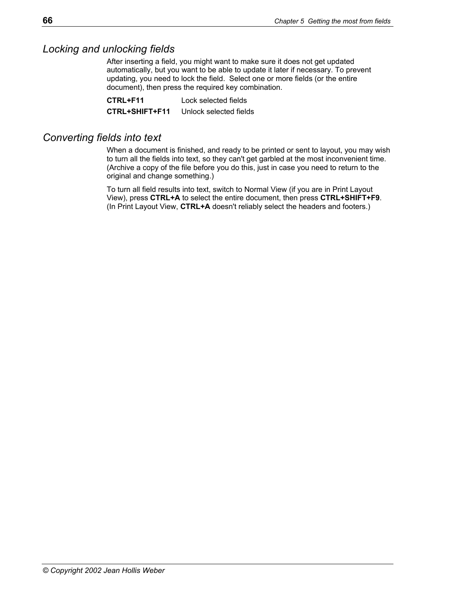## *Locking and unlocking fields*

After inserting a field, you might want to make sure it does not get updated automatically, but you want to be able to update it later if necessary. To prevent updating, you need to lock the field. Select one or more fields (or the entire document), then press the required key combination.

**CTRL+F11** Lock selected fields **CTRL+SHIFT+F11** Unlock selected fields

## *Converting fields into text*

When a document is finished, and ready to be printed or sent to layout, you may wish to turn all the fields into text, so they can't get garbled at the most inconvenient time. (Archive a copy of the file before you do this, just in case you need to return to the original and change something.)

To turn all field results into text, switch to Normal View (if you are in Print Layout View), press **CTRL+A** to select the entire document, then press **CTRL+SHIFT+F9**. (In Print Layout View, **CTRL+A** doesn't reliably select the headers and footers.)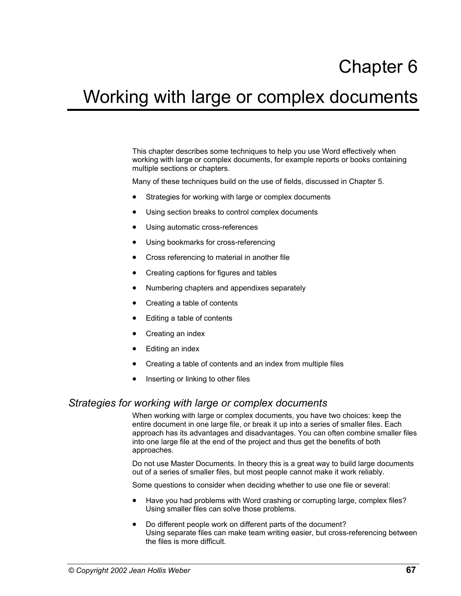## Chapter 6

## Working with large or complex documents

This chapter describes some techniques to help you use Word effectively when working with large or complex documents, for example reports or books containing multiple sections or chapters.

Many of these techniques build on the use of fields, discussed in Chapter 5.

- Strategies for working with large or complex documents
- Using section breaks to control complex documents
- [Using automatic cross-references](#page-76-0)
- [Using bookmarks for cross-referencing](#page-76-1)
- [Cross referencing to material in another file](#page-77-0)
- [Creating captions for figures and tables](#page-79-0)
- [Numbering chapters and appendixes separately](#page-80-0)
- [Creating a table of contents](#page-82-0)
- Editing a table of contents
- [Creating an index](#page-84-0)
- Editing an index
- [Creating a table of contents and an index from multiple files](#page-87-0)
- Inserting or linking to other files

#### <span id="page-74-0"></span>*Strategies for working with large or complex documents*

When working with large or complex documents, you have two choices: keep the entire document in one large file, or break it up into a series of smaller files. Each approach has its advantages and disadvantages. You can often combine smaller files into one large file at the end of the project and thus get the benefits of both approaches.

Do not use Master Documents. In theory this is a great way to build large documents out of a series of smaller files, but most people cannot make it work reliably.

Some questions to consider when deciding whether to use one file or several:

- Have you had problems with Word crashing or corrupting large, complex files? Using smaller files can solve those problems.
- Do different people work on different parts of the document? Using separate files can make team writing easier, but cross-referencing between the files is more difficult.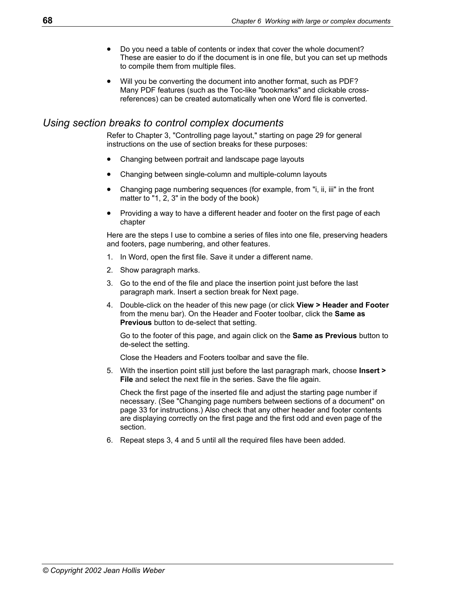- Do you need a table of contents or index that cover the whole document? These are easier to do if the document is in one file, but you can set up methods to compile them from multiple files.
- Will you be converting the document into another format, such as PDF? Many PDF features (such as the Toc-like "bookmarks" and clickable crossreferences) can be created automatically when one Word file is converted.

## <span id="page-75-0"></span>*Using section breaks to control complex documents*

Refer to Chapter 3, "[Controlling page layout,](#page-36-0)" starting on page [29](#page-36-0) for general instructions on the use of section breaks for these purposes:

- Changing between portrait and landscape page layouts
- Changing between single-column and multiple-column layouts
- Changing page numbering sequences (for example, from "i, ii, iii" in the front matter to "1, 2, 3" in the body of the book)
- Providing a way to have a different header and footer on the first page of each chapter

Here are the steps I use to combine a series of files into one file, preserving headers and footers, page numbering, and other features.

- 1. In Word, open the first file. Save it under a different name.
- 2. Show paragraph marks.
- 3. Go to the end of the file and place the insertion point just before the last paragraph mark. Insert a section break for Next page.
- 4. Double-click on the header of this new page (or click **View > Header and Footer**  from the menu bar). On the Header and Footer toolbar, click the **Same as Previous** button to de-select that setting.

 Go to the footer of this page, and again click on the **Same as Previous** button to de-select the setting.

Close the Headers and Footers toolbar and save the file.

5. With the insertion point still just before the last paragraph mark, choose **Insert > File** and select the next file in the series. Save the file again.

 Check the first page of the inserted file and adjust the starting page number if necessary. (See ["Changing page numbers between sections of a document"](#page-40-0) on page [33](#page-40-0) for instructions.) Also check that any other header and footer contents are displaying correctly on the first page and the first odd and even page of the section.

6. Repeat steps 3, 4 and 5 until all the required files have been added.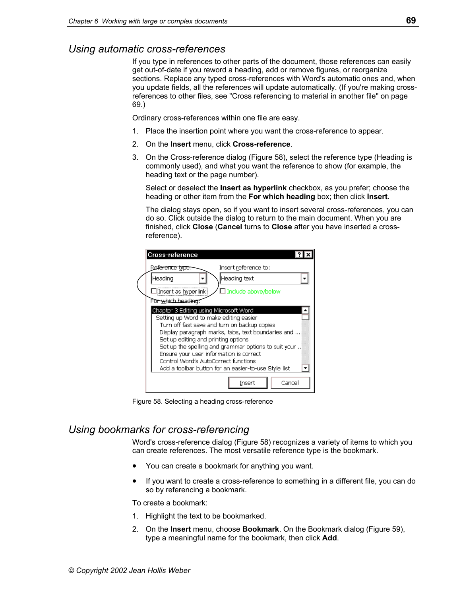## <span id="page-76-0"></span>*Using automatic cross-references*

If you type in references to other parts of the document, those references can easily get out-of-date if you reword a heading, add or remove figures, or reorganize sections. Replace any typed cross-references with Word's automatic ones and, when you update fields, all the references will update automatically. (If you're making crossreferences to other files, see ["Cross referencing to material in another file"](#page-77-0) on page [69.](#page-77-1))

Ordinary cross-references within one file are easy.

- 1. Place the insertion point where you want the cross-reference to appear.
- 2. On the **Insert** menu, click **Cross-reference**.
- 3. On the Cross-reference dialog ([Figure 58\)](#page-76-2), select the reference type (Heading is commonly used), and what you want the reference to show (for example, the heading text or the page number).

 Select or deselect the **Insert as hyperlink** checkbox, as you prefer; choose the heading or other item from the **For which heading** box; then click **Insert**.

 The dialog stays open, so if you want to insert several cross-references, you can do so. Click outside the dialog to return to the main document. When you are finished, click **Close** (**Cancel** turns to **Close** after you have inserted a crossreference).

| Cross-reference                                                                                                                                                                                                                                                                                                                                                                                                                  |
|----------------------------------------------------------------------------------------------------------------------------------------------------------------------------------------------------------------------------------------------------------------------------------------------------------------------------------------------------------------------------------------------------------------------------------|
| Insert reference to:<br>Reference type:                                                                                                                                                                                                                                                                                                                                                                                          |
| Heading text<br> Heading                                                                                                                                                                                                                                                                                                                                                                                                         |
| $\Box$ Include above/below<br>][Insert as <u>h</u> yperlink]                                                                                                                                                                                                                                                                                                                                                                     |
| For which heading:                                                                                                                                                                                                                                                                                                                                                                                                               |
| Chapter 3 Editing using Microsoft Word<br>Setting up Word to make editing easier<br>Turn off fast save and turn on backup copies<br>Display paragraph marks, tabs, text boundaries and<br>Set up editing and printing options<br>Set up the spelling and grammar options to suit your<br>Ensure your user information is correct<br>Control Word's AutoCorrect functions<br>Add a toolbar button for an easier-to-use Style list |
| Cancel<br>Insert                                                                                                                                                                                                                                                                                                                                                                                                                 |

<span id="page-76-2"></span>Figure 58. Selecting a heading cross-reference

## <span id="page-76-1"></span>*Using bookmarks for cross-referencing*

Word's cross-reference dialog ([Figure 58\)](#page-76-2) recognizes a variety of items to which you can create references. The most versatile reference type is the bookmark.

- You can create a bookmark for anything you want.
- If you want to create a cross-reference to something in a different file, you can do so by referencing a bookmark.

To create a bookmark:

- 1. Highlight the text to be bookmarked.
- 2. On the **Insert** menu, choose **Bookmark**. On the Bookmark dialog ([Figure 59\)](#page-77-2), type a meaningful name for the bookmark, then click **Add**.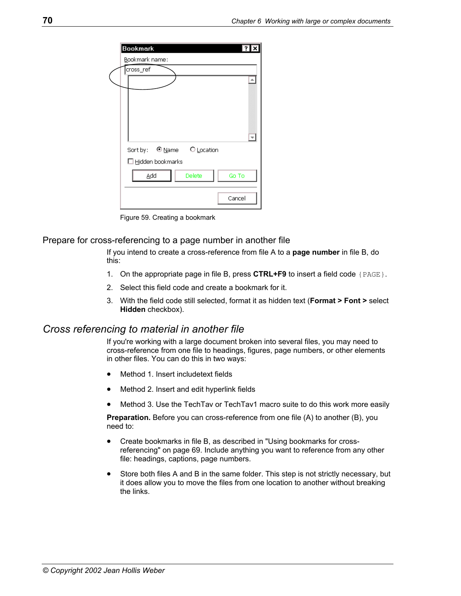<span id="page-77-1"></span>

| Bookmark                   |        |
|----------------------------|--------|
| Bookmark name:             |        |
| cross_ref                  |        |
|                            |        |
|                            |        |
|                            |        |
|                            |        |
|                            |        |
|                            |        |
| Sort by: © Name C Location |        |
| $\Box$ Hidden bookmarks    |        |
| Delete<br>Add              | Go To  |
|                            |        |
|                            | Cancel |
|                            |        |

<span id="page-77-2"></span>Figure 59. Creating a bookmark

#### Prepare for cross-referencing to a page number in another file

If you intend to create a cross-reference from file A to a **page number** in file B, do this:

- 1. On the appropriate page in file B, press **CTRL+F9** to insert a field code {PAGE}.
- 2. Select this field code and create a bookmark for it.
- 3. With the field code still selected, format it as hidden text (**Format > Font >** select **Hidden** checkbox).

#### <span id="page-77-0"></span>*Cross referencing to material in another file*

If you're working with a large document broken into several files, you may need to cross-reference from one file to headings, figures, page numbers, or other elements in other files. You can do this in two ways:

- [Method 1. Insert includetext fields](#page-78-0)
- Method 2. Insert and edit hyperlink fields
- Method 3. Use the TechTav or TechTav1 macro suite to do this work more easily

**Preparation.** Before you can cross-reference from one file (A) to another (B), you need to:

- Create bookmarks in file B, as described in "[Using bookmarks for cross](#page-76-1)[referencing"](#page-76-1) on page [69.](#page-76-1) Include anything you want to reference from any other file: headings, captions, page numbers.
- Store both files A and B in the same folder. This step is not strictly necessary, but it does allow you to move the files from one location to another without breaking the links.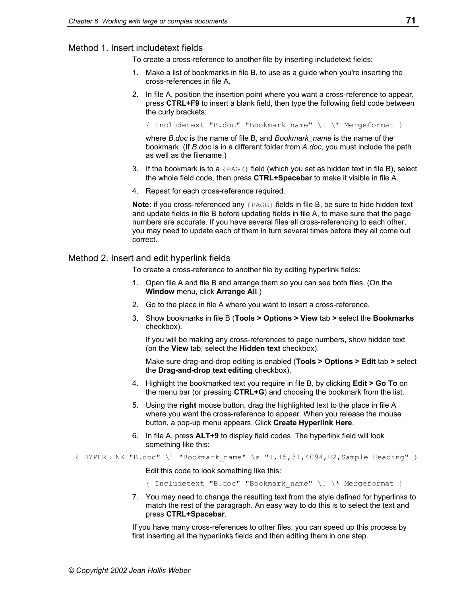#### <span id="page-78-0"></span>Method 1. Insert includetext fields

To create a cross-reference to another file by inserting includetext fields:

- 1. Make a list of bookmarks in file B, to use as a guide when you're inserting the cross-references in file A.
- 2. In file A, position the insertion point where you want a cross-reference to appear, press **CTRL+F9** to insert a blank field, then type the following field code between the curly brackets:

{ Includetext "B.doc" "Bookmark\_name" \! \\* Mergeformat }

where *B.doc* is the name of file B, and *Bookmark\_name* is the name of the bookmark. (If *B.doc* is in a different folder from *A.doc*, you must include the path as well as the filename.)

- 3. If the bookmark is to a  ${PAGE}$  field (which you set as hidden text in file B), select the whole field code, then press **CTRL+Spacebar** to make it visible in file A.
- 4. Repeat for each cross-reference required.

**Note:** if you cross-referenced any {PAGE} fields in file B, be sure to hide hidden text and update fields in file B before updating fields in file A, to make sure that the page numbers are accurate. If you have several files all cross-referencing to each other, you may need to update each of them in turn several times before they all come out correct.

#### <span id="page-78-1"></span>Method 2. Insert and edit hyperlink fields

To create a cross-reference to another file by editing hyperlink fields:

- 1. Open file A and file B and arrange them so you can see both files. (On the **Window** menu, click **Arrange All**.)
- 2. Go to the place in file A where you want to insert a cross-reference.
- 3. Show bookmarks in file B (**Tools > Options > View** tab **>** select the **Bookmarks** checkbox).

 If you will be making any cross-references to page numbers, show hidden text (on the **View** tab, select the **Hidden text** checkbox).

 Make sure drag-and-drop editing is enabled (**Tools > Options > Edit** tab **>** select the **Drag-and-drop text editing** checkbox).

- 4. Highlight the bookmarked text you require in file B, by clicking **Edit > Go To** on the menu bar (or pressing **CTRL+G**) and choosing the bookmark from the list.
- 5. Using the **right** mouse button, drag the highlighted text to the place in file A where you want the cross-reference to appear. When you release the mouse button, a pop-up menu appears. Click **Create Hyperlink Here**.
- 6. In file A, press **ALT+9** to display field codes The hyperlink field will look something like this:

 ${$  HYPERLINK "B.doc" \l "Bookmark name" \s "1,15,31,4094,H2,Sample Heading" }

Edit this code to look something like this:

{ Includetext "B.doc" "Bookmark\_name" \! \\* Mergeformat }

7. You may need to change the resulting text from the style defined for hyperlinks to match the rest of the paragraph. An easy way to do this is to select the text and press **CTRL+Spacebar**.

If you have many cross-references to other files, you can speed up this process by first inserting all the hyperlinks fields and then editing them in one step.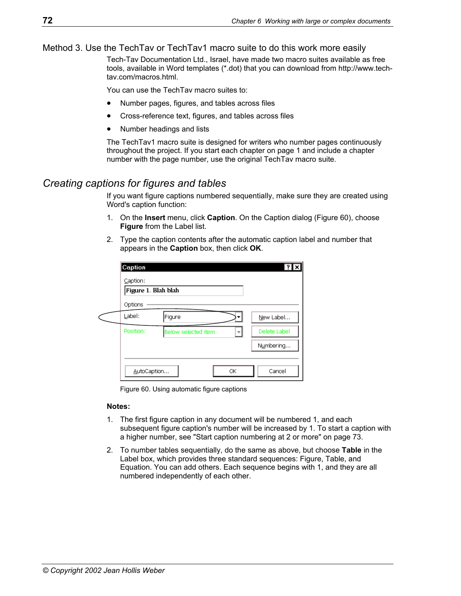#### <span id="page-79-1"></span>Method 3. Use the TechTav or TechTav1 macro suite to do this work more easily

Tech-Tav Documentation Ltd., Israel, have made two macro suites available as free tools, available in Word templates (\*.dot) that you can download from http://www.techtav.com/macros.html.

You can use the TechTav macro suites to:

- Number pages, figures, and tables across files
- Cross-reference text, figures, and tables across files
- Number headings and lists

The TechTav1 macro suite is designed for writers who number pages continuously throughout the project. If you start each chapter on page 1 and include a chapter number with the page number, use the original TechTav macro suite.

## <span id="page-79-0"></span>*Creating captions for figures and tables*

If you want figure captions numbered sequentially, make sure they are created using Word's caption function:

- 1. On the **Insert** menu, click **Caption**. On the Caption dialog ([Figure 60\)](#page-79-2), choose **Figure** from the Label list.
- 2. Type the caption contents after the automatic caption label and number that appears in the **Caption** box, then click **OK**.

| Caption:<br>Figure 1. Blah blah |                     |    |              |
|---------------------------------|---------------------|----|--------------|
| Options                         |                     |    |              |
| Label:                          | Figure              |    | New Label    |
| Position:                       | Below selected item |    | Delete Label |
|                                 |                     |    | Numbering    |
|                                 |                     |    |              |
| AutoCaption                     |                     | ОК | Cancel       |

<span id="page-79-2"></span>Figure 60. Using automatic figure captions

#### **Notes:**

- 1. The first figure caption in any document will be numbered 1, and each subsequent figure caption's number will be increased by 1. To start a caption with a higher number, see ["Start caption numbering at 2 or more"](#page-80-1) on page [73.](#page-80-1)
- 2. To number tables sequentially, do the same as above, but choose **Table** in the Label box, which provides three standard sequences: Figure, Table, and Equation. You can add others. Each sequence begins with 1, and they are all numbered independently of each other.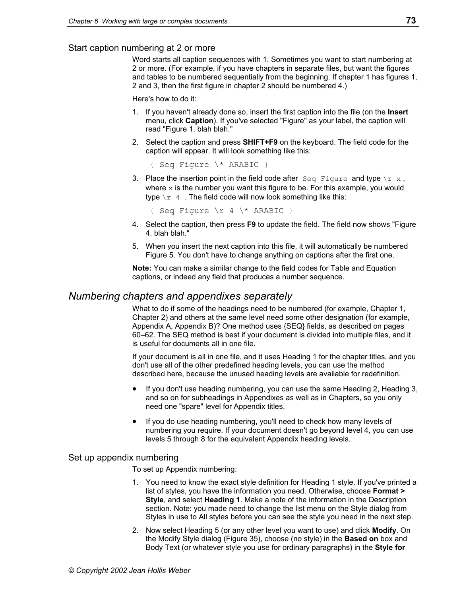#### <span id="page-80-1"></span>Start caption numbering at 2 or more

Word starts all caption sequences with 1. Sometimes you want to start numbering at 2 or more. (For example, if you have chapters in separate files, but want the figures and tables to be numbered sequentially from the beginning. If chapter 1 has figures 1, 2 and 3, then the first figure in chapter 2 should be numbered 4.)

Here's how to do it:

- 1. If you haven't already done so, insert the first caption into the file (on the **Insert**  menu, click **Caption**). If you've selected "Figure" as your label, the caption will read "Figure 1. blah blah."
- 2. Select the caption and press **SHIFT+F9** on the keyboard. The field code for the caption will appear. It will look something like this:

{ Seq Figure \\* ARABIC }

3. Place the insertion point in the field code after  $\text{Seq}\$  Figure and type  $\text{Tr}\ \mathbf{x}$ , where  $x$  is the number you want this figure to be. For this example, you would type  $\chi r$  4. The field code will now look something like this:

{ Seq Figure  $\rceil$  4  $\rceil$  ARABIC }

- 4. Select the caption, then press **F9** to update the field. The field now shows "Figure 4. blah blah."
- 5. When you insert the next caption into this file, it will automatically be numbered Figure 5. You don't have to change anything on captions after the first one.

**Note:** You can make a similar change to the field codes for Table and Equation captions, or indeed any field that produces a number sequence.

### <span id="page-80-0"></span>*Numbering chapters and appendixes separately*

What to do if some of the headings need to be numbered (for example, Chapter 1, Chapter 2) and others at the same level need some other designation (for example, Appendix A, Appendix B)? One method uses {SEQ} fields, as described on pages [60–](#page-67-0)[62.](#page-69-0) The SEQ method is best if your document is divided into multiple files, and it is useful for documents all in one file.

If your document is all in one file, and it uses Heading 1 for the chapter titles, and you don't use all of the other predefined heading levels, you can use the method described here, because the unused heading levels are available for redefinition.

- If you don't use heading numbering, you can use the same Heading 2, Heading 3, and so on for subheadings in Appendixes as well as in Chapters, so you only need one "spare" level for Appendix titles.
- If you do use heading numbering, you'll need to check how many levels of numbering you require. If your document doesn't go beyond level 4, you can use levels 5 through 8 for the equivalent Appendix heading levels.

#### Set up appendix numbering

To set up Appendix numbering:

- 1. You need to know the exact style definition for Heading 1 style. If you've printed a list of styles, you have the information you need. Otherwise, choose **Format > Style**, and select **Heading 1**. Make a note of the information in the Description section. Note: you made need to change the list menu on the Style dialog from Styles in use to All styles before you can see the style you need in the next step.
- 2. Now select Heading 5 (or any other level you want to use) and click **Modify**. On the Modify Style dialog ([Figure 35\)](#page-51-0), choose (no style) in the **Based on** box and Body Text (or whatever style you use for ordinary paragraphs) in the **Style for**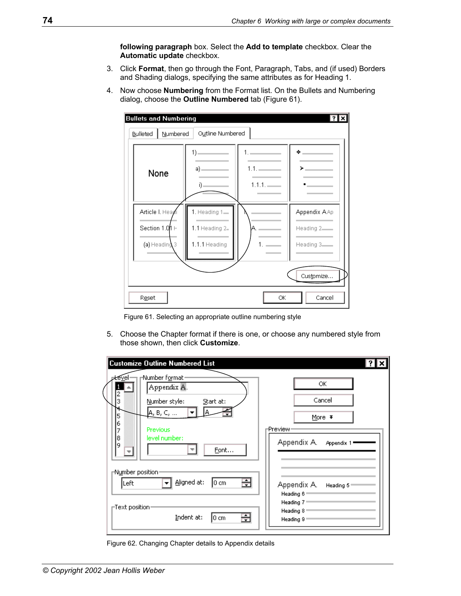**following paragraph** box. Select the **Add to template** checkbox. Clear the **Automatic update** checkbox.

- 3. Click **Format**, then go through the Font, Paragraph, Tabs, and (if used) Borders and Shading dialogs, specifying the same attributes as for Heading 1.
- 4. Now choose **Numbering** from the Format list. On the Bullets and Numbering dialog, choose the **Outline Numbered** tab [\(Figure 61\)](#page-81-0).



<span id="page-81-0"></span>Figure 61. Selecting an appropriate outline numbering style

5. Choose the Chapter format if there is one, or choose any numbered style from those shown, then click **Customize**.

| <b>Customize Outline Numbered List</b>                                                                                                                                |                                                                              |
|-----------------------------------------------------------------------------------------------------------------------------------------------------------------------|------------------------------------------------------------------------------|
| -Number format<br><u> ≠ev</u> el-<br>Appendix A.<br>2<br>3<br>Number style:<br>Start at:<br> A, B, C, …<br>5<br>6<br>Previous<br>7<br>8<br>level number:<br>9<br>Eont | ОК<br>Cancel<br>More $\mp$<br>⊩Preview∘<br>Appendix A.<br>Appendix 1         |
| <sub>∏</sub> N <u>u</u> mber position∙<br>Aligned at:<br>⊟<br>10 cm<br>Left<br>⊢Text position∙<br>÷<br>Indent at:<br>10 cm                                            | Appendix A.<br>Heading 5<br>Heading 6<br>Heading 7<br>Heading 8<br>Heading 9 |

<span id="page-81-1"></span>Figure 62. Changing Chapter details to Appendix details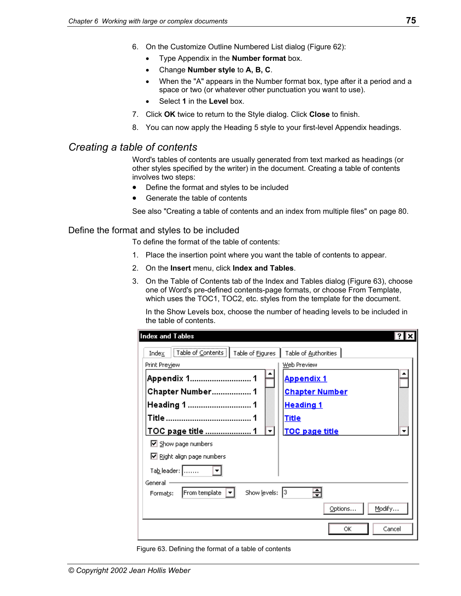- 6. On the Customize Outline Numbered List dialog ([Figure 62\)](#page-81-1):
	- Type Appendix in the **Number format** box.
	- Change **Number style** to **A, B, C**.
	- When the "A" appears in the Number format box, type after it a period and a space or two (or whatever other punctuation you want to use).
	- Select **1** in the **Level** box.
- 7. Click **OK** twice to return to the Style dialog. Click **Close** to finish.
- 8. You can now apply the Heading 5 style to your first-level Appendix headings.

## <span id="page-82-0"></span>*Creating a table of contents*

Word's tables of contents are usually generated from text marked as headings (or other styles specified by the writer) in the document. Creating a table of contents involves two steps:

- [Define the format and styles to be included](#page-82-1)
- Generate the table of contents

See also ["Creating a table of contents and an index from multiple files"](#page-87-0) on page [80.](#page-87-0)

#### <span id="page-82-1"></span>Define the format and styles to be included

To define the format of the table of contents:

- 1. Place the insertion point where you want the table of contents to appear.
- 2. On the **Insert** menu, click **Index and Tables**.
- 3. On the Table of Contents tab of the Index and Tables dialog ([Figure 63\)](#page-82-2), choose one of Word's pre-defined contents-page formats, or choose From Template, which uses the TOC1, TOC2, etc. styles from the template for the document.

 In the Show Levels box, choose the number of heading levels to be included in the table of contents.

<span id="page-82-2"></span>

| Index and Tables                                       |                       |
|--------------------------------------------------------|-----------------------|
| Table of Contents<br>Table of Figures<br>Index         | Table of Authorities  |
| Print Preview                                          | Web Preview           |
| Appendix 1 1                                           | <b>Appendix 1</b>     |
| <b>Chapter Number 1</b>                                | <b>Chapter Number</b> |
|                                                        | <u>Heading 1</u>      |
|                                                        | <u>Title</u>          |
| TOC page title                                         | TOC page title        |
| $\boxdot$ Show page numbers                            |                       |
| ■ Right align page numbers                             |                       |
| Ta <u>b</u> leader:                                    |                       |
| General -<br>Show levels:<br>From template<br>Formats: | ÷<br>13.              |
|                                                        | Modify<br>Options     |
|                                                        | Cancel<br>ОК          |

Figure 63. Defining the format of a table of contents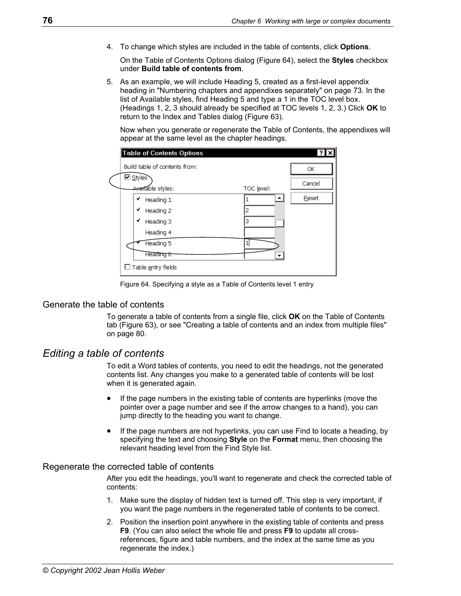4. To change which styles are included in the table of contents, click **Options**.

 On the Table of Contents Options dialog [\(Figure 64\)](#page-83-2), select the **Styles** checkbox under **Build table of contents from**.

5. As an example, we will include Heading 5, created as a first-level appendix heading in ["Numbering chapters and appendixes separately"](#page-80-0) on page [73.](#page-80-0) In the list of Available styles, find Heading 5 and type a 1 in the TOC level box. (Headings 1, 2, 3 should already be specified at TOC levels 1, 2, 3.) Click **OK** to return to the Index and Tables dialog ([Figure 63\)](#page-82-2).

Now when you generate or regenerate the Table of Contents, the appendixes will appear at the same level as the chapter headings.

| Build table of contents from: |            | ОК     |
|-------------------------------|------------|--------|
| ⊠ <u>S</u> tylesे             |            | Cancel |
| <del>Avail</del> able styles: | TOC level: |        |
| ✔<br>Heading 1                |            | Reset  |
| ✔<br>Heading 2                | 2          |        |
| ✔<br>Heading 3                | З          |        |
| Heading 4                     |            |        |
| Heading 5                     |            |        |
| Heading 6                     |            |        |

<span id="page-83-2"></span>Figure 64. Specifying a style as a Table of Contents level 1 entry

#### <span id="page-83-1"></span>Generate the table of contents

To generate a table of contents from a single file, click **OK** on the Table of Contents tab ([Figure 63\)](#page-82-2), or see ["Creating a table of contents and an index from multiple files"](#page-87-0)  on page [80.](#page-87-0)

#### <span id="page-83-0"></span>*Editing a table of contents*

To edit a Word tables of contents, you need to edit the headings, not the generated contents list. Any changes you make to a generated table of contents will be lost when it is generated again.

- If the page numbers in the existing table of contents are hyperlinks (move the pointer over a page number and see if the arrow changes to a hand), you can jump directly to the heading you want to change.
- If the page numbers are not hyperlinks, you can use Find to locate a heading, by specifying the text and choosing **Style** on the **Format** menu, then choosing the relevant heading level from the Find Style list.

#### Regenerate the corrected table of contents

After you edit the headings, you'll want to regenerate and check the corrected table of contents:

- 1. Make sure the display of hidden text is turned off. This step is very important, if you want the page numbers in the regenerated table of contents to be correct.
- 2. Position the insertion point anywhere in the existing table of contents and press **F9**. (You can also select the whole file and press **F9** to update all crossreferences, figure and table numbers, and the index at the same time as you regenerate the index.)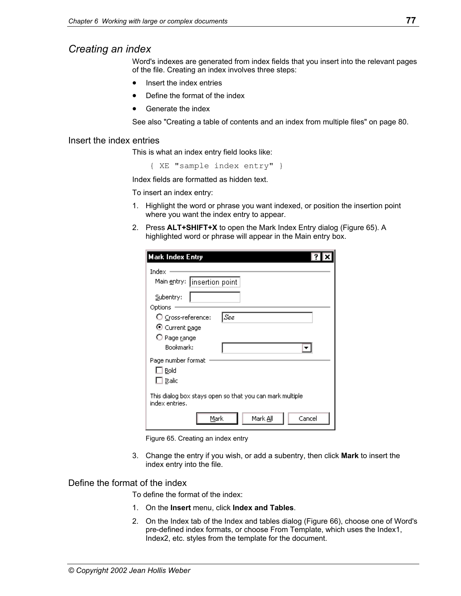## <span id="page-84-0"></span>*Creating an index*

Word's indexes are generated from index fields that you insert into the relevant pages of the file. Creating an index involves three steps:

- Insert the index entries
- Define the format of the index
- Generate the index

See also ["Creating a table of contents and an index from multiple files"](#page-87-0) on page [80.](#page-87-0)

#### <span id="page-84-1"></span>Insert the index entries

This is what an index entry field looks like:

{ XE "sample index entry" }

Index fields are formatted as hidden text.

To insert an index entry:

- 1. Highlight the word or phrase you want indexed, or position the insertion point where you want the index entry to appear.
- 2. Press **ALT+SHIFT+X** to open the Mark Index Entry dialog [\(Figure 65\)](#page-84-3). A highlighted word or phrase will appear in the Main entry box.

<span id="page-84-3"></span>

| <b>Mark Index Entry</b>                                                                                |
|--------------------------------------------------------------------------------------------------------|
| Index<br>Main entry:   insertion point<br>Subentry:                                                    |
| Options                                                                                                |
| See<br>$\bigcirc$ Cross-reference:<br>$\bm{\mathsf{\Theta}}$ Current page<br>O Page range<br>Bookmark: |
| Page number format<br>∐ Bold<br>$\Box$ Italic                                                          |
| This dialog box stays open so that you can mark multiple<br>index entries.                             |
| Mark <u>Al</u> l<br>Mark<br>Cancel                                                                     |

Figure 65. Creating an index entry

3. Change the entry if you wish, or add a subentry, then click **Mark** to insert the index entry into the file.

#### <span id="page-84-2"></span>Define the format of the index

To define the format of the index:

- 1. On the **Insert** menu, click **Index and Tables**.
- 2. On the Index tab of the Index and tables dialog ([Figure 66\)](#page-85-1), choose one of Word's pre-defined index formats, or choose From Template, which uses the Index1, Index2, etc. styles from the template for the document.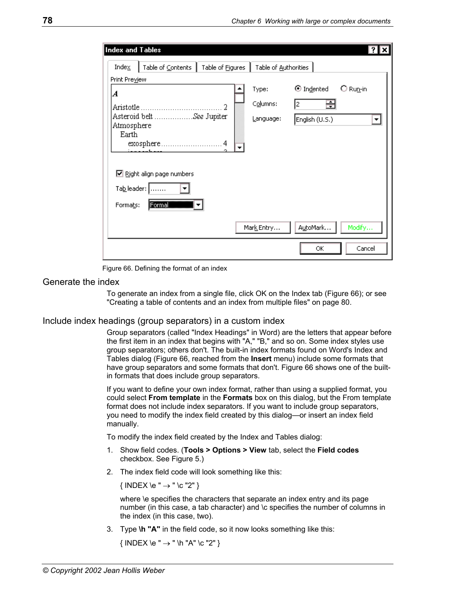<span id="page-85-1"></span>

| Index and Tables    |                            |                  |                      |                       |            |  |
|---------------------|----------------------------|------------------|----------------------|-----------------------|------------|--|
| Index               | Table of Contents          | Table of Figures | Table of Authorities |                       |            |  |
| Print Preview       |                            |                  |                      |                       |            |  |
| A                   |                            |                  | Type:                | $\bm{\odot}$ Indented | $O$ Run-in |  |
|                     |                            | 2                | Columns:             | 昌<br>I2.              |            |  |
|                     | Asteroid belt See Jupiter  |                  | Language:            | English (U.S.)        |            |  |
| Atmosphere<br>Earth |                            |                  |                      |                       |            |  |
|                     |                            |                  |                      |                       |            |  |
|                     |                            |                  |                      |                       |            |  |
|                     |                            |                  |                      |                       |            |  |
|                     | ■ Right align page numbers |                  |                      |                       |            |  |
|                     | Tableader:                 |                  |                      |                       |            |  |
| Formats:            | <b>Formal</b>              |                  |                      |                       |            |  |
|                     |                            |                  | Mark Entry           | AutoMark              | Modify     |  |
|                     |                            |                  |                      | ОК                    | Cancel     |  |

Figure 66. Defining the format of an index

#### <span id="page-85-0"></span>Generate the index

To generate an index from a single file, click OK on the Index tab ([Figure 66\)](#page-85-1); or see ["Creating a table of contents and an index from multiple files"](#page-87-0) on page [80.](#page-87-0)

#### Include index headings (group separators) in a custom index

Group separators (called "Index Headings" in Word) are the letters that appear before the first item in an index that begins with "A," "B," and so on. Some index styles use group separators; others don't. The built-in index formats found on Word's Index and Tables dialog ([Figure 66,](#page-85-1) reached from the **Insert** menu) include some formats that have group separators and some formats that don't. [Figure 66](#page-85-1) shows one of the builtin formats that does include group separators.

If you want to define your own index format, rather than using a supplied format, you could select **From template** in the **Formats** box on this dialog, but the From template format does not include index separators. If you want to include group separators, you need to modify the index field created by this dialog—or insert an index field manually.

To modify the index field created by the Index and Tables dialog:

- 1. Show field codes. (**Tools > Options > View** tab, select the **Field codes**  checkbox. See [Figure 5.](#page-11-0))
- 2. The index field code will look something like this:

 $\{$  INDEX \e "  $\rightarrow$  " \c "2"  $\}$ 

 where \e specifies the characters that separate an index entry and its page number (in this case, a tab character) and \c specifies the number of columns in the index (in this case, two).

3. Type **\h "A"** in the field code, so it now looks something like this:

```
\{ INDEX \leq " \rightarrow " \hbox{''A'' \& '2'' } \}
```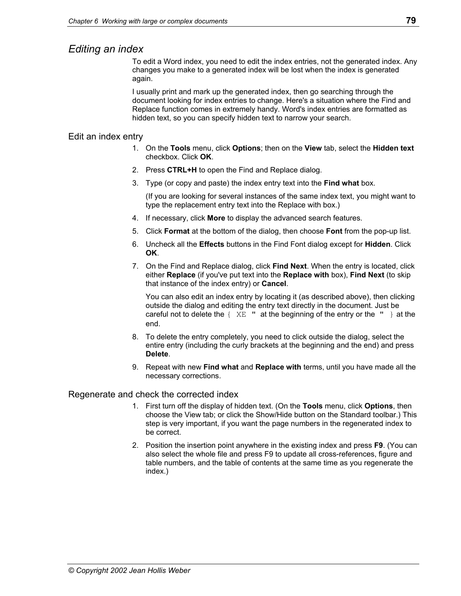## <span id="page-86-0"></span>*Editing an index*

To edit a Word index, you need to edit the index entries, not the generated index. Any changes you make to a generated index will be lost when the index is generated again.

I usually print and mark up the generated index, then go searching through the document looking for index entries to change. Here's a situation where the Find and Replace function comes in extremely handy. Word's index entries are formatted as hidden text, so you can specify hidden text to narrow your search.

#### Edit an index entry

- 1. On the **Tools** menu, click **Options**; then on the **View** tab, select the **Hidden text**  checkbox. Click **OK**.
- 2. Press **CTRL+H** to open the Find and Replace dialog.
- 3. Type (or copy and paste) the index entry text into the **Find what** box.

(If you are looking for several instances of the same index text, you might want to type the replacement entry text into the Replace with box.)

- 4. If necessary, click **More** to display the advanced search features.
- 5. Click **Format** at the bottom of the dialog, then choose **Font** from the pop-up list.
- 6. Uncheck all the **Effects** buttons in the Find Font dialog except for **Hidden**. Click **OK**.
- 7. On the Find and Replace dialog, click **Find Next**. When the entry is located, click either **Replace** (if you've put text into the **Replace with** box), **Find Next** (to skip that instance of the index entry) or **Cancel**.

You can also edit an index entry by locating it (as described above), then clicking outside the dialog and editing the entry text directly in the document. Just be careful not to delete the  $\{X \to \mathbb{R}^n : \mathbb{R}^n\}$  at the beginning of the entry or the  $\{X \to \mathbb{R}^n\}$  at the end.

- 8. To delete the entry completely, you need to click outside the dialog, select the entire entry (including the curly brackets at the beginning and the end) and press **Delete**.
- 9. Repeat with new **Find what** and **Replace with** terms, until you have made all the necessary corrections.

#### Regenerate and check the corrected index

- 1. First turn off the display of hidden text. (On the **Tools** menu, click **Options**, then choose the View tab; or click the Show/Hide button on the Standard toolbar.) This step is very important, if you want the page numbers in the regenerated index to be correct.
- 2. Position the insertion point anywhere in the existing index and press **F9**. (You can also select the whole file and press F9 to update all cross-references, figure and table numbers, and the table of contents at the same time as you regenerate the index.)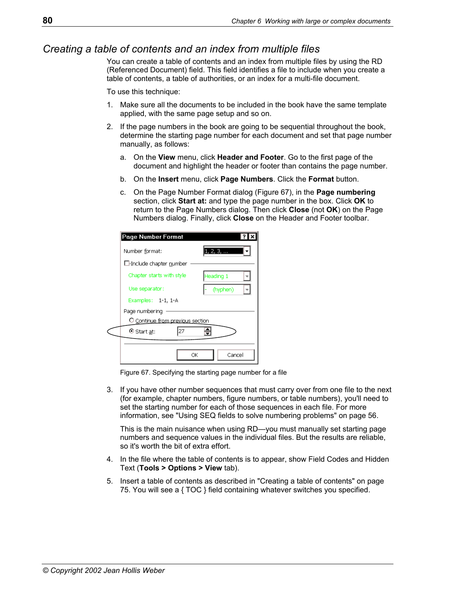## <span id="page-87-0"></span>*Creating a table of contents and an index from multiple files*

You can create a table of contents and an index from multiple files by using the RD (Referenced Document) field. This field identifies a file to include when you create a table of contents, a table of authorities, or an index for a multi-file document.

To use this technique:

- 1. Make sure all the documents to be included in the book have the same template applied, with the same page setup and so on.
- 2. If the page numbers in the book are going to be sequential throughout the book, determine the starting page number for each document and set that page number manually, as follows:
	- a. On the **View** menu, click **Header and Footer**. Go to the first page of the document and highlight the header or footer than contains the page number.
	- b. On the **Insert** menu, click **Page Numbers**. Click the **Format** button.
	- c. On the Page Number Format dialog [\(Figure 67\)](#page-87-1), in the **Page numbering**  section, click **Start at:** and type the page number in the box. Click **OK** to return to the Page Numbers dialog. Then click **Close** (not **OK**) on the Page Numbers dialog. Finally, click **Close** on the Header and Footer toolbar.

| Page Number Format               |              |
|----------------------------------|--------------|
| Number format:                   | 1, 2, 3,     |
| $\Box$ -Include chapter number   |              |
| Chapter starts with style        | Heading 1    |
| Use separator:                   | (hyphen)     |
| Examples: 1-1, 1-A               |              |
| Page numbering                   |              |
| O Continue from previous section |              |
| 27<br>$\odot$ Start at:          | ≑            |
|                                  |              |
|                                  | ОК<br>Cancel |

<span id="page-87-1"></span>Figure 67. Specifying the starting page number for a file

3. If you have other number sequences that must carry over from one file to the next (for example, chapter numbers, figure numbers, or table numbers), you'll need to set the starting number for each of those sequences in each file. For more information, see ["Using SEQ fields to solve numbering problems"](#page-63-0) on page [56.](#page-63-0)

This is the main nuisance when using RD—you must manually set starting page numbers and sequence values in the individual files. But the results are reliable, so it's worth the bit of extra effort.

- 4. In the file where the table of contents is to appear, show Field Codes and Hidden Text (**Tools > Options > View** tab).
- 5. Insert a table of contents as described in ["Creating a table of contents"](#page-82-0) on page [75.](#page-82-0) You will see a { TOC } field containing whatever switches you specified.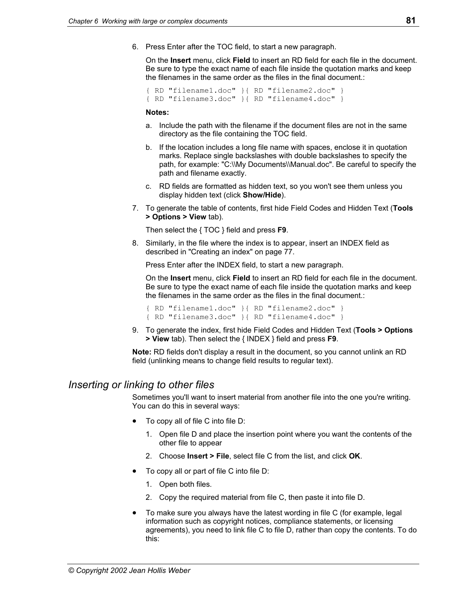6. Press Enter after the TOC field, to start a new paragraph.

 On the **Insert** menu, click **Field** to insert an RD field for each file in the document. Be sure to type the exact name of each file inside the quotation marks and keep the filenames in the same order as the files in the final document.:

```
 { RD "filename1.doc" }{ RD "filename2.doc" } 
{ RD "filename3.doc" }{ RD "filename4.doc" }
```
#### **Notes:**

- a. Include the path with the filename if the document files are not in the same directory as the file containing the TOC field.
- b. If the location includes a long file name with spaces, enclose it in quotation marks. Replace single backslashes with double backslashes to specify the path, for example: "C:\\My Documents\\Manual.doc". Be careful to specify the path and filename exactly.
- c. RD fields are formatted as hidden text, so you won't see them unless you display hidden text (click **Show/Hide**).
- 7. To generate the table of contents, first hide Field Codes and Hidden Text (**Tools > Options > View** tab).

Then select the { TOC } field and press **F9**.

8. Similarly, in the file where the index is to appear, insert an INDEX field as described in "[Creating an index"](#page-84-0) on page [77.](#page-84-0)

Press Enter after the INDEX field, to start a new paragraph.

 On the **Insert** menu, click **Field** to insert an RD field for each file in the document. Be sure to type the exact name of each file inside the quotation marks and keep the filenames in the same order as the files in the final document.:

 { RD "filename1.doc" }{ RD "filename2.doc" } { RD "filename3.doc" }{ RD "filename4.doc" }

9. To generate the index, first hide Field Codes and Hidden Text (**Tools > Options > View** tab). Then select the { INDEX } field and press **F9**.

**Note:** RD fields don't display a result in the document, so you cannot unlink an RD field (unlinking means to change field results to regular text).

## <span id="page-88-0"></span>*Inserting or linking to other files*

Sometimes you'll want to insert material from another file into the one you're writing. You can do this in several ways:

- To copy all of file C into file D:
	- 1. Open file D and place the insertion point where you want the contents of the other file to appear
	- 2. Choose **Insert > File**, select file C from the list, and click **OK**.
- To copy all or part of file C into file D:
	- 1. Open both files.
	- 2. Copy the required material from file C, then paste it into file D.
- To make sure you always have the latest wording in file C (for example, legal information such as copyright notices, compliance statements, or licensing agreements), you need to link file C to file D, rather than copy the contents. To do this: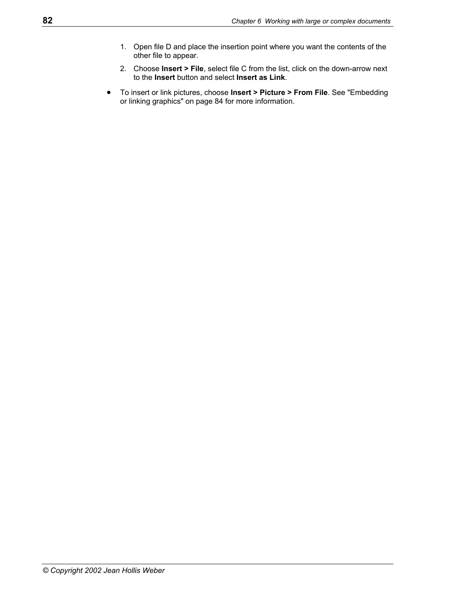- 1. Open file D and place the insertion point where you want the contents of the other file to appear.
- 2. Choose **Insert > File**, select file C from the list, click on the down-arrow next to the **Insert** button and select **Insert as Link**.
- To insert or link pictures, choose **Insert > Picture > From File**. See ["Embedding](#page-91-0)  [or linking graphics"](#page-91-0) on page [84](#page-91-0) for more information.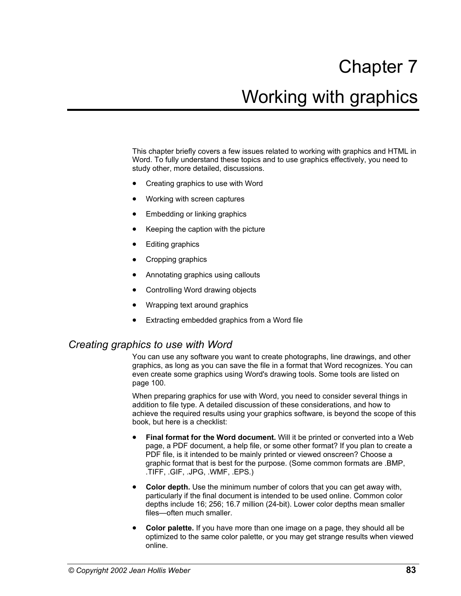# Chapter 7 Working with graphics

This chapter briefly covers a few issues related to working with graphics and HTML in Word. To fully understand these topics and to use graphics effectively, you need to study other, more detailed, discussions.

- [Creating graphics to use with Word](#page-90-0)
- [Working with screen captures](#page-91-1)
- Embedding or linking graphics
- [Keeping the caption with the picture](#page-92-0)
- **Editing graphics**
- [Cropping graphics](#page-92-2)
- [Annotating graphics using callouts](#page-93-0)
- [Controlling Word drawing objects](#page-94-0)
- [Wrapping text around graphics](#page-94-1)
- Extracting embedded graphics from a Word file

## <span id="page-90-0"></span>*Creating graphics to use with Word*

You can use any software you want to create photographs, line drawings, and other graphics, as long as you can save the file in a format that Word recognizes. You can even create some graphics using Word's drawing tools. Some tools are listed on page [100.](#page-107-0)

When preparing graphics for use with Word, you need to consider several things in addition to file type. A detailed discussion of these considerations, and how to achieve the required results using your graphics software, is beyond the scope of this book, but here is a checklist:

- **Final format for the Word document.** Will it be printed or converted into a Web page, a PDF document, a help file, or some other format? If you plan to create a PDF file, is it intended to be mainly printed or viewed onscreen? Choose a graphic format that is best for the purpose. (Some common formats are .BMP, .TIFF, .GIF, .JPG, .WMF, .EPS.)
- **Color depth.** Use the minimum number of colors that you can get away with, particularly if the final document is intended to be used online. Common color depths include 16; 256; 16.7 million (24-bit). Lower color depths mean smaller files—often much smaller.
- **Color palette.** If you have more than one image on a page, they should all be optimized to the same color palette, or you may get strange results when viewed online.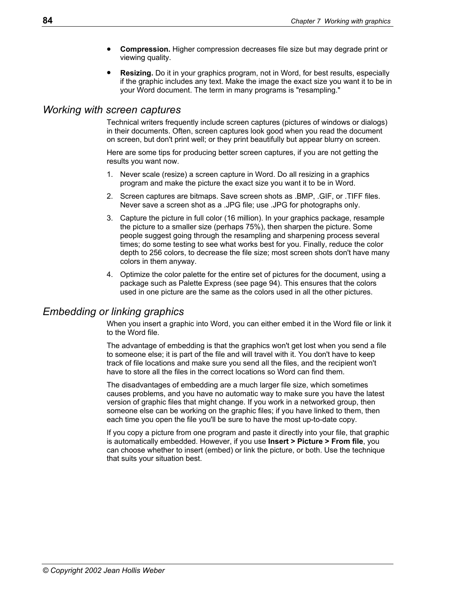- **Compression.** Higher compression decreases file size but may degrade print or viewing quality.
- **Resizing.** Do it in your graphics program, not in Word, for best results, especially if the graphic includes any text. Make the image the exact size you want it to be in your Word document. The term in many programs is "resampling."

#### <span id="page-91-1"></span>*Working with screen captures*

Technical writers frequently include screen captures (pictures of windows or dialogs) in their documents. Often, screen captures look good when you read the document on screen, but don't print well; or they print beautifully but appear blurry on screen.

Here are some tips for producing better screen captures, if you are not getting the results you want now.

- 1. Never scale (resize) a screen capture in Word. Do all resizing in a graphics program and make the picture the exact size you want it to be in Word.
- 2. Screen captures are bitmaps. Save screen shots as .BMP, .GIF, or .TIFF files. Never save a screen shot as a .JPG file; use .JPG for photographs only.
- 3. Capture the picture in full color (16 million). In your graphics package, resample the picture to a smaller size (perhaps 75%), then sharpen the picture. Some people suggest going through the resampling and sharpening process several times; do some testing to see what works best for you. Finally, reduce the color depth to 256 colors, to decrease the file size; most screen shots don't have many colors in them anyway.
- 4. Optimize the color palette for the entire set of pictures for the document, using a package such as Palette Express (see page 94). This ensures that the colors used in one picture are the same as the colors used in all the other pictures.

## <span id="page-91-0"></span>*Embedding or linking graphics*

When you insert a graphic into Word, you can either embed it in the Word file or link it to the Word file.

The advantage of embedding is that the graphics won't get lost when you send a file to someone else; it is part of the file and will travel with it. You don't have to keep track of file locations and make sure you send all the files, and the recipient won't have to store all the files in the correct locations so Word can find them.

The disadvantages of embedding are a much larger file size, which sometimes causes problems, and you have no automatic way to make sure you have the latest version of graphic files that might change. If you work in a networked group, then someone else can be working on the graphic files; if you have linked to them, then each time you open the file you'll be sure to have the most up-to-date copy.

If you copy a picture from one program and paste it directly into your file, that graphic is automatically embedded. However, if you use **Insert > Picture > From file**, you can choose whether to insert (embed) or link the picture, or both. Use the technique that suits your situation best.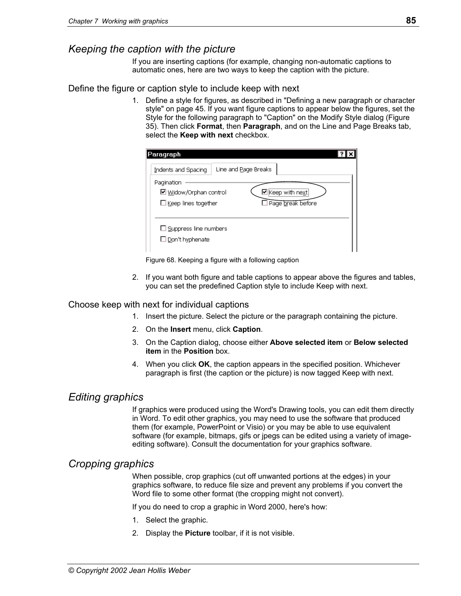## <span id="page-92-0"></span>*Keeping the caption with the picture*

If you are inserting captions (for example, changing non-automatic captions to automatic ones, here are two ways to keep the caption with the picture.

#### Define the figure or caption style to include keep with next

1. Define a style for figures, as described in ["Defining a new paragraph or character](#page-52-0)  [style"](#page-52-0) on page [45.](#page-52-0) If you want figure captions to appear below the figures, set the Style for the following paragraph to "Caption" on the Modify Style dialog ([Figure](#page-51-0)  35[\)](#page-51-0). Then click **Format**, then **Paragraph**, and on the Line and Page Breaks tab, select the **Keep with next** checkbox.

| Paragraph                    |                      |
|------------------------------|----------------------|
| Indents and Spacing          | Line and Page Breaks |
| Pagination                   |                      |
| ☑ Widow/Orphan control       | ■Keep with next      |
| $\Box$ Keep lines together   | Page break before    |
|                              |                      |
| $\Box$ Suppress line numbers |                      |
| $\Box$ Don't hyphenate       |                      |
|                              |                      |

Figure 68. Keeping a figure with a following caption

2. If you want both figure and table captions to appear above the figures and tables, you can set the predefined Caption style to include Keep with next.

#### Choose keep with next for individual captions

- 1. Insert the picture. Select the picture or the paragraph containing the picture.
- 2. On the **Insert** menu, click **Caption**.
- 3. On the Caption dialog, choose either **Above selected item** or **Below selected item** in the **Position** box.
- 4. When you click **OK**, the caption appears in the specified position. Whichever paragraph is first (the caption or the picture) is now tagged Keep with next.

## <span id="page-92-1"></span>*Editing graphics*

If graphics were produced using the Word's Drawing tools, you can edit them directly in Word. To edit other graphics, you may need to use the software that produced them (for example, PowerPoint or Visio) or you may be able to use equivalent software (for example, bitmaps, gifs or jpegs can be edited using a variety of imageediting software). Consult the documentation for your graphics software.

## <span id="page-92-2"></span>*Cropping graphics*

When possible, crop graphics (cut off unwanted portions at the edges) in your graphics software, to reduce file size and prevent any problems if you convert the Word file to some other format (the cropping might not convert).

If you do need to crop a graphic in Word 2000, here's how:

- 1. Select the graphic.
- 2. Display the **Picture** toolbar, if it is not visible.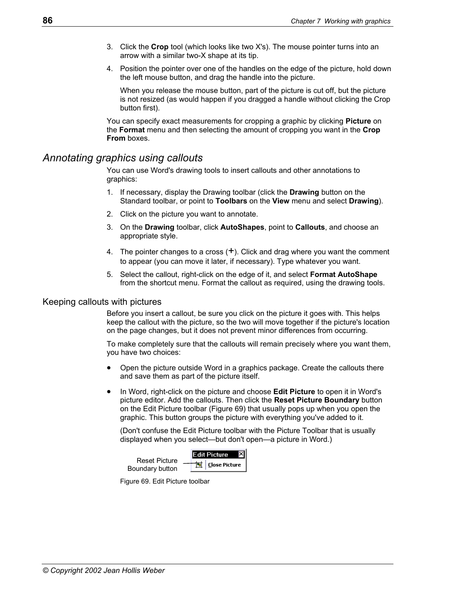- 3. Click the **Crop** tool (which looks like two X's). The mouse pointer turns into an arrow with a similar two-X shape at its tip.
- 4. Position the pointer over one of the handles on the edge of the picture, hold down the left mouse button, and drag the handle into the picture.

 When you release the mouse button, part of the picture is cut off, but the picture is not resized (as would happen if you dragged a handle without clicking the Crop button first).

You can specify exact measurements for cropping a graphic by clicking **Picture** on the **Format** menu and then selecting the amount of cropping you want in the **Crop From** boxes.

## <span id="page-93-0"></span>*Annotating graphics using callouts*

You can use Word's drawing tools to insert callouts and other annotations to graphics:

- 1. If necessary, display the Drawing toolbar (click the **Drawing** button on the Standard toolbar, or point to **Toolbars** on the **View** menu and select **Drawing**).
- 2. Click on the picture you want to annotate.
- 3. On the **Drawing** toolbar, click **AutoShapes**, point to **Callouts**, and choose an appropriate style.
- 4. The pointer changes to a cross  $(+)$ . Click and drag where you want the comment to appear (you can move it later, if necessary). Type whatever you want.
- 5. Select the callout, right-click on the edge of it, and select **Format AutoShape** from the shortcut menu. Format the callout as required, using the drawing tools.

#### Keeping callouts with pictures

Before you insert a callout, be sure you click on the picture it goes with. This helps keep the callout with the picture, so the two will move together if the picture's location on the page changes, but it does not prevent minor differences from occurring.

To make completely sure that the callouts will remain precisely where you want them, you have two choices:

- Open the picture outside Word in a graphics package. Create the callouts there and save them as part of the picture itself.
- In Word, right-click on the picture and choose **Edit Picture** to open it in Word's picture editor. Add the callouts. Then click the **Reset Picture Boundary** button on the Edit Picture toolbar ([Figure 69\)](#page-93-1) that usually pops up when you open the graphic. This button groups the picture with everything you've added to it.

(Don't confuse the Edit Picture toolbar with the Picture Toolbar that is usually displayed when you select—but don't open—a picture in Word.)

<span id="page-93-1"></span>

Figure 69. Edit Picture toolbar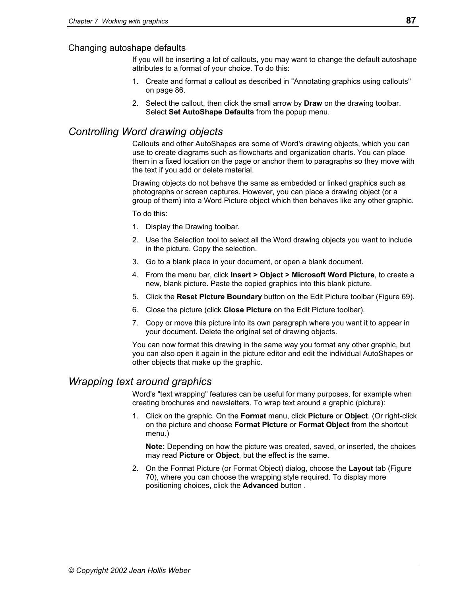#### Changing autoshape defaults

If you will be inserting a lot of callouts, you may want to change the default autoshape attributes to a format of your choice. To do this:

- 1. Create and format a callout as described in "[Annotating graphics using callouts"](#page-93-0)  on page [86.](#page-93-0)
- 2. Select the callout, then click the small arrow by **Draw** on the drawing toolbar. Select **Set AutoShape Defaults** from the popup menu.

## <span id="page-94-0"></span>*Controlling Word drawing objects*

Callouts and other AutoShapes are some of Word's drawing objects, which you can use to create diagrams such as flowcharts and organization charts. You can place them in a fixed location on the page or anchor them to paragraphs so they move with the text if you add or delete material.

Drawing objects do not behave the same as embedded or linked graphics such as photographs or screen captures. However, you can place a drawing object (or a group of them) into a Word Picture object which then behaves like any other graphic.

To do this:

- 1. Display the Drawing toolbar.
- 2. Use the Selection tool to select all the Word drawing objects you want to include in the picture. Copy the selection.
- 3. Go to a blank place in your document, or open a blank document.
- 4. From the menu bar, click **Insert > Object > Microsoft Word Picture**, to create a new, blank picture. Paste the copied graphics into this blank picture.
- 5. Click the **Reset Picture Boundary** button on the Edit Picture toolbar ([Figure 69\)](#page-93-1).
- 6. Close the picture (click **Close Picture** on the Edit Picture toolbar).
- 7. Copy or move this picture into its own paragraph where you want it to appear in your document. Delete the original set of drawing objects.

You can now format this drawing in the same way you format any other graphic, but you can also open it again in the picture editor and edit the individual AutoShapes or other objects that make up the graphic.

## <span id="page-94-1"></span>*Wrapping text around graphics*

Word's "text wrapping" features can be useful for many purposes, for example when creating brochures and newsletters. To wrap text around a graphic (picture):

1. Click on the graphic. On the **Format** menu, click **Picture** or **Object**. (Or right-click on the picture and choose **Format Picture** or **Format Object** from the shortcut menu.)

**Note:** Depending on how the picture was created, saved, or inserted, the choices may read **Picture** or **Object**, but the effect is the same.

2. On the Format Picture (or Format Object) dialog, choose the **Layout** tab ([Figure](#page-95-0)  70[\)](#page-95-0), where you can choose the wrapping style required. To display more positioning choices, click the **Advanced** button .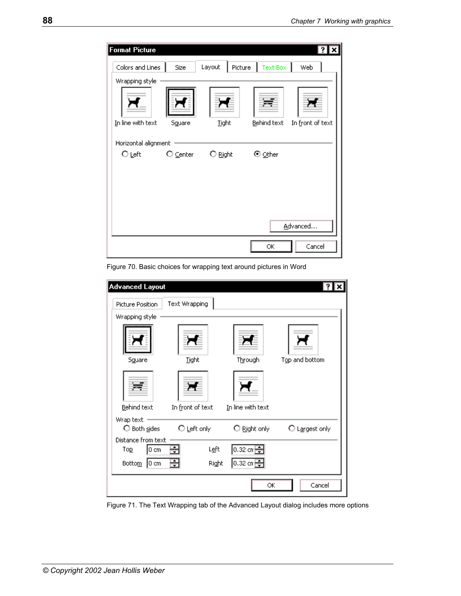<span id="page-95-0"></span>

| <b>Format Picture</b> |                   |                   |                 |                  |
|-----------------------|-------------------|-------------------|-----------------|------------------|
| Colors and Lines      | Size              | Layout<br>Picture | <b>Text Box</b> | Web              |
| Wrapping style        |                   |                   |                 |                  |
|                       |                   |                   |                 |                  |
| In line with text     | Sguare            | Tight             | Behind text     | In front of text |
| Horizontal alignment  |                   |                   |                 |                  |
| O <u>L</u> eft        | $\bigcirc$ Center | $\bigcirc$ Right  | ⊙ <u>O</u> ther |                  |
|                       |                   |                   |                 |                  |
|                       |                   |                   |                 |                  |
|                       |                   |                   |                 |                  |
|                       |                   |                   |                 |                  |
|                       |                   |                   |                 | Advanced         |
|                       |                   |                   | ОК              | Cancel           |

Figure 70. Basic choices for wrapping text around pictures in Word

| <b>Advanced Layout</b>                                   |                         |                                                 |                |
|----------------------------------------------------------|-------------------------|-------------------------------------------------|----------------|
| Picture Position                                         | Text Wrapping           |                                                 |                |
| Wrapping style                                           |                         |                                                 |                |
| Square                                                   | Tight                   | Through                                         | Top and bottom |
| Behind text                                              | In front of text        | In line with text                               |                |
| Wrap text<br>$\bigcirc$ Both sides<br>Distance from text | $\bigcirc$ Left only    | $\bigcirc$ Right only                           | O Largest only |
| 0 cm<br>Top<br>$ 0 \text{ cm} $<br>Bottom                | 금<br>Left<br>÷<br>Right | $\boxed{0.32 \text{ cm}$ -<br>$0.32 \text{ cm}$ |                |
|                                                          |                         | ОК                                              | Cancel         |

Figure 71. The Text Wrapping tab of the Advanced Layout dialog includes more options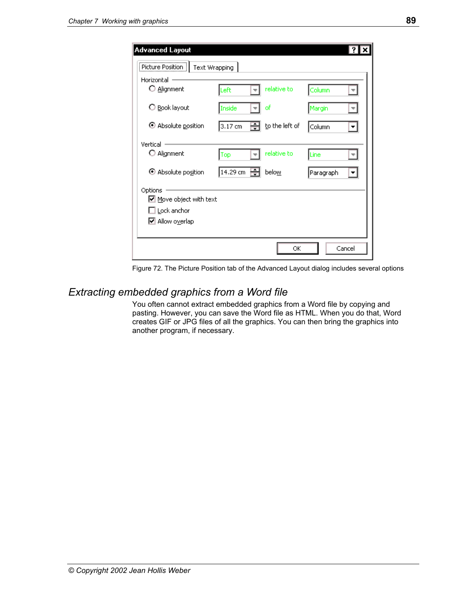| <b>Advanced Layout</b>                                                                              |                   |   |                |           |        |
|-----------------------------------------------------------------------------------------------------|-------------------|---|----------------|-----------|--------|
| Picture Position   Text Wrapping                                                                    |                   |   |                |           |        |
| Horizontal -<br>O Alignment                                                                         | Left              |   | relative to    | Column    |        |
| O Book layout                                                                                       | Inside            |   | of             | Margin    |        |
| $\odot$ Absolute position                                                                           | $3.17 \text{ cm}$ | ÷ | to the left of | Column    |        |
| Vertical                                                                                            |                   |   |                |           |        |
| O Alignment                                                                                         | Top               |   | relative to    | Line      |        |
| ⊙ Absolute position                                                                                 | 14.29 cm   景      |   | below          | Paragraph |        |
| Options<br>Move object with text<br>$\square$ Lock anchor<br>$\boxed{\triangleright}$ Allow overlap |                   |   |                |           |        |
|                                                                                                     |                   |   | ОК             |           | Cancel |

Figure 72. The Picture Position tab of the Advanced Layout dialog includes several options

## <span id="page-96-0"></span>*Extracting embedded graphics from a Word file*

You often cannot extract embedded graphics from a Word file by copying and pasting. However, you can save the Word file as HTML. When you do that, Word creates GIF or JPG files of all the graphics. You can then bring the graphics into another program, if necessary.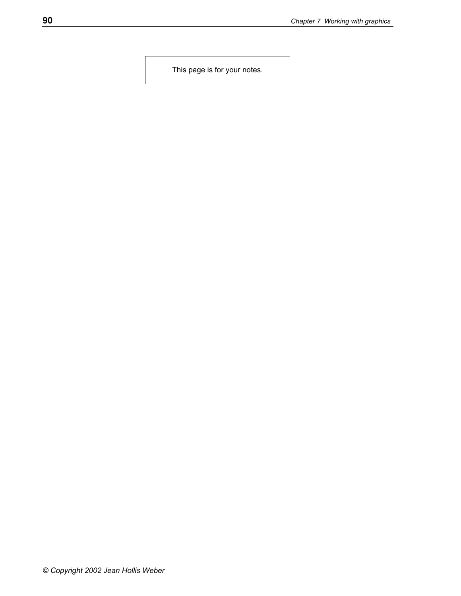This page is for your notes.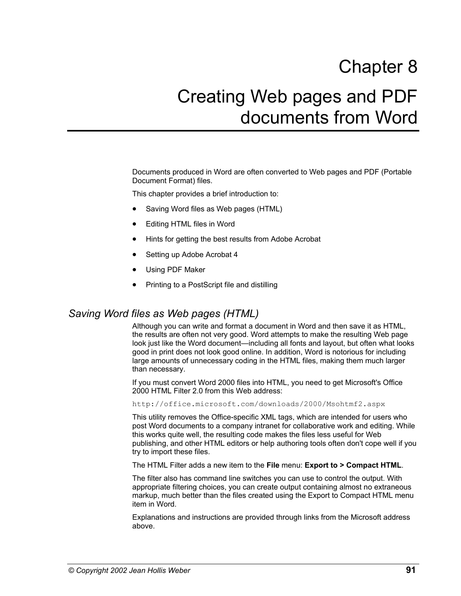# Chapter 8 Creating Web pages and PDF documents from Word

Documents produced in Word are often converted to Web pages and PDF (Portable Document Format) files.

This chapter provides a brief introduction to:

- [Saving Word files as Web pages \(HTML\)](#page-98-0)
- [Editing HTML files in Word](#page-99-0)
- [Hints for getting the best results from Adobe Acrobat](#page-99-1)
- [Setting up Adobe Acrobat 4](#page-100-0)
- [Using PDF Maker](#page-101-0)
- [Printing to a PostScript file and distilling](#page-104-0)

## <span id="page-98-0"></span>*Saving Word files as Web pages (HTML)*

Although you can write and format a document in Word and then save it as HTML, the results are often not very good. Word attempts to make the resulting Web page look just like the Word document—including all fonts and layout, but often what looks good in print does not look good online. In addition, Word is notorious for including large amounts of unnecessary coding in the HTML files, making them much larger than necessary.

If you must convert Word 2000 files into HTML, you need to get Microsoft's Office 2000 HTML Filter 2.0 from this Web address:

http://office.microsoft.com/downloads/2000/Msohtmf2.aspx

This utility removes the Office-specific XML tags, which are intended for users who post Word documents to a company intranet for collaborative work and editing. While this works quite well, the resulting code makes the files less useful for Web publishing, and other HTML editors or help authoring tools often don't cope well if you try to import these files.

The HTML Filter adds a new item to the **File** menu: **Export to > Compact HTML**.

The filter also has command line switches you can use to control the output. With appropriate filtering choices, you can create output containing almost no extraneous markup, much better than the files created using the Export to Compact HTML menu item in Word.

Explanations and instructions are provided through links from the Microsoft address above.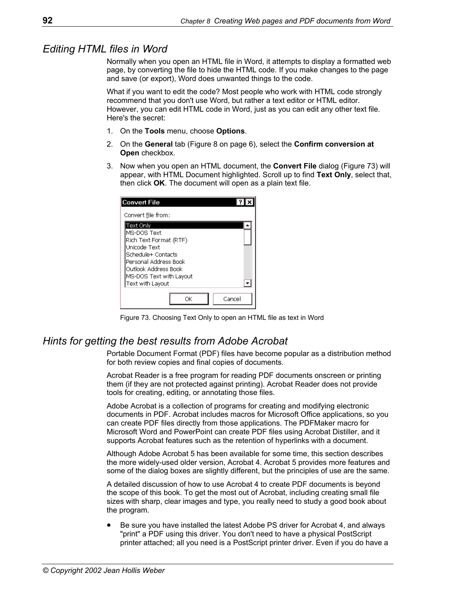## <span id="page-99-0"></span>*Editing HTML files in Word*

Normally when you open an HTML file in Word, it attempts to display a formatted web page, by converting the file to hide the HTML code. If you make changes to the page and save (or export), Word does unwanted things to the code.

What if you want to edit the code? Most people who work with HTML code strongly recommend that you don't use Word, but rather a text editor or HTML editor. However, you can edit HTML code in Word, just as you can edit any other text file. Here's the secret:

- 1. On the **Tools** menu, choose **Options**.
- 2. On the **General** tab ([Figure 8](#page-13-0) on page [6\)](#page-13-0), select the **Confirm conversion at Open** checkbox.
- 3. Now when you open an HTML document, the **Convert File** dialog [\(Figure 73\)](#page-99-2) will appear, with HTML Document highlighted. Scroll up to find **Text Only**, select that, then click **OK**. The document will open as a plain text file.

<span id="page-99-2"></span>

| <b>Convert File</b>                           |
|-----------------------------------------------|
| Convert file from:                            |
| Text Only                                     |
| MS-DOS Text<br>Rich Text Format (RTF)         |
| Unicode Text                                  |
| Schedule+ Contacts                            |
| Personal Address Book<br>Outlook Address Book |
| MS-DOS Text with Layout                       |
| Text with Layout                              |
| Cancel<br>∩K                                  |

Figure 73. Choosing Text Only to open an HTML file as text in Word

## <span id="page-99-1"></span>*Hints for getting the best results from Adobe Acrobat*

Portable Document Format (PDF) files have become popular as a distribution method for both review copies and final copies of documents.

Acrobat Reader is a free program for reading PDF documents onscreen or printing them (if they are not protected against printing). Acrobat Reader does not provide tools for creating, editing, or annotating those files.

Adobe Acrobat is a collection of programs for creating and modifying electronic documents in PDF. Acrobat includes macros for Microsoft Office applications, so you can create PDF files directly from those applications. The PDFMaker macro for Microsoft Word and PowerPoint can create PDF files using Acrobat Distiller, and it supports Acrobat features such as the retention of hyperlinks with a document.

Although Adobe Acrobat 5 has been available for some time, this section describes the more widely-used older version, Acrobat 4. Acrobat 5 provides more features and some of the dialog boxes are slightly different, but the principles of use are the same.

A detailed discussion of how to use Acrobat 4 to create PDF documents is beyond the scope of this book. To get the most out of Acrobat, including creating small file sizes with sharp, clear images and type, you really need to study a good book about the program.

• Be sure you have installed the latest Adobe PS driver for Acrobat 4, and always "print" a PDF using this driver. You don't need to have a physical PostScript printer attached; all you need is a PostScript printer driver. Even if you do have a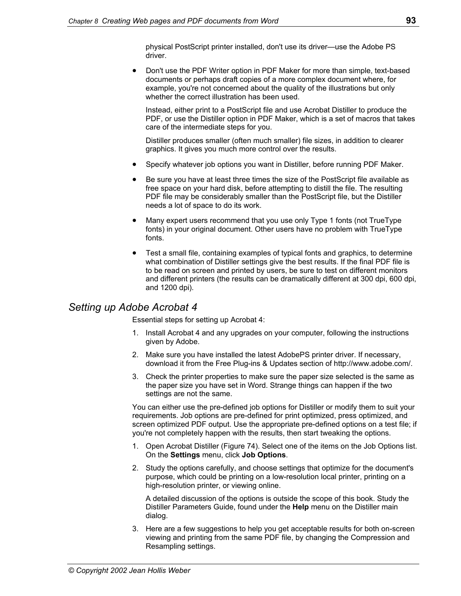physical PostScript printer installed, don't use its driver—use the Adobe PS driver.

• Don't use the PDF Writer option in PDF Maker for more than simple, text-based documents or perhaps draft copies of a more complex document where, for example, you're not concerned about the quality of the illustrations but only whether the correct illustration has been used.

Instead, either print to a PostScript file and use Acrobat Distiller to produce the PDF, or use the Distiller option in PDF Maker, which is a set of macros that takes care of the intermediate steps for you.

Distiller produces smaller (often much smaller) file sizes, in addition to clearer graphics. It gives you much more control over the results.

- Specify whatever job options you want in Distiller, before running PDF Maker.
- Be sure you have at least three times the size of the PostScript file available as free space on your hard disk, before attempting to distill the file. The resulting PDF file may be considerably smaller than the PostScript file, but the Distiller needs a lot of space to do its work.
- Many expert users recommend that you use only Type 1 fonts (not TrueType fonts) in your original document. Other users have no problem with TrueType fonts.
- Test a small file, containing examples of typical fonts and graphics, to determine what combination of Distiller settings give the best results. If the final PDF file is to be read on screen and printed by users, be sure to test on different monitors and different printers (the results can be dramatically different at 300 dpi, 600 dpi, and 1200 dpi).

## <span id="page-100-0"></span>*Setting up Adobe Acrobat 4*

Essential steps for setting up Acrobat 4:

- 1. Install Acrobat 4 and any upgrades on your computer, following the instructions given by Adobe.
- 2. Make sure you have installed the latest AdobePS printer driver. If necessary, download it from the Free Plug-ins & Updates section of http://www.adobe.com/.
- 3. Check the printer properties to make sure the paper size selected is the same as the paper size you have set in Word. Strange things can happen if the two settings are not the same.

You can either use the pre-defined job options for Distiller or modify them to suit your requirements. Job options are pre-defined for print optimized, press optimized, and screen optimized PDF output. Use the appropriate pre-defined options on a test file; if you're not completely happen with the results, then start tweaking the options.

- 1. Open Acrobat Distiller ([Figure 74\)](#page-101-1). Select one of the items on the Job Options list. On the **Settings** menu, click **Job Options**.
- 2. Study the options carefully, and choose settings that optimize for the document's purpose, which could be printing on a low-resolution local printer, printing on a high-resolution printer, or viewing online.

 A detailed discussion of the options is outside the scope of this book. Study the Distiller Parameters Guide, found under the **Help** menu on the Distiller main dialog.

3. Here are a few suggestions to help you get acceptable results for both on-screen viewing and printing from the same PDF file, by changing the Compression and Resampling settings.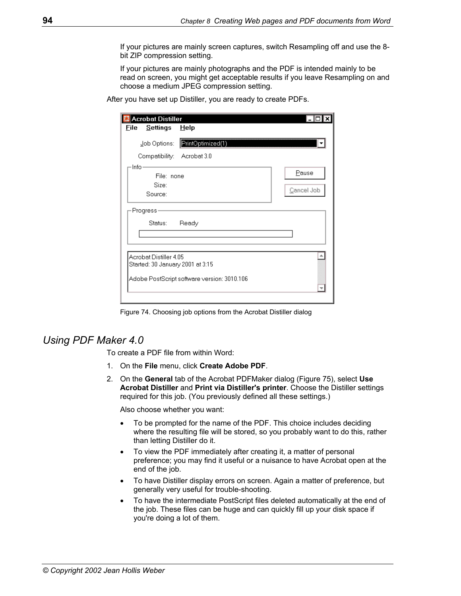If your pictures are mainly screen captures, switch Resampling off and use the 8 bit ZIP compression setting.

 If your pictures are mainly photographs and the PDF is intended mainly to be read on screen, you might get acceptable results if you leave Resampling on and choose a medium JPEG compression setting.

After you have set up Distiller, you are ready to create PDFs.

<span id="page-101-1"></span>

| <b>Acrobat Distiller</b>                                   |                                             |            |
|------------------------------------------------------------|---------------------------------------------|------------|
| File<br>Settings                                           | Help                                        |            |
| Job Options:                                               | PrintOptimized(1)                           |            |
| Compatibility: Acrobat 3.0                                 |                                             |            |
| $\mathsf{Info} \cdot$                                      |                                             |            |
| File: none                                                 |                                             | Pause      |
| Size:                                                      |                                             |            |
| Source:                                                    |                                             | Cancel Job |
| Progress                                                   |                                             |            |
| Status:                                                    | Ready                                       |            |
|                                                            |                                             |            |
|                                                            |                                             |            |
| Acrobat Distiller 4.05<br>Started: 30 January 2001 at 3:15 | Adobe PostScript software version: 3010.106 |            |
|                                                            |                                             |            |

Figure 74. Choosing job options from the Acrobat Distiller dialog

## <span id="page-101-0"></span>*Using PDF Maker 4.0*

To create a PDF file from within Word:

- 1. On the **File** menu, click **Create Adobe PDF**.
- 2. On the **General** tab of the Acrobat PDFMaker dialog ([Figure 75\)](#page-102-0), select **Use Acrobat Distiller** and **Print via Distiller's printer**. Choose the Distiller settings required for this job. (You previously defined all these settings.)

Also choose whether you want:

- To be prompted for the name of the PDF. This choice includes deciding where the resulting file will be stored, so you probably want to do this, rather than letting Distiller do it.
- To view the PDF immediately after creating it, a matter of personal preference; you may find it useful or a nuisance to have Acrobat open at the end of the job.
- To have Distiller display errors on screen. Again a matter of preference, but generally very useful for trouble-shooting.
- To have the intermediate PostScript files deleted automatically at the end of the job. These files can be huge and can quickly fill up your disk space if you're doing a lot of them.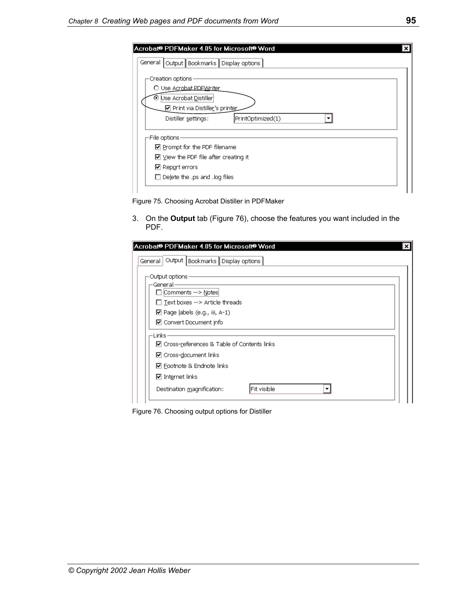| Acrobat <sup>®</sup> PDFMaker 4.05 for Microsoft <sup>®</sup> Word<br>$\overline{\mathbf{x}}$ |
|-----------------------------------------------------------------------------------------------|
| General   Output   Bookmarks   Display options                                                |
| Creation options                                                                              |
| O Use Acrobat PDEWriter                                                                       |
| Use Acrobat Distiller                                                                         |
| ☑ Print via Distiller's printer                                                               |
| PrintOptimized(1)<br>Distiller settings:                                                      |
| -File options                                                                                 |
| $\nabla$ Prompt for the PDF filename                                                          |
| $\boxdot$ View the PDF file after creating it                                                 |
| ☑ Report errors                                                                               |
| $\Box$ Delete the .ps and .log files                                                          |
|                                                                                               |

<span id="page-102-0"></span>Figure 75. Choosing Acrobat Distiller in PDFMaker

3. On the **Output** tab ([Figure 76\)](#page-102-1), choose the features you want included in the PDF.

<span id="page-102-1"></span>

| Acrobat® PDFMaker 4.05 for Microsoft® Word<br>× |
|-------------------------------------------------|
| Output Bookmarks Display options<br>General     |
| Output options -                                |
| General-<br>∣ iComments --> <u>N</u> otes       |
| $\Box$ Text boxes --> Article threads           |
| $\boxdot$ Page labels (e.g., iii, A-1)          |
| □ Convert Document info                         |
| ·Links ·                                        |
| ☑ Cross-references & Table of Contents links    |
| □ Cross-document links                          |
| <b>☑</b> Footnote & Endnote links               |
| $\nabla$ Internet links                         |
| lFit visible<br>Destination magnification:      |
|                                                 |

Figure 76. Choosing output options for Distiller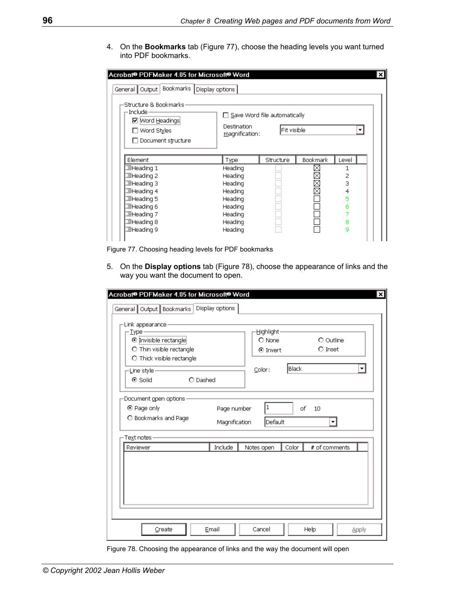4. On the **Bookmarks** tab ([Figure 77\)](#page-103-0), choose the heading levels you want turned into PDF bookmarks.

<span id="page-103-0"></span>

| Acrobat® PDFMaker 4.05 for Microsoft® Word<br>×l                                                          |                                                                      |             |          |       |  |  |
|-----------------------------------------------------------------------------------------------------------|----------------------------------------------------------------------|-------------|----------|-------|--|--|
| General   Output   Bookmarks   Display options                                                            |                                                                      |             |          |       |  |  |
| -Structure & Bookmarks:<br>-Include -<br>☑   Word Headings<br>$\square$ Word Styles<br>Document structure | $\Box$ Save Word file automatically<br>Destination<br>magnification: | Fit visible |          | ▼     |  |  |
| Element                                                                                                   | Type                                                                 | Structure   | Bookmark | Level |  |  |
| 遍Heading 1                                                                                                | Heading                                                              |             |          |       |  |  |
| 遍Heading 2                                                                                                | Heading                                                              |             |          | 2     |  |  |
| 遍Heading 3                                                                                                | Heading                                                              |             | X        | З     |  |  |
| 遍Heading 4                                                                                                | Heading                                                              |             | ⊠        | 4     |  |  |
| 遍Heading 5                                                                                                | Heading                                                              |             |          | 5     |  |  |
| 罩Heading 6                                                                                                | Heading                                                              |             |          | 6     |  |  |
| 遍Heading 7                                                                                                | Heading                                                              |             |          |       |  |  |
| 遍Heading 8                                                                                                | Heading                                                              |             |          | 8     |  |  |
| 遍Heading 9                                                                                                | Heading                                                              |             |          | g     |  |  |
|                                                                                                           |                                                                      |             |          |       |  |  |

Figure 77. Choosing heading levels for PDF bookmarks

5. On the **Display options** tab [\(Figure 78\)](#page-103-1), choose the appearance of links and the way you want the document to open.

<span id="page-103-1"></span>

| -Link appearance-<br>- Type -<br>$\odot$ Invisible rectangle<br>O Thin visible rectangle<br>O Thick visible rectangle |                              | Highlight-<br>$O$ None<br><b>⊙</b> Invert |       | O Outline<br>$O$ Inset |  |
|-----------------------------------------------------------------------------------------------------------------------|------------------------------|-------------------------------------------|-------|------------------------|--|
| -Line style-<br>⊙ Solid<br>O Dashed                                                                                   | Color:                       | Black                                     |       |                        |  |
| Document open options<br>⊙ Page only<br>O Bookmarks and Page<br>Text notes                                            | Page number<br>Magnification | $\vert$ 1<br>Default                      | of    | 10<br>۰                |  |
| Reviewer                                                                                                              | Include                      | Notes open                                | Color | # of comments          |  |
|                                                                                                                       |                              |                                           |       |                        |  |

Figure 78. Choosing the appearance of links and the way the document will open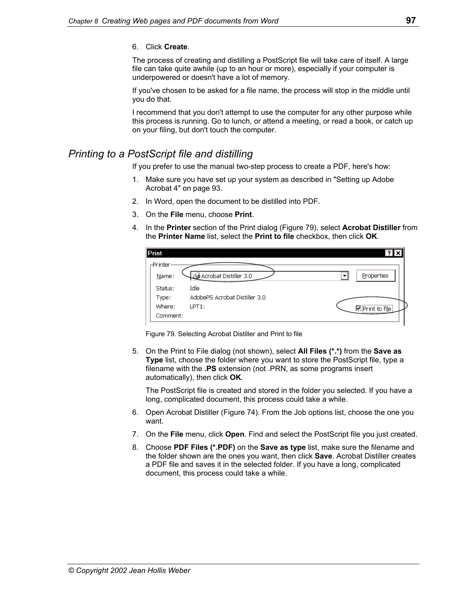#### 6. Click **Create**.

The process of creating and distilling a PostScript file will take care of itself. A large file can take quite awhile (up to an hour or more), especially if your computer is underpowered or doesn't have a lot of memory.

If you've chosen to be asked for a file name, the process will stop in the middle until you do that.

I recommend that you don't attempt to use the computer for any other purpose while this process is running. Go to lunch, or attend a meeting, or read a book, or catch up on your filing, but don't touch the computer.

## <span id="page-104-0"></span>*Printing to a PostScript file and distilling*

If you prefer to use the manual two-step process to create a PDF, here's how:

- 1. Make sure you have set up your system as described in "[Setting up Adobe](#page-100-0)  [Acrobat 4"](#page-100-0) on page [93.](#page-100-0)
- 2. In Word, open the document to be distilled into PDF.
- 3. On the **File** menu, choose **Print**.
- 4. In the **Printer** section of the Print dialog ([Figure 79\)](#page-104-1), select **Acrobat Distiller** from the **Printer Name** list, select the **Print to file** checkbox, then click **OK**.

| Print     |                               | $ ?  \times$  |
|-----------|-------------------------------|---------------|
| ⊩Printer∙ |                               |               |
| Name:     | Acrobat Distiller 3.0         | Properties    |
| Status:   | Idle                          |               |
| Type:     | AdobePS Acrobat Distiller 3.0 |               |
| Where:    | $LPT1$ :                      | Print to file |
| Comment:  |                               |               |

<span id="page-104-1"></span>Figure 79. Selecting Acrobat Distiller and Print to file

5. On the Print to File dialog (not shown), select **All Files (\*.\*)** from the **Save as Type** list, choose the folder where you want to store the PostScript file, type a filename with the **.PS** extension (not .PRN, as some programs insert automatically), then click **OK**.

 The PostScript file is created and stored in the folder you selected. If you have a long, complicated document, this process could take a while.

- 6. Open Acrobat Distiller ([Figure 74\)](#page-101-1). From the Job options list, choose the one you want.
- 7. On the **File** menu, click **Open**. Find and select the PostScript file you just created.
- 8. Choose **PDF Files (\*.PDF)** on the **Save as type** list, make sure the filename and the folder shown are the ones you want, then click **Save**. Acrobat Distiller creates a PDF file and saves it in the selected folder. If you have a long, complicated document, this process could take a while.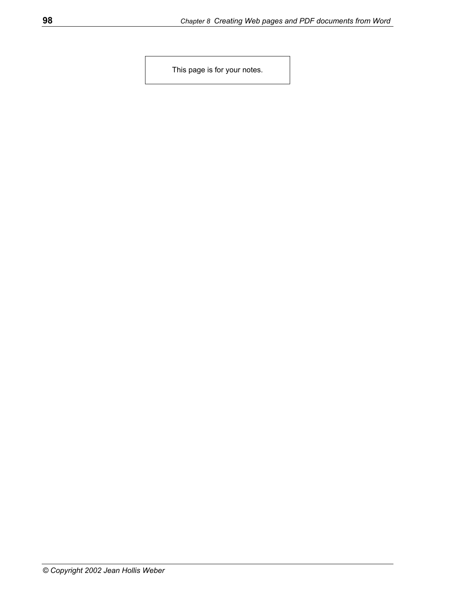This page is for your notes.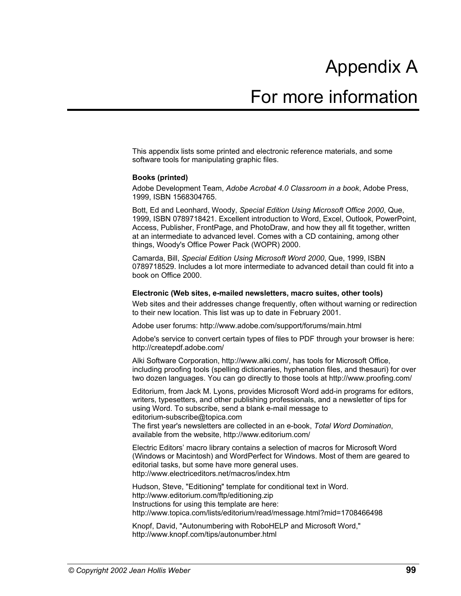# Appendix A

## For more information

This appendix lists some printed and electronic reference materials, and some software tools for manipulating graphic files.

#### **Books (printed)**

Adobe Development Team, *Adobe Acrobat 4.0 Classroom in a book*, Adobe Press, 1999, ISBN 1568304765.

Bott, Ed and Leonhard, Woody, *Special Edition Using Microsoft Office 2000*, Que, 1999, ISBN 0789718421. Excellent introduction to Word, Excel, Outlook, PowerPoint, Access, Publisher, FrontPage, and PhotoDraw, and how they all fit together, written at an intermediate to advanced level. Comes with a CD containing, among other things, Woody's Office Power Pack (WOPR) 2000.

Camarda, Bill, *Special Edition Using Microsoft Word 2000*, Que, 1999, ISBN 0789718529. Includes a lot more intermediate to advanced detail than could fit into a book on Office 2000.

#### **Electronic (Web sites, e-mailed newsletters, macro suites, other tools)**

Web sites and their addresses change frequently, often without warning or redirection to their new location. This list was up to date in February 2001.

Adobe user forums: http://www.adobe.com/support/forums/main.html

Adobe's service to convert certain types of files to PDF through your browser is here: http://createpdf.adobe.com/

Alki Software Corporation, http://www.alki.com/, has tools for Microsoft Office, including proofing tools (spelling dictionaries, hyphenation files, and thesauri) for over two dozen languages. You can go directly to those tools at http://www.proofing.com/

Editorium, from Jack M. Lyons, provides Microsoft Word add-in programs for editors, writers, typesetters, and other publishing professionals, and a newsletter of tips for using Word. To subscribe, send a blank e-mail message to editorium-subscribe@topica.com

The first year's newsletters are collected in an e-book, *Total Word Domination*, available from the website, http://www.editorium.com/

Electric Editors' macro library contains a selection of macros for Microsoft Word (Windows or Macintosh) and WordPerfect for Windows. Most of them are geared to editorial tasks, but some have more general uses. http://www.electriceditors.net/macros/index.htm

Hudson, Steve, "Editioning" template for conditional text in Word. http://www.editorium.com/ftp/editioning.zip Instructions for using this template are here: http://www.topica.com/lists/editorium/read/message.html?mid=1708466498

Knopf, David, "Autonumbering with RoboHELP and Microsoft Word," http://www.knopf.com/tips/autonumber.html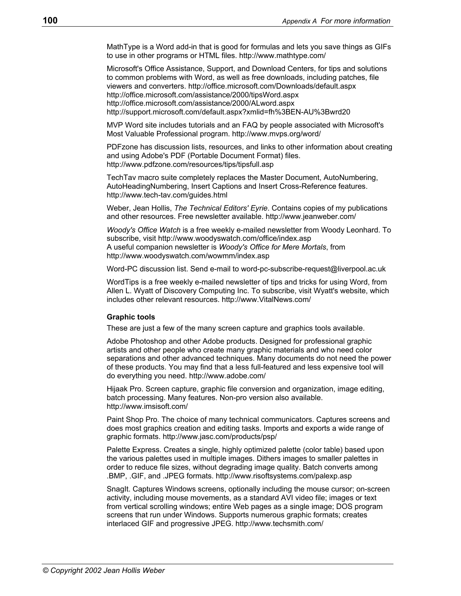MathType is a Word add-in that is good for formulas and lets you save things as GIFs to use in other programs or HTML files. http://www.mathtype.com/

Microsoft's Office Assistance, Support, and Download Centers, for tips and solutions to common problems with Word, as well as free downloads, including patches, file viewers and converters. http://office.microsoft.com/Downloads/default.aspx http://office.microsoft.com/assistance/2000/tipsWord.aspx http://office.microsoft.com/assistance/2000/ALword.aspx http://support.microsoft.com/default.aspx?xmlid=fh%3BEN-AU%3Bwrd20

MVP Word site includes tutorials and an FAQ by people associated with Microsoft's Most Valuable Professional program. http://www.mvps.org/word/

PDFzone has discussion lists, resources, and links to other information about creating and using Adobe's PDF (Portable Document Format) files. http://www.pdfzone.com/resources/tips/tipsfull.asp

TechTav macro suite completely replaces the Master Document, AutoNumbering, AutoHeadingNumbering, Insert Captions and Insert Cross-Reference features. http://www.tech-tav.com/guides.html

Weber, Jean Hollis, *The Technical Editors' Eyrie*. Contains copies of my publications and other resources. Free newsletter available. http://www.jeanweber.com/

*Woody's Office Watch* is a free weekly e-mailed newsletter from Woody Leonhard. To subscribe, visit http://www.woodyswatch.com/office/index.asp A useful companion newsletter is *Woody's Office for Mere Mortals*, from http://www.woodyswatch.com/wowmm/index.asp

Word-PC discussion list. Send e-mail to word-pc-subscribe-request@liverpool.ac.uk

WordTips is a free weekly e-mailed newsletter of tips and tricks for using Word, from Allen L. Wyatt of Discovery Computing Inc. To subscribe, visit Wyatt's website, which includes other relevant resources. http://www.VitalNews.com/

#### <span id="page-107-0"></span>**Graphic tools**

These are just a few of the many screen capture and graphics tools available.

Adobe Photoshop and other Adobe products. Designed for professional graphic artists and other people who create many graphic materials and who need color separations and other advanced techniques. Many documents do not need the power of these products. You may find that a less full-featured and less expensive tool will do everything you need. http://www.adobe.com/

Hijaak Pro. Screen capture, graphic file conversion and organization, image editing, batch processing. Many features. Non-pro version also available. http://www.imsisoft.com/

Paint Shop Pro. The choice of many technical communicators. Captures screens and does most graphics creation and editing tasks. Imports and exports a wide range of graphic formats. http://www.jasc.com/products/psp/

Palette Express. Creates a single, highly optimized palette (color table) based upon the various palettes used in multiple images. Dithers images to smaller palettes in order to reduce file sizes, without degrading image quality. Batch converts among .BMP, .GIF, and .JPEG formats. http://www.risoftsystems.com/palexp.asp

SnagIt. Captures Windows screens, optionally including the mouse cursor; on-screen activity, including mouse movements, as a standard AVI video file; images or text from vertical scrolling windows; entire Web pages as a single image; DOS program screens that run under Windows. Supports numerous graphic formats; creates interlaced GIF and progressive JPEG. http://www.techsmith.com/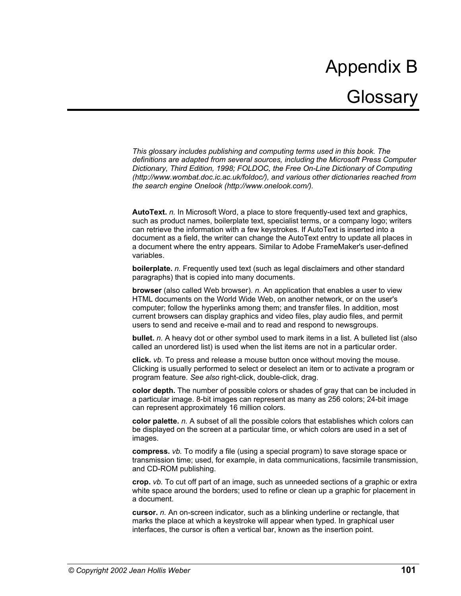# Appendix B **Glossary**

*This glossary includes publishing and computing terms used in this book. The definitions are adapted from several sources, including the Microsoft Press Computer Dictionary, Third Edition, 1998; FOLDOC, the Free On-Line Dictionary of Computing (http://www.wombat.doc.ic.ac.uk/foldoc/), and various other dictionaries reached from the search engine Onelook (http://www.onelook.com/).* 

**AutoText.** *n.* In Microsoft Word, a place to store frequently-used text and graphics, such as product names, boilerplate text, specialist terms, or a company logo; writers can retrieve the information with a few keystrokes. If AutoText is inserted into a document as a field, the writer can change the AutoText entry to update all places in a document where the entry appears. Similar to Adobe FrameMaker's user-defined variables.

**boilerplate.** *n.* Frequently used text (such as legal disclaimers and other standard paragraphs) that is copied into many documents.

**browser** (also called Web browser). *n.* An application that enables a user to view HTML documents on the World Wide Web, on another network, or on the user's computer; follow the hyperlinks among them; and transfer files. In addition, most current browsers can display graphics and video files, play audio files, and permit users to send and receive e-mail and to read and respond to newsgroups.

**bullet.** *n.* A heavy dot or other symbol used to mark items in a list. A bulleted list (also called an unordered list) is used when the list items are not in a particular order.

**click.** *vb.* To press and release a mouse button once without moving the mouse. Clicking is usually performed to select or deselect an item or to activate a program or program feature. *See also* right-click, double-click, drag.

**color depth.** The number of possible colors or shades of gray that can be included in a particular image. 8-bit images can represent as many as 256 colors; 24-bit image can represent approximately 16 million colors.

**color palette.** *n.* A subset of all the possible colors that establishes which colors can be displayed on the screen at a particular time, or which colors are used in a set of images.

**compress.** *vb.* To modify a file (using a special program) to save storage space or transmission time; used, for example, in data communications, facsimile transmission, and CD-ROM publishing.

**crop.** *vb.* To cut off part of an image, such as unneeded sections of a graphic or extra white space around the borders; used to refine or clean up a graphic for placement in a document.

**cursor.** *n.* An on-screen indicator, such as a blinking underline or rectangle, that marks the place at which a keystroke will appear when typed. In graphical user interfaces, the cursor is often a vertical bar, known as the insertion point.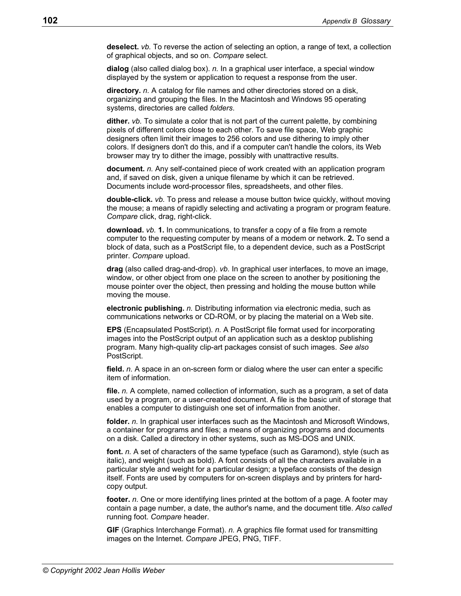**deselect.** *vb.* To reverse the action of selecting an option, a range of text, a collection of graphical objects, and so on. *Compare* select.

**dialog** (also called dialog box). *n.* In a graphical user interface, a special window displayed by the system or application to request a response from the user.

**directory.** *n.* A catalog for file names and other directories stored on a disk, organizing and grouping the files. In the Macintosh and Windows 95 operating systems, directories are called *folders*.

**dither.** *vb.* To simulate a color that is not part of the current palette, by combining pixels of different colors close to each other. To save file space, Web graphic designers often limit their images to 256 colors and use dithering to imply other colors. If designers don't do this, and if a computer can't handle the colors, its Web browser may try to dither the image, possibly with unattractive results.

**document.** *n.* Any self-contained piece of work created with an application program and, if saved on disk, given a unique filename by which it can be retrieved. Documents include word-processor files, spreadsheets, and other files.

**double-click.** *vb.* To press and release a mouse button twice quickly, without moving the mouse; a means of rapidly selecting and activating a program or program feature. *Compare* click, drag, right-click.

**download.** *vb.* **1.** In communications, to transfer a copy of a file from a remote computer to the requesting computer by means of a modem or network. **2.** To send a block of data, such as a PostScript file, to a dependent device, such as a PostScript printer. *Compare* upload.

**drag** (also called drag-and-drop). *vb.* In graphical user interfaces, to move an image, window, or other object from one place on the screen to another by positioning the mouse pointer over the object, then pressing and holding the mouse button while moving the mouse.

**electronic publishing.** *n.* Distributing information via electronic media, such as communications networks or CD-ROM, or by placing the material on a Web site.

**EPS** (Encapsulated PostScript). *n.* A PostScript file format used for incorporating images into the PostScript output of an application such as a desktop publishing program. Many high-quality clip-art packages consist of such images. *See also* PostScript.

**field.** *n.* A space in an on-screen form or dialog where the user can enter a specific item of information.

**file.** *n.* A complete, named collection of information, such as a program, a set of data used by a program, or a user-created document. A file is the basic unit of storage that enables a computer to distinguish one set of information from another.

**folder.** *n.* In graphical user interfaces such as the Macintosh and Microsoft Windows, a container for programs and files; a means of organizing programs and documents on a disk. Called a directory in other systems, such as MS-DOS and UNIX.

**font.** *n.* A set of characters of the same typeface (such as Garamond), style (such as italic), and weight (such as bold). A font consists of all the characters available in a particular style and weight for a particular design; a typeface consists of the design itself. Fonts are used by computers for on-screen displays and by printers for hardcopy output.

**footer.** *n.* One or more identifying lines printed at the bottom of a page. A footer may contain a page number, a date, the author's name, and the document title. *Also called* running foot. *Compare* header.

**GIF** (Graphics Interchange Format). *n.* A graphics file format used for transmitting images on the Internet. *Compare* JPEG, PNG, TIFF.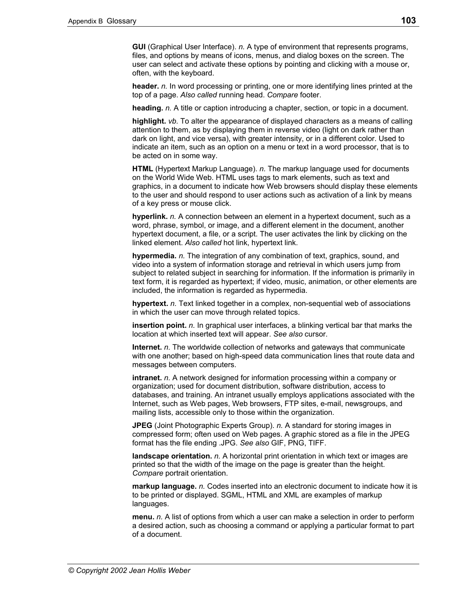**GUI** (Graphical User Interface). *n.* A type of environment that represents programs, files, and options by means of icons, menus, and dialog boxes on the screen. The user can select and activate these options by pointing and clicking with a mouse or, often, with the keyboard.

**header.** *n.* In word processing or printing, one or more identifying lines printed at the top of a page. *Also called* running head. *Compare* footer.

**heading.** *n.* A title or caption introducing a chapter, section, or topic in a document.

**highlight.** *vb.* To alter the appearance of displayed characters as a means of calling attention to them, as by displaying them in reverse video (light on dark rather than dark on light, and vice versa), with greater intensity, or in a different color. Used to indicate an item, such as an option on a menu or text in a word processor, that is to be acted on in some way.

**HTML** (Hypertext Markup Language). *n.* The markup language used for documents on the World Wide Web. HTML uses tags to mark elements, such as text and graphics, in a document to indicate how Web browsers should display these elements to the user and should respond to user actions such as activation of a link by means of a key press or mouse click.

**hyperlink.** *n.* A connection between an element in a hypertext document, such as a word, phrase, symbol, or image, and a different element in the document, another hypertext document, a file, or a script. The user activates the link by clicking on the linked element. *Also called* hot link, hypertext link.

**hypermedia.** *n.* The integration of any combination of text, graphics, sound, and video into a system of information storage and retrieval in which users jump from subject to related subject in searching for information. If the information is primarily in text form, it is regarded as hypertext; if video, music, animation, or other elements are included, the information is regarded as hypermedia.

**hypertext.** *n.* Text linked together in a complex, non-sequential web of associations in which the user can move through related topics.

**insertion point.** *n.* In graphical user interfaces, a blinking vertical bar that marks the location at which inserted text will appear. *See also* cursor.

**Internet.** *n.* The worldwide collection of networks and gateways that communicate with one another; based on high-speed data communication lines that route data and messages between computers.

**intranet.** *n.* A network designed for information processing within a company or organization; used for document distribution, software distribution, access to databases, and training. An intranet usually employs applications associated with the Internet, such as Web pages, Web browsers, FTP sites, e-mail, newsgroups, and mailing lists, accessible only to those within the organization.

**JPEG** (Joint Photographic Experts Group). *n.* A standard for storing images in compressed form; often used on Web pages. A graphic stored as a file in the JPEG format has the file ending .JPG. *See also* GIF, PNG, TIFF.

**landscape orientation.** *n.* A horizontal print orientation in which text or images are printed so that the width of the image on the page is greater than the height. *Compare* portrait orientation.

**markup language.** *n.* Codes inserted into an electronic document to indicate how it is to be printed or displayed. SGML, HTML and XML are examples of markup languages.

**menu.** *n.* A list of options from which a user can make a selection in order to perform a desired action, such as choosing a command or applying a particular format to part of a document.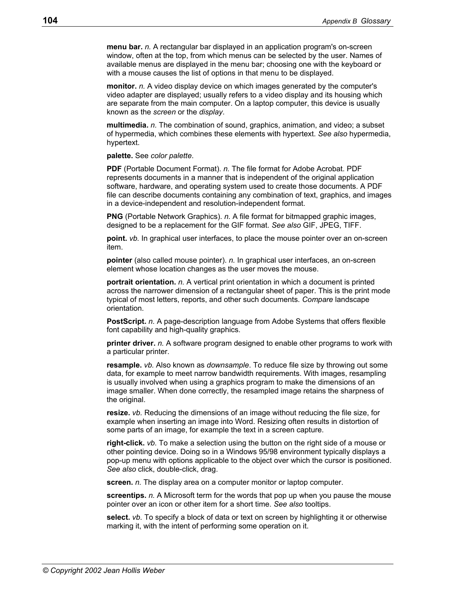**menu bar.** *n.* A rectangular bar displayed in an application program's on-screen window, often at the top, from which menus can be selected by the user. Names of available menus are displayed in the menu bar; choosing one with the keyboard or with a mouse causes the list of options in that menu to be displayed.

**monitor.** *n.* A video display device on which images generated by the computer's video adapter are displayed; usually refers to a video display and its housing which are separate from the main computer. On a laptop computer, this device is usually known as the *screen* or the *display*.

**multimedia.** *n.* The combination of sound, graphics, animation, and video; a subset of hypermedia, which combines these elements with hypertext. *See also* hypermedia, hypertext.

**palette.** See *color palette*.

**PDF** (Portable Document Format). *n.* The file format for Adobe Acrobat. PDF represents documents in a manner that is independent of the original application software, hardware, and operating system used to create those documents. A PDF file can describe documents containing any combination of text, graphics, and images in a device-independent and resolution-independent format.

**PNG** (Portable Network Graphics). *n.* A file format for bitmapped graphic images, designed to be a replacement for the GIF format. *See also* GIF, JPEG, TIFF.

**point.** *vb.* In graphical user interfaces, to place the mouse pointer over an on-screen item.

**pointer** (also called mouse pointer). *n.* In graphical user interfaces, an on-screen element whose location changes as the user moves the mouse.

**portrait orientation.** *n.* A vertical print orientation in which a document is printed across the narrower dimension of a rectangular sheet of paper. This is the print mode typical of most letters, reports, and other such documents. *Compare* landscape orientation.

**PostScript.** *n.* A page-description language from Adobe Systems that offers flexible font capability and high-quality graphics.

**printer driver.** *n.* A software program designed to enable other programs to work with a particular printer.

**resample.** *vb.* Also known as *downsample*. To reduce file size by throwing out some data, for example to meet narrow bandwidth requirements. With images, resampling is usually involved when using a graphics program to make the dimensions of an image smaller. When done correctly, the resampled image retains the sharpness of the original.

**resize.** *vb.* Reducing the dimensions of an image without reducing the file size, for example when inserting an image into Word. Resizing often results in distortion of some parts of an image, for example the text in a screen capture.

**right-click.** *vb.* To make a selection using the button on the right side of a mouse or other pointing device. Doing so in a Windows 95/98 environment typically displays a pop-up menu with options applicable to the object over which the cursor is positioned. *See also* click, double-click, drag.

**screen.** *n.* The display area on a computer monitor or laptop computer.

**screentips.** *n.* A Microsoft term for the words that pop up when you pause the mouse pointer over an icon or other item for a short time. *See also* tooltips.

**select.** *vb.* To specify a block of data or text on screen by highlighting it or otherwise marking it, with the intent of performing some operation on it.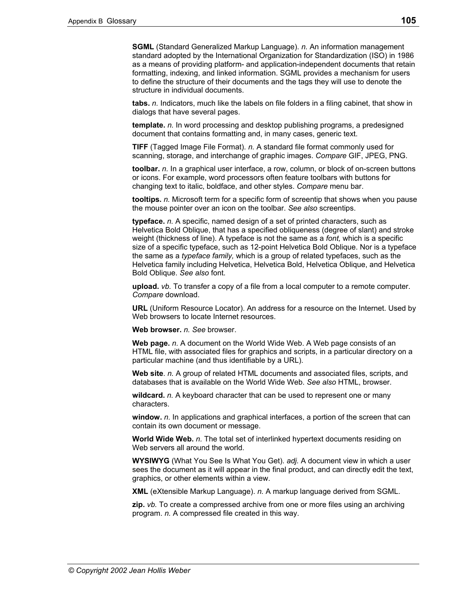**SGML** (Standard Generalized Markup Language). *n.* An information management standard adopted by the International Organization for Standardization (ISO) in 1986 as a means of providing platform- and application-independent documents that retain formatting, indexing, and linked information. SGML provides a mechanism for users to define the structure of their documents and the tags they will use to denote the structure in individual documents.

**tabs.** *n.* Indicators, much like the labels on file folders in a filing cabinet, that show in dialogs that have several pages.

**template.** *n.* In word processing and desktop publishing programs, a predesigned document that contains formatting and, in many cases, generic text.

**TIFF** (Tagged Image File Format). *n.* A standard file format commonly used for scanning, storage, and interchange of graphic images. *Compare* GIF, JPEG, PNG.

**toolbar.** *n.* In a graphical user interface, a row, column, or block of on-screen buttons or icons. For example, word processors often feature toolbars with buttons for changing text to italic, boldface, and other styles. *Compare* menu bar.

**tooltips.** *n.* Microsoft term for a specific form of screentip that shows when you pause the mouse pointer over an icon on the toolbar. *See also* screentips.

**typeface.** *n.* A specific, named design of a set of printed characters, such as Helvetica Bold Oblique, that has a specified obliqueness (degree of slant) and stroke weight (thickness of line). A typeface is not the same as a *font,* which is a specific size of a specific typeface, such as 12-point Helvetica Bold Oblique. Nor is a typeface the same as a *typeface family,* which is a group of related typefaces, such as the Helvetica family including Helvetica, Helvetica Bold, Helvetica Oblique, and Helvetica Bold Oblique. *See also* font.

**upload.** *vb.* To transfer a copy of a file from a local computer to a remote computer. *Compare* download.

**URL** (Uniform Resource Locator). An address for a resource on the Internet. Used by Web browsers to locate Internet resources.

**Web browser.** *n. See* browser.

**Web page.** *n.* A document on the World Wide Web. A Web page consists of an HTML file, with associated files for graphics and scripts, in a particular directory on a particular machine (and thus identifiable by a URL).

**Web site**. *n.* A group of related HTML documents and associated files, scripts, and databases that is available on the World Wide Web. *See also* HTML, browser.

**wildcard.** *n.* A keyboard character that can be used to represent one or many characters.

**window.** *n.* In applications and graphical interfaces, a portion of the screen that can contain its own document or message.

**World Wide Web.** *n.* The total set of interlinked hypertext documents residing on Web servers all around the world.

**WYSIWYG** (What You See Is What You Get). *adj.* A document view in which a user sees the document as it will appear in the final product, and can directly edit the text, graphics, or other elements within a view.

**XML** (eXtensible Markup Language). *n.* A markup language derived from SGML.

**zip.** *vb.* To create a compressed archive from one or more files using an archiving program. *n.* A compressed file created in this way.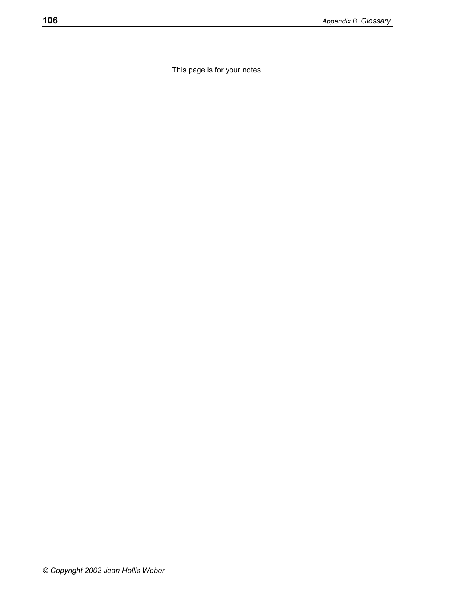This page is for your notes.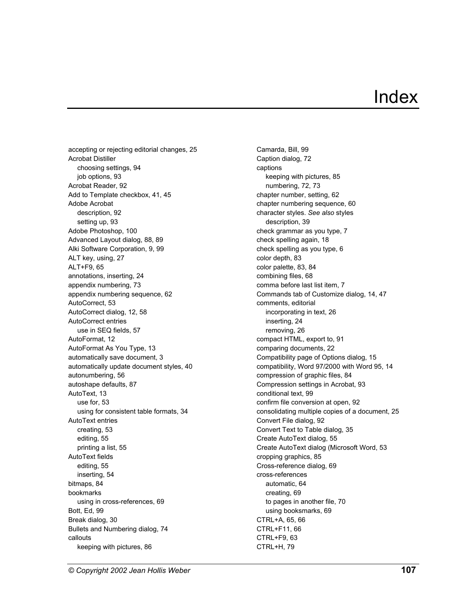## Index

accepting or rejecting editorial changes, 25 Acrobat Distiller choosing settings, 94 job options, 93 Acrobat Reader, 92 Add to Template checkbox, 41, 45 Adobe Acrobat description, 92 setting up, 93 Adobe Photoshop, 100 Advanced Layout dialog, 88, 89 Alki Software Corporation, 9, 99 ALT key, using, 27 ALT+F9, 65 annotations, inserting, 24 appendix numbering, 73 appendix numbering sequence, 62 AutoCorrect, 53 AutoCorrect dialog, 12, 58 AutoCorrect entries use in SEQ fields, 57 AutoFormat, 12 AutoFormat As You Type, 13 automatically save document, 3 automatically update document styles, 40 autonumbering, 56 autoshape defaults, 87 AutoText, 13 use for, 53 using for consistent table formats, 34 AutoText entries creating, 53 editing, 55 printing a list, 55 AutoText fields editing, 55 inserting, 54 bitmaps, 84 bookmarks using in cross-references, 69 Bott, Ed, 99 Break dialog, 30 Bullets and Numbering dialog, 74 callouts keeping with pictures, 86

Camarda, Bill, 99 Caption dialog, 72 captions keeping with pictures, 85 numbering, 72, 73 chapter number, setting, 62 chapter numbering sequence, 60 character styles. *See also* styles description, 39 check grammar as you type, 7 check spelling again, 18 check spelling as you type, 6 color depth, 83 color palette, 83, 84 combining files, 68 comma before last list item, 7 Commands tab of Customize dialog, 14, 47 comments, editorial incorporating in text, 26 inserting, 24 removing, 26 compact HTML, export to, 91 comparing documents, 22 Compatibility page of Options dialog, 15 compatibility, Word 97/2000 with Word 95, 14 compression of graphic files, 84 Compression settings in Acrobat, 93 conditional text, 99 confirm file conversion at open, 92 consolidating multiple copies of a document, 25 Convert File dialog, 92 Convert Text to Table dialog, 35 Create AutoText dialog, 55 Create AutoText dialog (Microsoft Word, 53 cropping graphics, 85 Cross-reference dialog, 69 cross-references automatic, 64 creating, 69 to pages in another file, 70 using booksmarks, 69 CTRL+A, 65, 66 CTRL+F11, 66 CTRL+F9, 63 CTRL+H, 79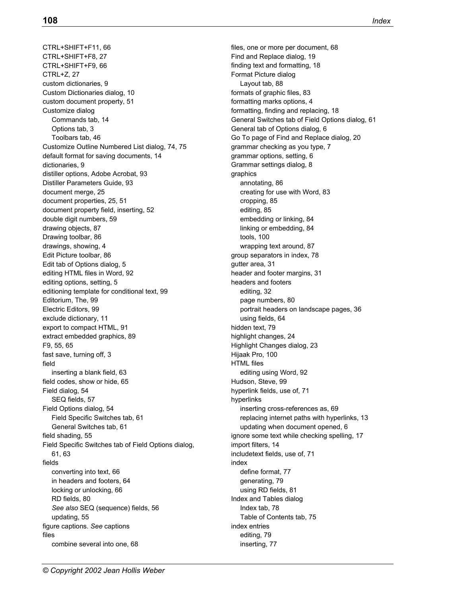CTRL+SHIFT+F11, 66 CTRL+SHIFT+F8, 27 CTRL+SHIFT+F9, 66 CTRL+Z, 27 custom dictionaries, 9 Custom Dictionaries dialog, 10 custom document property, 51 Customize dialog Commands tab, 14 Options tab, 3 Toolbars tab, 46 Customize Outline Numbered List dialog, 74, 75 default format for saving documents, 14 dictionaries, 9 distiller options, Adobe Acrobat, 93 Distiller Parameters Guide, 93 document merge, 25 document properties, 25, 51 document property field, inserting, 52 double digit numbers, 59 drawing objects, 87 Drawing toolbar, 86 drawings, showing, 4 Edit Picture toolbar, 86 Edit tab of Options dialog, 5 editing HTML files in Word, 92 editing options, setting, 5 editioning template for conditional text, 99 Editorium, The, 99 Electric Editors, 99 exclude dictionary, 11 export to compact HTML, 91 extract embedded graphics, 89 F9, 55, 65 fast save, turning off, 3 field inserting a blank field, 63 field codes, show or hide, 65 Field dialog, 54 SEQ fields, 57 Field Options dialog, 54 Field Specific Switches tab, 61 General Switches tab, 61 field shading, 55 Field Specific Switches tab of Field Options dialog, 61, 63 fields converting into text, 66 in headers and footers, 64 locking or unlocking, 66 RD fields, 80 *See also* SEQ (sequence) fields, 56 updating, 55 figure captions. *See* captions files combine several into one, 68

files, one or more per document, 68 Find and Replace dialog, 19 finding text and formatting, 18 Format Picture dialog Layout tab, 88 formats of graphic files, 83 formatting marks options, 4 formatting, finding and replacing, 18 General Switches tab of Field Options dialog, 61 General tab of Options dialog, 6 Go To page of Find and Replace dialog, 20 grammar checking as you type, 7 grammar options, setting, 6 Grammar settings dialog, 8 graphics annotating, 86 creating for use with Word, 83 cropping, 85 editing, 85 embedding or linking, 84 linking or embedding, 84 tools, 100 wrapping text around, 87 group separators in index, 78 gutter area, 31 header and footer margins, 31 headers and footers editing, 32 page numbers, 80 portrait headers on landscape pages, 36 using fields, 64 hidden text, 79 highlight changes, 24 Highlight Changes dialog, 23 Hijaak Pro, 100 HTML files editing using Word, 92 Hudson, Steve, 99 hyperlink fields, use of, 71 hyperlinks inserting cross-references as, 69 replacing internet paths with hyperlinks, 13 updating when document opened, 6 ignore some text while checking spelling, 17 import filters, 14 includetext fields, use of, 71 index define format, 77 generating, 79 using RD fields, 81 Index and Tables dialog Index tab, 78 Table of Contents tab, 75 index entries editing, 79 inserting, 77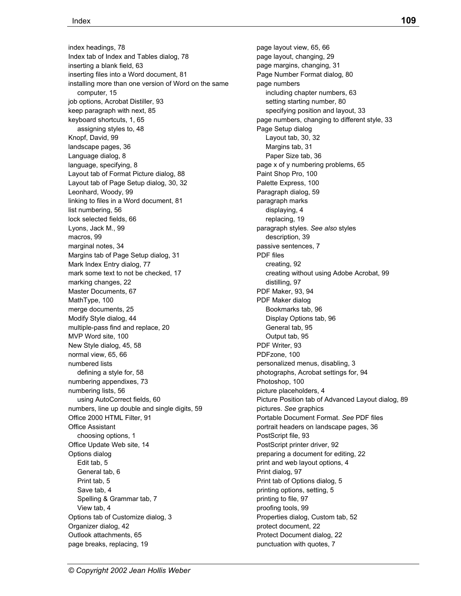index headings, 78 Index tab of Index and Tables dialog, 78 inserting a blank field, 63 inserting files into a Word document, 81 installing more than one version of Word on the same computer, 15 job options, Acrobat Distiller, 93 keep paragraph with next, 85 keyboard shortcuts, 1, 65 assigning styles to, 48 Knopf, David, 99 landscape pages, 36 Language dialog, 8 language, specifying, 8 Layout tab of Format Picture dialog, 88 Layout tab of Page Setup dialog, 30, 32 Leonhard, Woody, 99 linking to files in a Word document, 81 list numbering, 56 lock selected fields, 66 Lyons, Jack M., 99 macros, 99 marginal notes, 34 Margins tab of Page Setup dialog, 31 Mark Index Entry dialog, 77 mark some text to not be checked, 17 marking changes, 22 Master Documents, 67 MathType, 100 merge documents, 25 Modify Style dialog, 44 multiple-pass find and replace, 20 MVP Word site, 100 New Style dialog, 45, 58 normal view, 65, 66 numbered lists defining a style for, 58 numbering appendixes, 73 numbering lists, 56 using AutoCorrect fields, 60 numbers, line up double and single digits, 59 Office 2000 HTML Filter, 91 Office Assistant choosing options, 1 Office Update Web site, 14 Options dialog Edit tab, 5 General tab, 6 Print tab, 5 Save tab, 4 Spelling & Grammar tab, 7 View tab, 4 Options tab of Customize dialog, 3 Organizer dialog, 42 Outlook attachments, 65 page breaks, replacing, 19

*© Copyright 2002 Jean Hollis Weber* 

page layout view, 65, 66 page layout, changing, 29 page margins, changing, 31 Page Number Format dialog, 80 page numbers including chapter numbers, 63 setting starting number, 80 specifying position and layout, 33 page numbers, changing to different style, 33 Page Setup dialog Layout tab, 30, 32 Margins tab, 31 Paper Size tab, 36 page x of y numbering problems, 65 Paint Shop Pro, 100 Palette Express, 100 Paragraph dialog, 59 paragraph marks displaying, 4 replacing, 19 paragraph styles. *See also* styles description, 39 passive sentences, 7 PDF files creating, 92 creating without using Adobe Acrobat, 99 distilling, 97 PDF Maker, 93, 94 PDF Maker dialog Bookmarks tab, 96 Display Options tab, 96 General tab, 95 Output tab, 95 PDF Writer, 93 PDFzone, 100 personalized menus, disabling, 3 photographs, Acrobat settings for, 94 Photoshop, 100 picture placeholders, 4 Picture Position tab of Advanced Layout dialog, 89 pictures. *See* graphics Portable Document Format. *See* PDF files portrait headers on landscape pages, 36 PostScript file, 93 PostScript printer driver, 92 preparing a document for editing, 22 print and web layout options, 4 Print dialog, 97 Print tab of Options dialog, 5 printing options, setting, 5 printing to file, 97 proofing tools, 99 Properties dialog, Custom tab, 52 protect document, 22 Protect Document dialog, 22 punctuation with quotes, 7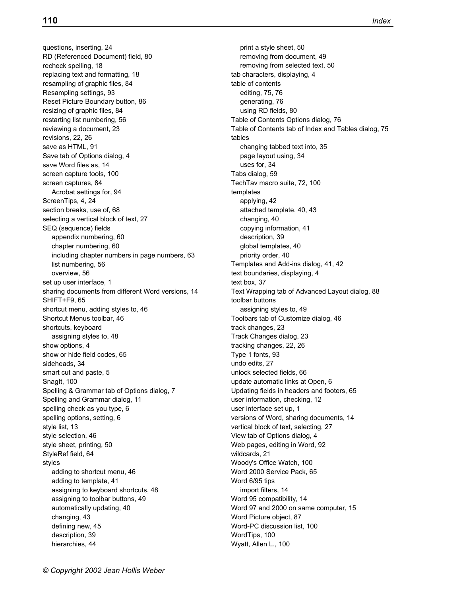questions, inserting, 24 RD (Referenced Document) field, 80 recheck spelling, 18 replacing text and formatting, 18 resampling of graphic files, 84 Resampling settings, 93 Reset Picture Boundary button, 86 resizing of graphic files, 84 restarting list numbering, 56 reviewing a document, 23 revisions, 22, 26 save as HTML, 91 Save tab of Options dialog, 4 save Word files as, 14 screen capture tools, 100 screen captures, 84 Acrobat settings for, 94 ScreenTips, 4, 24 section breaks, use of, 68 selecting a vertical block of text, 27 SEQ (sequence) fields appendix numbering, 60 chapter numbering, 60 including chapter numbers in page numbers, 63 list numbering, 56 overview, 56 set up user interface, 1 sharing documents from different Word versions, 14 SHIFT+F9, 65 shortcut menu, adding styles to, 46 Shortcut Menus toolbar, 46 shortcuts, keyboard assigning styles to, 48 show options, 4 show or hide field codes, 65 sideheads, 34 smart cut and paste, 5 Snaglt, 100 Spelling & Grammar tab of Options dialog, 7 Spelling and Grammar dialog, 11 spelling check as you type, 6 spelling options, setting, 6 style list, 13 style selection, 46 style sheet, printing, 50 StyleRef field, 64 styles adding to shortcut menu, 46 adding to template, 41 assigning to keyboard shortcuts, 48 assigning to toolbar buttons, 49 automatically updating, 40 changing, 43 defining new, 45 description, 39 hierarchies, 44

print a style sheet, 50 removing from document, 49 removing from selected text, 50 tab characters, displaying, 4 table of contents editing, 75, 76 generating, 76 using RD fields, 80 Table of Contents Options dialog, 76 Table of Contents tab of Index and Tables dialog, 75 tables changing tabbed text into, 35 page layout using, 34 uses for, 34 Tabs dialog, 59 TechTav macro suite, 72, 100 templates applying, 42 attached template, 40, 43 changing, 40 copying information, 41 description, 39 global templates, 40 priority order, 40 Templates and Add-ins dialog, 41, 42 text boundaries, displaying, 4 text box, 37 Text Wrapping tab of Advanced Layout dialog, 88 toolbar buttons assigning styles to, 49 Toolbars tab of Customize dialog, 46 track changes, 23 Track Changes dialog, 23 tracking changes, 22, 26 Type 1 fonts, 93 undo edits, 27 unlock selected fields, 66 update automatic links at Open, 6 Updating fields in headers and footers, 65 user information, checking, 12 user interface set up, 1 versions of Word, sharing documents, 14 vertical block of text, selecting, 27 View tab of Options dialog, 4 Web pages, editing in Word, 92 wildcards, 21 Woody's Office Watch, 100 Word 2000 Service Pack, 65 Word 6/95 tips import filters, 14 Word 95 compatibility, 14 Word 97 and 2000 on same computer, 15 Word Picture object, 87 Word-PC discussion list, 100 WordTips, 100 Wyatt, Allen L., 100